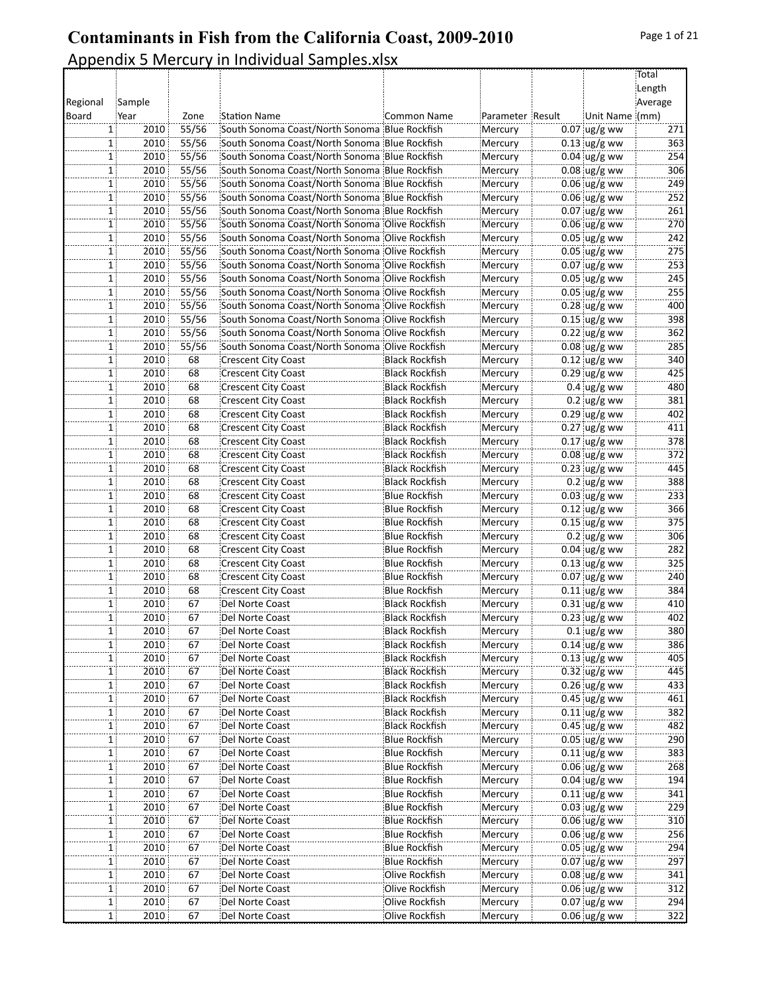|          |                         |                |                                                                                                |                       |                    |                        | Total<br>Length |
|----------|-------------------------|----------------|------------------------------------------------------------------------------------------------|-----------------------|--------------------|------------------------|-----------------|
| Regional | Sample                  |                |                                                                                                |                       |                    |                        | Average         |
| Board    |                         |                | <b>Station Name</b>                                                                            |                       |                    | Unit Name (mm)         |                 |
|          | Year                    | Zone           |                                                                                                | Common Name           | Parameter Result   |                        |                 |
|          | 2010<br>1<br>2010       | 55/56<br>55/56 | South Sonoma Coast/North Sonoma Blue Rockfish<br>South Sonoma Coast/North Sonoma Blue Rockfish |                       | Mercury            | $0.07$ ug/g ww         | 271<br>363      |
|          | $\mathbf{1}$            |                |                                                                                                |                       | Mercury            | $0.13$ ug/g ww         |                 |
|          | $\mathbf{1}$<br>2010    | 55/56          | South Sonoma Coast/North Sonoma Blue Rockfish                                                  |                       | Mercury            | $0.04$ ug/g ww         | 254             |
|          | 1<br>2010               | 55/56          | South Sonoma Coast/North Sonoma Blue Rockfish                                                  |                       | Mercury            | $0.08$ ug/g ww         | 306             |
|          | 2010<br>1               | 55/56          | South Sonoma Coast/North Sonoma Blue Rockfish                                                  |                       | Mercury            | $0.06$ ug/g ww         | 249             |
|          | 2010<br>$\mathbf{1}$    | 55/56          | South Sonoma Coast/North Sonoma Blue Rockfish                                                  |                       | Mercury            | $0.06$ ug/g ww         | 252             |
|          | 2010<br>$\mathbf{1}$    | 55/56          | South Sonoma Coast/North Sonoma Blue Rockfish                                                  |                       | Mercury            | $0.07$ ug/g ww         | 261             |
|          | 2010<br>1               | 55/56          | South Sonoma Coast/North Sonoma Olive Rockfish                                                 |                       | Mercury            | $0.06$ ug/g ww         | 270             |
|          | 1<br>2010               | 55/56          | South Sonoma Coast/North Sonoma Olive Rockfish                                                 |                       | Mercury            | $0.05$ ug/g ww         | 242             |
|          | 2010<br>1               | 55/56          | South Sonoma Coast/North Sonoma Olive Rockfish                                                 |                       | Mercury            | $0.05$ ug/g ww         | 275             |
|          | 2010<br>$\mathbf{1}$    | 55/56          | South Sonoma Coast/North Sonoma Olive Rockfish                                                 |                       | Mercury            | $0.07$ ug/g ww         | 253             |
|          | 2010<br>$\mathbf{1}$    | 55/56          | South Sonoma Coast/North Sonoma Olive Rockfish                                                 |                       | Mercury            | $0.05$ ug/g ww         | 245             |
|          | 2010<br>1               | 55/56          | South Sonoma Coast/North Sonoma Olive Rockfish                                                 |                       | Mercury            | $0.05$ ug/g ww         | 255             |
|          | 1<br>2010               | 55/56          | South Sonoma Coast/North Sonoma Olive Rockfish                                                 |                       | Mercury            | $0.28$ ug/g ww         | 400             |
|          | 2010<br>1               | 55/56          | South Sonoma Coast/North Sonoma Olive Rockfish                                                 |                       | Mercury            | $0.15$ ug/g ww         | 398             |
|          | 2010<br>$\mathbf{1}$    | 55/56          | South Sonoma Coast/North Sonoma Olive Rockfish                                                 |                       | Mercury            | $0.22$ ug/g ww         | 362             |
|          | 2010<br>$\mathbf{1}$    | 55/56          | South Sonoma Coast/North Sonoma Olive Rockfish                                                 |                       | Mercury            | $0.08$ ug/g ww         | 285             |
|          | 2010<br>1               | 68             | <b>Crescent City Coast</b>                                                                     | <b>Black Rockfish</b> | Mercury            | $0.12$ ug/g ww         | 340             |
|          | 2010<br>$\mathbf{1}$    | 68             | <b>Crescent City Coast</b>                                                                     | Black Rockfish        | Mercury            | $0.29$ ug/g ww         | 425             |
| 1        | 2010                    | 68             | <b>Crescent City Coast</b>                                                                     | <b>Black Rockfish</b> | Mercury            | $0.4 \,$ ug/g ww       | 480             |
|          | 2010<br>1               | 68             | <b>Crescent City Coast</b>                                                                     | <b>Black Rockfish</b> | Mercury            | $0.2$ ug/g ww          | 381             |
|          | 2010<br>1               | 68             | <b>Crescent City Coast</b>                                                                     | <b>Black Rockfish</b> | Mercury            | $0.29$ ug/g ww         | 402             |
|          | 2010<br>$\mathbf{1}$    | 68             | <b>Crescent City Coast</b>                                                                     | <b>Black Rockfish</b> | Mercury            | $0.27$ ug/g ww         | 411             |
|          | 2010<br>1               | 68             | <b>Crescent City Coast</b>                                                                     | Black Rockfish        | Mercury            | $0.17$ ug/g ww         | 378             |
|          | 2010<br>1               | 68             | <b>Crescent City Coast</b>                                                                     | <b>Black Rockfish</b> | Mercury            | $0.08 \, \upmu g/g$ ww | 372             |
|          | 2010<br>1               | 68             | <b>Crescent City Coast</b>                                                                     | <b>Black Rockfish</b> | Mercury            | $0.23$ ug/g ww         | 445             |
|          | 2010<br>1               | 68             | <b>Crescent City Coast</b>                                                                     | Black Rockfish        | Mercury            | $0.2$ ug/g ww          | 388             |
|          | 2010<br>1               | 68             | <b>Crescent City Coast</b>                                                                     | Blue Rockfish         | Mercury            | $0.03$ ug/g ww         | 233             |
|          | 2010<br>1               | 68             | <b>Crescent City Coast</b>                                                                     | Blue Rockfish         | Mercury            | $0.12$ ug/g ww         | 366             |
|          | 2010<br>1               | 68             | <b>Crescent City Coast</b>                                                                     | <b>Blue Rockfish</b>  | Mercury            | $0.15$ ug/g ww         | 375             |
|          | 2010<br>$\mathbf{1}$    | 68             | <b>Crescent City Coast</b>                                                                     | <b>Blue Rockfish</b>  | Mercury            | $0.2$ ug/g ww          | 306             |
|          | 2010<br>1               | 68             | <b>Crescent City Coast</b>                                                                     | <b>Blue Rockfish</b>  | Mercury            | $0.04$ ug/g ww         | 282             |
|          | 2010<br>$\mathbf{1}$    | 68             | <b>Crescent City Coast</b>                                                                     | Blue Rockfish         | Mercury            | $0.13$ ug/g ww         | 325             |
|          | 2010<br>1               | 68             | <b>Crescent City Coast</b>                                                                     | Blue Rockfish         | Mercury            | $0.07$ ug/g ww         | 240             |
|          | 2010<br>$\mathbf{1}$    | 68             | <b>Crescent City Coast</b>                                                                     | <b>Blue Rockfish</b>  | Mercury            | $0.11$ ug/g ww         | 384             |
|          | 2010<br>$\mathbf{1}$    | 67             | Del Norte Coast                                                                                | <b>Black Rockfish</b> | Mercury            | $0.31$ ug/g ww         | 410             |
|          | 2010<br>1               | 67             | Del Norte Coast                                                                                | <b>Black Rockfish</b> | Mercury            | $0.23$ ug/g ww         | 402             |
|          | 2010<br>$\mathbf{1}$    | 67             | Del Norte Coast                                                                                | <b>Black Rockfish</b> | Mercury            | $0.1$ ug/g ww          | 380             |
|          | 2010<br>1               | 67             | Del Norte Coast                                                                                | Black Rockfish!       | Mercury            | $0.14$ ug/g ww         | 386             |
|          | 2010                    | 67             | Del Norte Coast                                                                                | <b>Black Rockfish</b> | Mercury            | $0.13$ ug/g ww         | 405             |
|          | 2010<br>$1$ :           | 67             | Del Norte Coast                                                                                | <b>Black Rockfish</b> | Mercury            | $0.32$ ug/g ww         | 445             |
|          | 2010<br>$\mathbf{1}$    | 67             | Del Norte Coast                                                                                | <b>Black Rockfish</b> | Mercury            | $0.26$ ug/g ww         | 433             |
|          | 2010<br>$\mathbf{1}$    | 67             | Del Norte Coast                                                                                | <b>Black Rockfish</b> | Mercury            | $0.45$ ug/g ww         | 461             |
|          | 2010<br>1               | 67             | Del Norte Coast                                                                                | <b>Black Rockfish</b> | Mercury            | $0.11$ ug/g ww         | 382             |
| 1        | 2010                    | 67             | Del Norte Coast                                                                                | <b>Black Rockfish</b> | Mercury            | $0.45$ ug/g ww         | 482             |
|          | 2010<br>1               | 67             | Del Norte Coast                                                                                | <b>Blue Rockfish</b>  | Mercury            | $0.05$ ug/g ww         | 290             |
|          | 2010<br>$\mathbf{1}$    | 67             | Del Norte Coast                                                                                | <b>Blue Rockfish</b>  | Mercury            | $0.11$ ug/g ww         | 383             |
|          | 2010<br>1               | 67             | Del Norte Coast                                                                                | Blue Rockfish         | Mercury            | $0.06$ ug/g ww         | 268             |
|          | 2010<br>1               | 67             | Del Norte Coast                                                                                | Blue Rockfish         | Mercury            | $0.04 \,$ ug/g ww      | 194             |
|          | 2010<br>1               | 67             | Del Norte Coast                                                                                | <b>Blue Rockfish</b>  | Mercury            | $0.11$ ug/g ww         | 341             |
|          | 2010<br>$\mathbf{1}$    | 67             | Del Norte Coast                                                                                | <b>Blue Rockfish</b>  | Mercury            | $0.03$ ug/g ww         | 229             |
|          | 2010<br>1               | 67             | Del Norte Coast                                                                                | <b>Blue Rockfish</b>  | Mercury            | $0.06$ ug/g ww         | 310             |
|          | 2010<br>$\mathbf{1}$    | 67             | Del Norte Coast                                                                                | Blue Rockfish         | Mercury            | $0.06$ ug/g ww         | 256             |
|          | 2010                    | 67             | Del Norte Coast                                                                                | Blue Rockfish         | Mercury            | $0.05$ ug/g ww         | 294             |
|          | 1<br>2010<br>1          | 67             | Del Norte Coast                                                                                | Blue Rockfish         | Mercury            | $0.07$ ug/g ww         | 297             |
|          |                         | 67             | Del Norte Coast                                                                                | Olive Rockfish        |                    | $0.08$ ug/g ww         | 341             |
|          | 2010<br>1<br>2010<br>1: | 67             | Del Norte Coast                                                                                | Olive Rockfish        | Mercury<br>Mercury | $0.06$ ug/g ww         | 312             |
|          |                         |                |                                                                                                | Olive Rockfish        |                    | $0.07$ ug/g ww         | 294             |
|          | 2010<br>1               | 67             | Del Norte Coast                                                                                |                       | Mercury            |                        |                 |
|          | 2010<br>1               | 67             | Del Norte Coast                                                                                | Olive Rockfish        | Mercury            | $0.06$ ug/g ww         | 322             |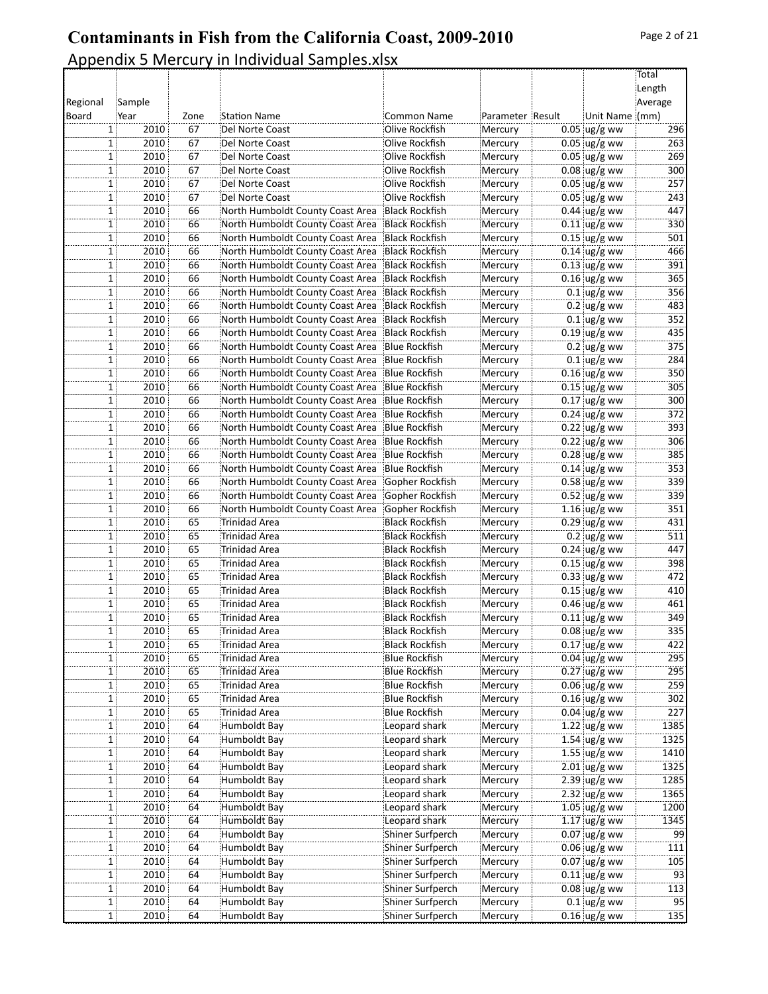|          |                      |          |                                  |                       |                  |                                  | Total     |
|----------|----------------------|----------|----------------------------------|-----------------------|------------------|----------------------------------|-----------|
|          |                      |          |                                  |                       |                  |                                  | Length    |
| Regional | Sample               |          |                                  |                       |                  |                                  | Average   |
| Board    | Year                 | Zone     | <b>Station Name</b>              | Common Name           | Parameter Result | Unit Name (mm)                   |           |
|          | 2010<br>$\mathbf{1}$ | 67       | Del Norte Coast                  | Olive Rockfish        | Mercury          | $0.05$ ug/g ww                   | 296       |
|          | 2010<br>$\mathbf{1}$ | 67       | Del Norte Coast                  | Olive Rockfish        | Mercury          | $0.05$ ug/g ww                   | 263       |
|          | 2010<br>1            | 67       | Del Norte Coast                  | Olive Rockfish        | Mercury          | $0.05$ ug/g ww                   | 269       |
|          | 2010<br>$1$ :        | 67       | Del Norte Coast                  | Olive Rockfish        | Mercury          | $0.08$ ug/g ww                   | 300       |
|          | 2010<br>$\mathbf{1}$ | 67       | Del Norte Coast                  | Olive Rockfish        | Mercury          | $0.05$ ug/g ww                   | 257       |
|          | 2010<br>1            | 67       | Del Norte Coast                  | Olive Rockfish        | Mercury          | $0.05$ ug/g ww                   | 243       |
|          | 2010<br>$\mathbf{1}$ | 66       | North Humboldt County Coast Area | <b>Black Rockfish</b> | Mercury          | $0.44$ ug/g ww                   | 447       |
|          | 2010<br>$\mathbf{1}$ | 66       | North Humboldt County Coast Area | <b>Black Rockfish</b> | Mercury          | $0.11$ ug/g ww                   | 330       |
|          | $1$ :<br>2010        | 66       | North Humboldt County Coast Area | Black Rockfish        | Mercury          | $0.15$ ug/g ww                   | 501       |
|          | 2010<br>$\mathbf{1}$ | 66       | North Humboldt County Coast Area | <b>Black Rockfish</b> | Mercury          | $0.14$ ug/g ww                   | 466       |
|          | 2010<br>1            | 66       | North Humboldt County Coast Area | Black Rockfish        | Mercury          | $0.13$ ug/g ww                   | 391       |
|          | 2010<br>$\mathbf{1}$ | 66       | North Humboldt County Coast Area | <b>Black Rockfish</b> | Mercury          | $0.16$ ug/g ww                   | 365       |
|          | 2010<br>1            | 66       | North Humboldt County Coast Area | Black Rockfish        | Mercury          | $0.1$ ug/g ww                    | 356       |
|          | 2010<br>$1$ :        | 66       | North Humboldt County Coast Area | Black Rockfish!       | Mercury          | $0.2 \,$ ug/g ww                 | 483       |
|          | 2010<br>$\mathbf{1}$ | 66       | North Humboldt County Coast Area | Black Rockfish        | Mercury          | $0.1$ ug/g ww                    | 352       |
|          | 2010<br>1            | 66       | North Humboldt County Coast Area | Black Rockfish        | Mercury          | $0.19$ ug/g ww                   | 435       |
|          | 2010<br>$\mathbf{1}$ | 66       | North Humboldt County Coast Area | Blue Rockfish!        | Mercury          | $0.2$ ug/g ww                    | 375       |
|          | 2010<br>1            | 66       | North Humboldt County Coast Area | Blue Rockfish         | Mercury          | $0.1$ ug/g ww                    | 284       |
|          | $1$ :<br>2010        | 66       | North Humboldt County Coast Area | <b>Blue Rockfish</b>  | Mercury          | $0.16$ ug/g ww                   | 350       |
|          | 2010<br>$\mathbf{1}$ | 66       | North Humboldt County Coast Area | <b>Blue Rockfish</b>  | Mercury          | $0.15$ ug/g ww                   | 305       |
|          | 2010<br>1            | 66       | North Humboldt County Coast Area | Blue Rockfish         | Mercury          | $0.17$ ug/g ww                   | 300       |
|          | 2010<br>$\mathbf{1}$ | 66       | North Humboldt County Coast Area | <b>Blue Rockfish</b>  | Mercury          | $0.24$ ug/g ww                   | 372       |
|          | 2010<br>$\mathbf{1}$ | 66       | North Humboldt County Coast Area | <b>Blue Rockfish</b>  | Mercury          | $0.22$ ug/g ww                   | 393       |
|          | 2010<br>$1$ :        | 66       | North Humboldt County Coast Area | Blue Rockfish         | Mercury          | $0.22$ ug/g ww                   | 306       |
|          | 2010<br>$\mathbf{1}$ | 66       | North Humboldt County Coast Area | <b>Blue Rockfish</b>  | Mercury          | $0.28$ ug/g ww                   | 385       |
|          | 2010<br>1            | 66       | North Humboldt County Coast Area | Blue Rockfish         | Mercury          | $0.14$ ug/g ww                   | 353       |
|          | 2010<br>$\mathbf{1}$ | 66       | North Humboldt County Coast Area | Gopher Rockfish       | Mercury          | $0.58$ ug/g ww                   | 339       |
|          | 2010<br>$\mathbf{1}$ | 66       | North Humboldt County Coast Area | Gopher Rockfish       | Mercury          | $0.52$ ug/g ww                   | 339       |
|          | $\mathbf{1}$<br>2010 | 66       | North Humboldt County Coast Area | Gopher Rockfish       | Mercury          | $1.16$ ug/g ww                   | 351       |
|          | 2010<br>1            | 65       | <b>Trinidad Area</b>             | <b>Black Rockfish</b> | Mercury          | $0.29$ ug/g ww                   | 431       |
|          | 2010<br>1            | 65       | Trinidad Area                    | <b>Black Rockfish</b> | Mercury          | $0.2$ ug/g ww                    | 511       |
|          | 2010<br>1            | 65       | Trinidad Area                    | <b>Black Rockfish</b> | Mercury          | $0.24$ ug/g ww                   | 447       |
|          | 2010<br>1            | 65       | Trinidad Area                    | <b>Black Rockfish</b> | Mercury          | $0.15$ ug/g ww                   | 398       |
|          | 2010<br>$1$ :        | 65       | Trinidad Area                    | <b>Black Rockfish</b> | Mercury          | $0.33$ ug/g ww                   | 472       |
|          | 2010<br>$\mathbf{1}$ | 65       | <b>Trinidad Area</b>             | <b>Black Rockfish</b> | Mercury          | $0.15$ ug/g ww                   | 410       |
|          | 1<br>2010            | 65       | Trinidad Area                    | <b>Black Rockfish</b> | Mercury          | $0.46$ ug/g ww                   | 461       |
|          | 2010<br>$\mathbf{1}$ | 65       | Trinidad Area                    | <b>Black Rockfish</b> | Mercury          | $0.11$ ug/g ww                   | 349       |
|          | 2010<br>$1$ :        | 65       | Trinidad Area                    | Black Rockfish        | Mercury          | $0.08 \, \text{ug/g}$ ww         | 335       |
|          | 2010<br>$1$ :        | 65       | Trinidad Area                    | Black Rockfish!       | Mercury          | $0.17$ ug/g ww                   | 422       |
|          | 2010<br>$\mathbf{1}$ | 65       | Trinidad Area                    | Blue Rockfish         | Mercury          | $0.04$ ug/g ww                   | 295       |
|          | 2010<br>$\mathbf{1}$ | 65       | Trinidad Area                    | <b>Blue Rockfish</b>  | Mercury          | $0.27$ ug/g ww                   | 295       |
|          | 2010<br>$\mathbf{1}$ | 65       | Trinidad Area                    | <b>Blue Rockfish</b>  | Mercury          | $0.06$ ug/g ww                   | 259       |
|          | 2010<br>$\mathbf{1}$ | 65       | Trinidad Area                    | Blue Rockfish         | Mercury          | $0.16$ ug/g ww                   | 302       |
|          | 2010<br>$1$ :        | 65       | Trinidad Area                    | Blue Rockfish         | Mercury          | $0.04$ ug/g ww                   | 227       |
|          | 2010<br>$\mathbf{1}$ | 64       | Humboldt Bay                     | Leopard shark         | Mercury          | $1.22$ ug/g ww                   | 1385      |
|          | 2010<br>$\mathbf{1}$ | 64       | Humboldt Bay                     | Leopard shark         | Mercury          | 1.54 $\log/g$ ww                 | 1325      |
|          | 2010<br>$\mathbf{1}$ | 64       | Humboldt Bay                     | Leopard shark         | Mercury          | 1.55 $\log/g$ ww                 | 1410      |
|          | 2010<br>$1$ :        | 64       | Humboldt Bay                     | Leopard shark         | Mercury          | $2.01$ ug/g ww                   | 1325      |
|          | 2010<br>$1$ :        | 64       | Humboldt Bay                     | Leopard shark         | Mercury          | $2.39$ ug/g ww                   | 1285      |
|          | 2010<br>1:           | 64       | Humboldt Bay                     | Leopard shark         | Mercury          | $2.32$ ug/g ww                   | 1365      |
|          | 2010<br>$\mathbf{1}$ | 64       | Humboldt Bay                     | Leopard shark         | Mercury          | $1.05$ ug/g ww                   | 1200      |
|          | 2010<br>$\mathbf{1}$ | 64       | Humboldt Bay                     | Leopard shark         | Mercury          | $1.17$ ug/g ww                   | 1345      |
|          | 2010<br>$\mathbf{1}$ | 64       | Humboldt Bay                     | Shiner Surfperch      | Mercury          | $0.07$ ug/g ww                   | 99        |
|          | 2010<br>1            | 64       | Humboldt Bay                     | Shiner Surfperch      | Mercury          | $0.06$ ug/g ww                   | 111       |
|          |                      |          |                                  |                       |                  | $0.07$ ug/g ww                   |           |
|          | 2010<br>$\mathbf{1}$ | 64       | Humboldt Bay                     | Shiner Surfperch      | Mercury          |                                  | 105       |
|          | 2010<br>1<br>2010    | 64<br>64 | Humboldt Bay                     | Shiner Surfperch      | Mercury          | $0.11$ ug/g ww<br>$0.08$ ug/g ww | 93<br>113 |
|          | $1$ :                | 64       | Humboldt Bay                     | Shiner Surfperch      | Mercury          | $0.1$ ug/g ww                    | 95        |
|          | 2010<br>$1$ :        |          | Humboldt Bay                     | Shiner Surfperch      | Mercury          |                                  |           |
|          | 1<br>2010            | 64       | Humboldt Bay                     | Shiner Surfperch      | Mercury          | $0.16$ ug/g ww                   | 135       |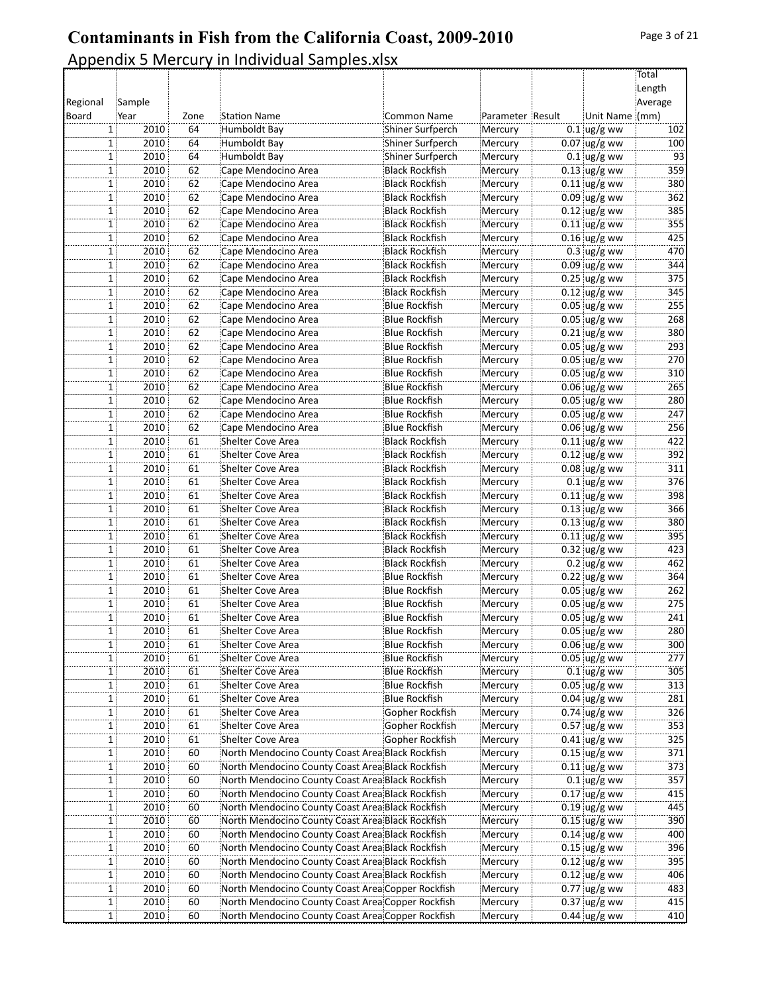|          |                                     |            |                                                   |                       |                    |                                  | Total<br>Length |
|----------|-------------------------------------|------------|---------------------------------------------------|-----------------------|--------------------|----------------------------------|-----------------|
| Regional |                                     |            |                                                   |                       |                    |                                  | Average         |
| Board    | Sample<br>Year                      |            | <b>Station Name</b>                               | <b>Common Name</b>    |                    | Unit Name (mm)                   |                 |
|          |                                     | Zone<br>64 | Humboldt Bay                                      | Shiner Surfperch      | Parameter Result   |                                  | 102             |
|          | 2010<br>1  <br>2010<br>$\mathbf{1}$ | 64         | Humboldt Bay                                      | Shiner Surfperch      | Mercury<br>Mercury | $0.1$ ug/g ww<br>$0.07$ ug/g ww  | 100             |
|          | 2010<br>$\mathbf{1}$                | 64         | Humboldt Bay                                      | Shiner Surfperch      | Mercury            | $0.1$ ug/g ww                    | 93              |
|          | 2010<br>1                           | 62         | Cape Mendocino Area                               | Black Rockfish!       |                    | $0.13$ ug/g ww                   | 359             |
|          |                                     |            |                                                   |                       | Mercury            |                                  | 380             |
|          | 2010<br>1                           | 62         | Cape Mendocino Area                               | <b>Black Rockfish</b> | Mercury            | $0.11$ ug/g ww                   |                 |
|          | 2010<br>$\mathbf{1}$<br>2010        | 62<br>62   | Cape Mendocino Area                               | <b>Black Rockfish</b> | Mercury            | $0.09$ ug/g ww<br>$0.12$ ug/g ww | 362<br>385      |
|          | 1                                   |            | Cape Mendocino Area                               | <b>Black Rockfish</b> | Mercury            |                                  |                 |
|          | 2010<br>$\mathbf{1}$                | 62         | Cape Mendocino Area                               | <b>Black Rockfish</b> | Mercury            | $0.11$ ug/g ww                   | 355             |
|          | 2010<br>1                           | 62         | Cape Mendocino Area                               | <b>Black Rockfish</b> | Mercury            | $0.16$ ug/g ww                   | 425             |
|          | 2010<br>1                           | 62         | Cape Mendocino Area                               | <b>Black Rockfish</b> | Mercury            | $0.3 \,$ ug/g ww                 | 470             |
|          | 2010<br>1                           | 62         | Cape Mendocino Area                               | <b>Black Rockfish</b> | Mercury            | $0.09$ ug/g ww                   | 344             |
|          | 2010<br>1                           | 62         | Cape Mendocino Area                               | <b>Black Rockfish</b> | Mercury            | $0.25$ ug/g ww                   | 375             |
|          | 2010<br>1                           | 62         | Cape Mendocino Area                               | <b>Black Rockfish</b> | Mercury            | $0.12$ ug/g ww                   | 345             |
|          | 2010<br>1                           | 62         | Cape Mendocino Area                               | Blue Rockfish         | Mercury            | $0.05$ ug/g ww                   | 255             |
|          | 2010<br>1                           | 62         | Cape Mendocino Area                               | <b>Blue Rockfish</b>  | Mercury            | $0.05$ ug/g ww                   | 268             |
|          | 2010<br>1                           | 62         | Cape Mendocino Area                               | <b>Blue Rockfish</b>  | Mercury            | $0.21$ ug/g ww                   | 380             |
|          | 2010<br>1                           | 62         | Cape Mendocino Area                               | <b>Blue Rockfish</b>  | Mercury            | $0.05$ ug/g ww                   | 293             |
|          | 2010<br>1                           | 62         | Cape Mendocino Area                               | <b>Blue Rockfish</b>  | Mercury            | $0.05$ ug/g ww                   | 270             |
|          | 2010<br>1                           | 62         | Cape Mendocino Area                               | Blue Rockfish         | Mercury            | $0.05$ ug/g ww                   | 310             |
|          | 2010<br>1                           | 62         | Cape Mendocino Area                               | <b>Blue Rockfish</b>  | Mercury            | $0.06$ ug/g ww                   | 265             |
|          | 2010<br>1                           | 62         | Cape Mendocino Area                               | Blue Rockfish         | Mercury            | $0.05$ ug/g ww                   | 280             |
|          | 2010<br>1                           | 62         | Cape Mendocino Area                               | <b>Blue Rockfish</b>  | Mercury            | $0.05$ ug/g ww                   | 247             |
|          | 2010<br>1                           | 62         | Cape Mendocino Area                               | <b>Blue Rockfish</b>  | Mercury            | $0.06$ ug/g ww                   | 256             |
|          | 2010<br>1                           | 61         | Shelter Cove Area                                 | <b>Black Rockfish</b> | Mercury            | $0.11$ ug/g ww                   | 422             |
|          | 2010<br>1                           | 61         | Shelter Cove Area                                 | <b>Black Rockfish</b> | Mercury            | $0.12$ ug/g ww                   | 392             |
|          | 2010<br>1                           | 61         | Shelter Cove Area                                 | <b>Black Rockfish</b> | Mercury            | $0.08$ ug/g ww                   | 311             |
|          | 2010<br>1                           | 61         | Shelter Cove Area                                 | <b>Black Rockfish</b> | Mercury            | $0.1$ ug/g ww                    | 376             |
|          | 2010<br>$\mathbf{1}$                | 61         | Shelter Cove Area                                 | <b>Black Rockfish</b> | Mercury            | $0.11$ ug/g ww                   | 398             |
|          | 2010<br>1                           | 61         | Shelter Cove Area                                 | Black Rockfish!       | Mercury            | $0.13$ ug/g ww                   | 366             |
|          | 2010<br>1                           | 61         | Shelter Cove Area                                 | <b>Black Rockfish</b> | Mercury            | $0.13$ ug/g ww                   | 380             |
|          | 2010<br>1                           | 61         | Shelter Cove Area                                 | <b>Black Rockfish</b> | Mercury            | $0.11$ ug/g ww                   | 395             |
|          | 2010<br>1                           | 61         | Shelter Cove Area                                 | <b>Black Rockfish</b> | Mercury            | $0.32$ ug/g ww                   | 423             |
|          | 2010<br>1                           | 61         | Shelter Cove Area                                 | <b>Black Rockfish</b> | Mercury            | $0.2$ ug/g ww                    | 462             |
|          | 2010<br>1                           | 61         | Shelter Cove Area                                 | <b>Blue Rockfish</b>  | Mercury            | $0.22$ ug/g ww                   | 364             |
|          | 2010<br>1                           | 61         | Shelter Cove Area                                 | <b>Blue Rockfish</b>  | Mercury            | $0.05$ ug/g ww                   | 262             |
|          | 2010<br>1                           | 61         | Shelter Cove Area                                 | <b>Blue Rockfish</b>  | Mercury            | $0.05$ ug/g ww                   | 275             |
|          | 2010<br>1                           | 61         | Shelter Cove Area                                 | <b>Blue Rockfish</b>  | Mercury            | $0.05$ ug/g ww                   | 241             |
|          | 2010<br>$\mathbf{1}$                | 61         | Shelter Cove Area                                 | <b>Blue Rockfish</b>  | Mercury            | $0.05$ ug/g ww                   | 280             |
|          | 2010<br>1                           | 61         | Shelter Cove Area                                 | Blue Rockfish!        | Mercury            | $0.06$ ug/g ww                   | 300             |
|          | 2010<br>1                           | 61         | Shelter Cove Area                                 | <b>Blue Rockfish</b>  | Mercury            | $0.05$ ug/g ww                   | 277             |
|          | 2010<br>$1$ :                       | 61         | Shelter Cove Area                                 | <b>Blue Rockfish</b>  | Mercury            | $0.1$ ug/g ww                    | 305             |
|          | 2010<br>1                           | 61         | Shelter Cove Area                                 | <b>Blue Rockfish</b>  | Mercury            | $0.05$ ug/g ww                   | 313             |
|          | 2010<br>1                           | 61         | Shelter Cove Area                                 | Blue Rockfish         | Mercury            | $0.04$ ug/g ww                   | 281             |
|          | 2010<br>1                           | 61         | Shelter Cove Area                                 | Gopher Rockfish       | Mercury            | $0.74$ ug/g ww                   | 326             |
|          | 2010<br>1                           | 61         | Shelter Cove Area                                 | Gopher Rockfish       | Mercury            | $0.57$ ug/g ww                   | 353             |
|          | 2010<br>1                           | 61         | Shelter Cove Area                                 | Gopher Rockfish       | Mercury            | $0.41$ ug/g ww                   | 325             |
|          | 2010<br>1                           | 60         | North Mendocino County Coast Area Black Rockfish  |                       | Mercury            | $0.15$ ug/g ww                   | 371             |
|          | 2010<br>$\mathbf{1}$                | 60         | North Mendocino County Coast Area Black Rockfish  |                       | Mercury            | $0.11$ ug/g ww                   | 373             |
|          | 2010<br>1                           | 60         | North Mendocino County Coast Area Black Rockfish  |                       | Mercury            | $0.1$ ug/g ww                    | 357             |
|          | 2010<br>1                           | 60         | North Mendocino County Coast Area Black Rockfish  |                       | Mercury            | $0.17$ ug/g ww                   | 415             |
|          | 2010                                | 60         | North Mendocino County Coast Area Black Rockfish  |                       | Mercury            | $0.19$ ug/g ww                   | 445             |
|          | $\mathbf{1}$<br>2010<br>1           | 60         | North Mendocino County Coast Area Black Rockfish  |                       | Mercury            | $0.15$ ug/g ww                   | 390             |
|          |                                     | 60         |                                                   |                       |                    |                                  | 400             |
|          | 2010<br>1                           |            | North Mendocino County Coast Area Black Rockfish  |                       | Mercury            | $0.14$ ug/g ww                   |                 |
|          | 2010<br>1                           | 60         | North Mendocino County Coast Area Black Rockfish  |                       | Mercury            | $0.15$ ug/g ww                   | 396             |
|          | 2010<br>1                           | 60         | North Mendocino County Coast Area Black Rockfish  |                       | Mercury            | $0.12$ ug/g ww                   | 395             |
|          | 2010<br>$\mathbf{1}$                | 60         | North Mendocino County Coast Area Black Rockfish  |                       | Mercury            | $0.12$ ug/g ww                   | 406             |
|          | 2010<br>1                           | 60         | North Mendocino County Coast Area Copper Rockfish |                       | Mercury            | $0.77$ ug/g ww                   | 483             |
|          | 2010<br>$\mathbf{1}$                | 60         | North Mendocino County Coast Area Copper Rockfish |                       | Mercury            | $0.37$ ug/g ww                   | 415             |
|          | 2010<br>1                           | 60         | North Mendocino County Coast Area Copper Rockfish |                       | Mercury            | $0.44$ ug/g ww                   | 410             |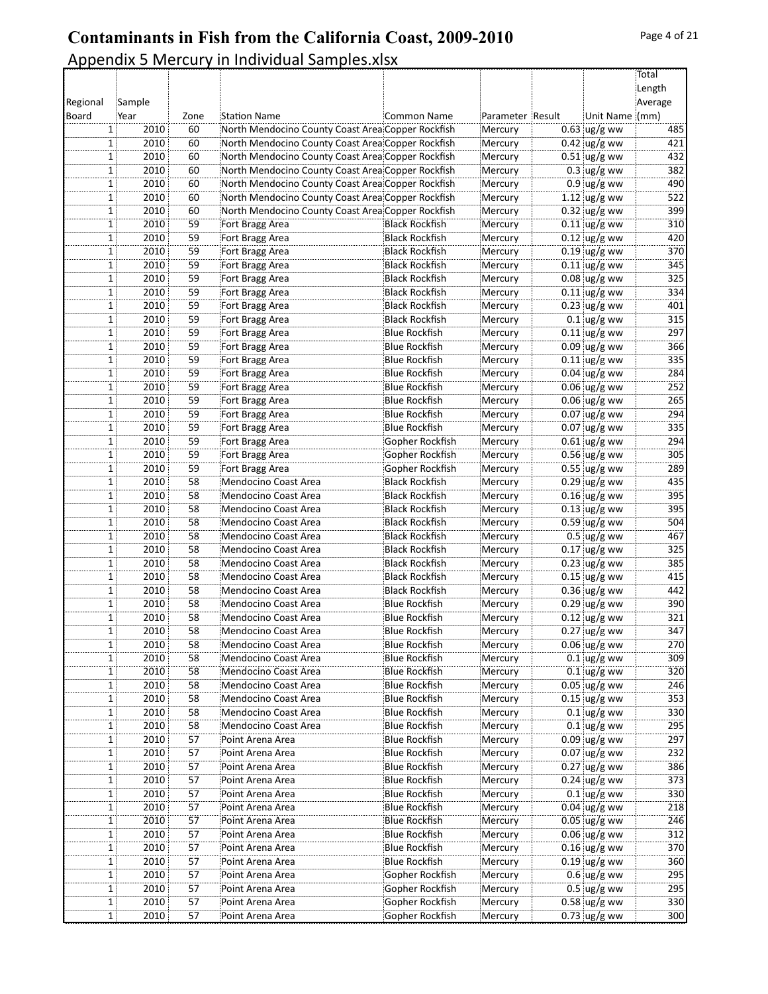|          |                      |      |                                                   |                       |                  |                          | Total   |
|----------|----------------------|------|---------------------------------------------------|-----------------------|------------------|--------------------------|---------|
|          |                      |      |                                                   |                       |                  |                          | Length  |
| Regional | Sample               |      |                                                   |                       |                  |                          | Average |
| Board    | Year                 | Zone | <b>Station Name</b>                               | Common Name           | Parameter Result | Unit Name (mm)           |         |
|          | 2010<br>1            | 60   | North Mendocino County Coast Area Copper Rockfish |                       | Mercury          | $0.63$ ug/g ww           | 485     |
|          | 2010<br>1            | 60   | North Mendocino County Coast Area Copper Rockfish |                       | Mercury          | $0.42$ ug/g ww           | 421     |
|          | 2010<br>1            | 60   | North Mendocino County Coast Area Copper Rockfish |                       | Mercury          | $0.51$ ug/g ww           | 432     |
|          | 2010<br>1            | 60   | North Mendocino County Coast Area Copper Rockfish |                       | Mercury          | $0.3$ ug/g ww            | 382     |
|          | 2010<br>1            | 60   | North Mendocino County Coast Area Copper Rockfish |                       | Mercury          | $0.9$ ug/g ww            | 490     |
|          | 2010<br>$\mathbf{1}$ | 60   | North Mendocino County Coast Area Copper Rockfish |                       | Mercury          | 1.12 $\log/g$ ww         | 522     |
|          | 2010<br>1            | 60   | North Mendocino County Coast Area Copper Rockfish |                       | Mercury          | $0.32$ ug/g ww           | 399     |
|          | 2010<br>1            | 59   | Fort Bragg Area                                   | <b>Black Rockfish</b> | Mercury          | $0.11$ ug/g ww           | 310     |
|          | 2010<br>1            | 59   | Fort Bragg Area                                   | <b>Black Rockfish</b> | Mercury          | $0.12$ ug/g ww           | 420     |
|          | 2010<br>$\mathbf{1}$ | 59   | Fort Bragg Area                                   | Black Rockfish        | Mercury          | $0.19$ ug/g ww           | 370     |
|          | 2010<br>1            | 59   | Fort Bragg Area                                   | <b>Black Rockfish</b> | Mercury          | $0.11$ ug/g ww           | 345     |
|          | 2010<br>1            | 59   | Fort Bragg Area                                   | <b>Black Rockfish</b> | Mercury          | $0.08$ ug/g ww           | 325     |
|          | 2010<br>$\mathbf{1}$ | 59   | Fort Bragg Area                                   | <b>Black Rockfish</b> | Mercury          | $0.11$ ug/g ww           | 334     |
|          | 2010<br>1            | 59   | Fort Bragg Area                                   | Black Rockfish        | Mercury          | $0.23$ ug/g ww           | 401     |
|          | 2010<br>1            | 59   | Fort Bragg Area                                   | <b>Black Rockfish</b> | Mercury          | $0.1$ ug/g ww            | 315     |
|          | 2010<br>$\mathbf{1}$ | 59   | Fort Bragg Area                                   | Blue Rockfish         | Mercury          | $0.11$ ug/g ww           | 297     |
|          | 2010<br>1            | 59   | Fort Bragg Area                                   | <b>Blue Rockfish</b>  | Mercury          | $0.09$ ug/g ww           | 366     |
|          | 2010<br>$\mathbf{1}$ | 59   | Fort Bragg Area                                   | Blue Rockfish         | Mercury          | $0.11$ ug/g ww           | 335     |
|          | 2010<br>1            | 59   | Fort Bragg Area                                   | <b>Blue Rockfish</b>  | Mercury          | $0.04 \,$ ug/g ww        | 284     |
|          | 2010<br>$\mathbf{1}$ | 59   | Fort Bragg Area                                   | <b>Blue Rockfish</b>  | Mercury          | $0.06$ ug/g ww           | 252     |
|          | 2010<br>1            | 59   | Fort Bragg Area                                   | Blue Rockfish         | Mercury          | $0.06$ ug/g ww           | 265     |
|          | 2010<br>1            | 59   | Fort Bragg Area                                   | <b>Blue Rockfish</b>  | Mercury          | $0.07$ ug/g ww           | 294     |
|          | 2010<br>1            | 59   | Fort Bragg Area                                   | Blue Rockfish         | Mercury          | $0.07$ ug/g ww           | 335     |
|          | 2010<br>1            | 59   | Fort Bragg Area                                   | Gopher Rockfish       | Mercury          | $0.61$ ug/g ww           | 294     |
|          | 2010<br>1            | 59   | Fort Bragg Area                                   | Gopher Rockfish       | Mercury          | $0.56$ ug/g ww           | 305     |
|          | 2010<br>$\mathbf{1}$ | 59   | Fort Bragg Area                                   | Gopher Rockfish       | Mercury          | $0.55$ ug/g ww           | 289     |
|          | 2010<br>1            | 58   | Mendocino Coast Area                              | <b>Black Rockfish</b> | Mercury          | $0.29$ ug/g ww           | 435     |
|          | 2010<br>1            | 58   | Mendocino Coast Area                              | <b>Black Rockfish</b> | Mercury          | $0.16$ ug/g ww           | 395     |
|          | 2010<br>1            | 58   | Mendocino Coast Area                              | Black Rockfish        | Mercury          | $0.13$ ug/g ww           | 395     |
|          | 2010<br>$1$ :        | 58   | Mendocino Coast Area                              | Black Rockfish        | Mercury          | $0.59$ ug/g ww           | 504     |
|          | 2010<br>$\mathbf{1}$ | 58   | Mendocino Coast Area                              | <b>Black Rockfish</b> | Mercury          | $0.5$ ug/g ww            | 467     |
|          | 2010<br>1            | 58   | Mendocino Coast Area                              | <b>Black Rockfish</b> | Mercury          | $0.17$ ug/g ww           | 325     |
|          | 2010<br>1            | 58   | Mendocino Coast Area                              | <b>Black Rockfish</b> | Mercury          | $0.23$ ug/g ww           | 385     |
|          | 2010<br>1            | 58   | Mendocino Coast Area                              | Black Rockfish        | Mercury          | $0.15$ ug/g ww           | 415     |
|          | 2010<br>1            | 58   | Mendocino Coast Area                              | Black Rockfish        | Mercury          | $0.36$ ug/g ww           | 442     |
|          | 2010<br>$\mathbf{1}$ | 58   | Mendocino Coast Area                              | Blue Rockfish         | Mercury          | $0.29$ ug/g ww           | 390     |
|          | 2010<br>1            | 58   | Mendocino Coast Area                              | <b>Blue Rockfish</b>  | Mercury          | $0.12$ ug/g ww           | 321     |
|          | 2010<br>1            | 58   | Mendocino Coast Area                              | <b>Blue Rockfish</b>  | Mercury          | $0.27$ ug/g ww           | 347     |
|          | 1<br>2010            | 58   | Mendocino Coast Area                              | Blue Rockfish         | Mercury          | $0.06$ ug/g ww           | 270     |
|          | 2010<br>11           | 58   | Mendocino Coast Area                              | Blue Rockfish         | Mercury          | $0.1$ ug/g ww            | 309     |
|          | 2010<br>$1$ ;        | 58   | Mendocino Coast Area                              | <b>Blue Rockfish</b>  | Mercury          | $0.1$ ug/g ww            | 320     |
|          | 2010<br>1            | 58   | Mendocino Coast Area                              | <b>Blue Rockfish</b>  | Mercury          | $0.05$ ug/g ww           | 246     |
|          | 2010<br>$\mathbf{1}$ | 58   | Mendocino Coast Area                              | <b>Blue Rockfish</b>  | Mercury          | $0.15$ ug/g ww           | 353     |
|          | 2010<br>1            | 58   | Mendocino Coast Area                              | Blue Rockfish         | Mercury          | $0.1$ ug/g ww            | 330     |
|          | 2010<br>$1$ :        | 58   | Mendocino Coast Area                              | Blue Rockfish         | Mercury          | $0.1$ ug/g ww            | 295     |
|          | 2010<br>$\mathbf{1}$ | 57   | Point Arena Area                                  | <b>Blue Rockfish</b>  | Mercury          | $0.09$ ug/g ww           | 297     |
|          | 2010<br>1            | 57   | Point Arena Area                                  | <b>Blue Rockfish</b>  | Mercury          | $0.07$ ug/g ww           | 232     |
|          | 2010<br>1            | 57   | Point Arena Area                                  | Blue Rockfish         | Mercury          | $0.27$ ug/g ww           | 386     |
|          | 2010<br>1            | 57   | Point Arena Area                                  | <b>Blue Rockfish</b>  | Mercury          | $0.24$ ug/g ww           | 373     |
|          | 2010<br>$\mathbf{1}$ | 57   | Point Arena Area                                  | <b>Blue Rockfish</b>  | Mercury          | $0.1$ ug/g ww            | 330     |
|          | 2010<br>1            | 57   | Point Arena Area                                  | <b>Blue Rockfish</b>  | Mercury          | $0.04$ ug/g ww           | 218     |
|          | 2010<br>1            | 57   | Point Arena Area                                  | <b>Blue Rockfish</b>  | Mercury          | $0.05$ ug/g ww           | 246     |
|          | 2010<br>$\mathbf{1}$ | 57   | Point Arena Area                                  | Blue Rockfish         | Mercury          | $0.06$ ug/g ww           | 312     |
|          | 2010<br>1            | 57   | Point Arena Area                                  | Blue Rockfish         | Mercury          | $0.16$ ug/g ww           | 370     |
|          | 2010<br>1:           | 57   | Point Arena Area                                  | Blue Rockfish         | Mercury          | $0.19$ ug/g ww           | 360     |
|          | 2010<br>$\mathbf{1}$ | 57   | Point Arena Area                                  | Gopher Rockfish       | Mercury          | $0.6 \, \upmu g/g$ ww    | 295     |
|          | 2010<br>$\mathbf{1}$ | 57   | Point Arena Area                                  | Gopher Rockfish       | Mercury          | $0.5$ ug/g ww            | 295     |
|          | 2010<br>1            | 57   | Point Arena Area                                  | Gopher Rockfish       | Mercury          | $0.58 \, \text{ug/g}$ ww | 330     |
|          | 2010<br>1            | 57   | Point Arena Area                                  | Gopher Rockfish       | Mercury          | $0.73$ ug/g ww           | 300     |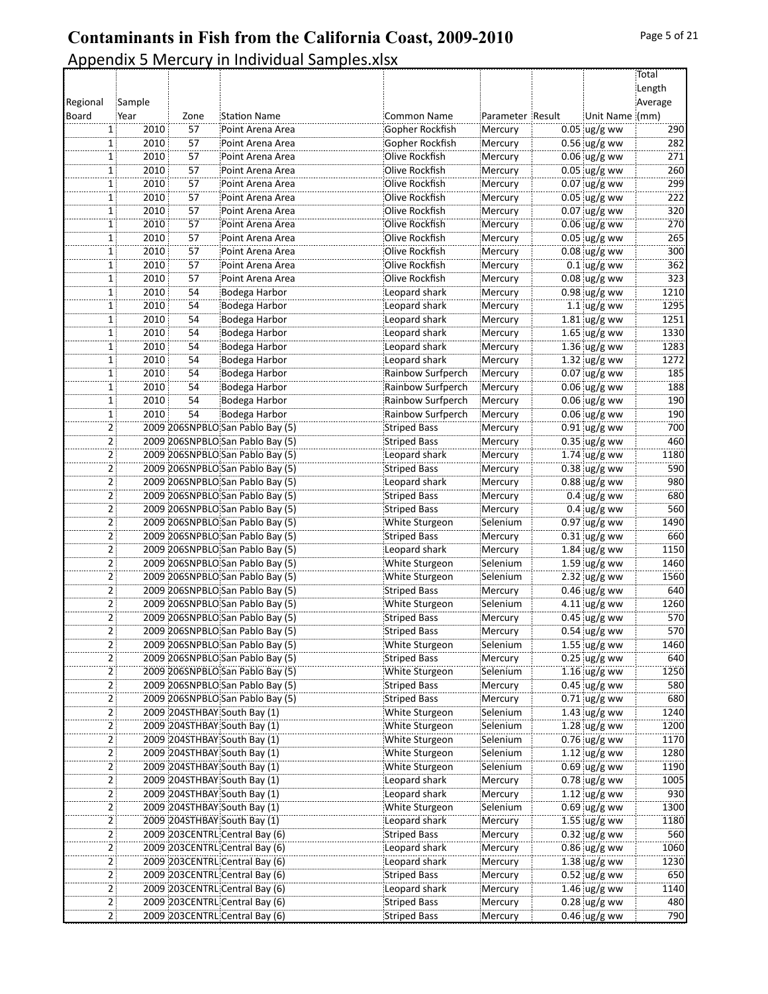|                |        |      |                                  |                     |                  |                                  | Total   |
|----------------|--------|------|----------------------------------|---------------------|------------------|----------------------------------|---------|
|                |        |      |                                  |                     |                  |                                  | Length  |
| Regional       | Sample |      |                                  |                     |                  |                                  | Average |
| Board          | Year   | Zone | <b>Station Name</b>              | <b>Common Name</b>  | Parameter Result | Unit Name (mm)                   |         |
| $1$ :          | 2010   | 57   | Point Arena Area                 | Gopher Rockfish     | Mercury          | $0.05$ ug/g ww                   | 290     |
| $\mathbf{1}$   | 2010   | 57   | Point Arena Area                 | Gopher Rockfish     | Mercury          | $0.56$ ug/g ww                   | 282     |
| 1              | 2010   | 57   | Point Arena Area                 | Olive Rockfish      | Mercury          | $0.06$ ug/g ww                   | 271     |
| 1              | 2010   | 57   | Point Arena Area                 | Olive Rockfish      | Mercury          | $0.05$ ug/g ww                   | 260     |
| $\mathbf{1}$   | 2010   | 57   | Point Arena Area                 | Olive Rockfish      | Mercury          | $0.07$ ug/g ww                   | 299     |
| 1 !            | 2010   | 57   | Point Arena Area                 | Olive Rockfish      | Mercury          | $0.05$ ug/g ww                   | 222     |
| $\mathbf{1}$   | 2010   | 57   | Point Arena Area                 | Olive Rockfish      | Mercury          | $0.07$ ug/g ww                   | 320     |
| 1              | 2010   | 57   | Point Arena Area                 | Olive Rockfish      | Mercury          |                                  | 270     |
| 1              | 2010   | 57   | Point Arena Area                 | Olive Rockfish      |                  | $0.06$ ug/g ww<br>$0.05$ ug/g ww | 265     |
|                |        |      |                                  |                     | Mercury          |                                  |         |
| $\mathbf{1}$   | 2010   | 57   | Point Arena Area                 | Olive Rockfish      | Mercury          | $0.08$ ug/g ww                   | 300     |
| 1 :            | 2010   | 57   | Point Arena Area                 | Olive Rockfish      | Mercury          | $0.1$ ug/g ww                    | 362     |
| $\mathbf{1}$   | 2010   | 57   | Point Arena Area                 | Olive Rockfish      | Mercury          | $0.08$ ug/g ww                   | 323     |
| $\mathbf{1}$   | 2010   | 54   | Bodega Harbor                    | Leopard shark       | Mercury          | $0.98$ ug/g ww                   | 1210    |
| 1              | 2010   | 54   | Bodega Harbor                    | Leopard shark       | Mercury          | $1.1$ ug/g ww                    | 1295    |
| 1              | 2010   | 54   | Bodega Harbor                    | Leopard shark       | Mercury          | $1.81$ ug/g ww                   | 1251    |
| 1 :            | 2010   | 54   | Bodega Harbor                    | Leopard shark       | Mercury          | $1.65$ ug/g ww                   | 1330    |
| 1 :            | 2010   | 54   | Bodega Harbor                    | Leopard shark       | Mercury          | $1.36$ ug/g ww                   | 1283    |
| 1              | 2010   | 54   | Bodega Harbor                    | Leopard shark       | Mercury          | 1.32 $\log/g$ ww                 | 1272    |
| 1              | 2010   | 54   | Bodega Harbor                    | Rainbow Surfperch   | Mercury          | $0.07$ ug/g ww                   | 185     |
| $\mathbf{1}$   | 2010   | 54   | Bodega Harbor                    | Rainbow Surfperch   | Mercury          | $0.06$ ug/g ww                   | 188     |
| $1$ :          | 2010   | 54   | Bodega Harbor                    | Rainbow Surfperch   | Mercury          | $0.06$ ug/g ww                   | 190     |
| $\mathbf{1}$   | 2010   | 54   | Bodega Harbor                    | Rainbow Surfperch   | Mercury          | $0.06$ ug/g ww                   | 190     |
| 2 :            |        |      | 2009 206SNPBLO San Pablo Bay (5) | Striped Bass        | Mercury          | $0.91$ ug/g ww                   | 700     |
| 2 <sup>1</sup> |        |      | 2009 206SNPBLO San Pablo Bay (5) | <b>Striped Bass</b> | Mercury          | $0.35$ ug/g ww                   | 460     |
| 2 :            |        |      | 2009 206SNPBLO San Pablo Bay (5) | Leopard shark       | Mercury          | 1.74 $\log/g$ ww                 | 1180    |
| 2              |        |      | 2009 206SNPBLO San Pablo Bay (5) | <b>Striped Bass</b> | Mercury          | $0.38$ ug/g ww                   | 590     |
| 2 :            |        |      | 2009 206SNPBLO San Pablo Bay (5) | Leopard shark       | Mercury          | $0.88$ ug/g ww                   | 980     |
| $\overline{2}$ |        |      | 2009 206SNPBLO San Pablo Bay (5) | Striped Bass        | Mercury          | $0.4 \, \upmu g/g$ ww            | 680     |
| 2:             |        |      | 2009 206SNPBLO San Pablo Bay (5) | <b>Striped Bass</b> | Mercury          | $0.4 \, \text{ug/g}$ ww          | 560     |
| 2:             |        |      | 2009 206SNPBLO San Pablo Bay (5) | White Sturgeon      | Selenium         | $0.97$ ug/g ww                   | 1490    |
|                |        |      |                                  |                     |                  |                                  |         |
| 2              |        |      | 2009 206SNPBLO San Pablo Bay (5) | <b>Striped Bass</b> | Mercury          | $0.31$ ug/g ww                   | 660     |
| 2 :            |        |      | 2009 206SNPBLO San Pablo Bay (5) | Leopard shark       | Mercury          | $1.84 \, \upmu g/g$ ww           | 1150    |
| 2 :            |        |      | 2009 206SNPBLO San Pablo Bay (5) | White Sturgeon      | Selenium         | $1.59$ ug/g ww                   | 1460    |
| 2 <sup>1</sup> |        |      | 2009 206SNPBLO San Pablo Bay (5) | White Sturgeon      | Selenium         | 2.32 $\log/g$ ww                 | 1560    |
| 2:             |        |      | 2009 206SNPBLO San Pablo Bay (5) | <b>Striped Bass</b> | Mercury          | $0.46$ ug/g ww                   | 640     |
| 2              |        |      | 2009 206SNPBLO San Pablo Bay (5) | White Sturgeon      | Selenium         | 4.11 $\log/g$ ww                 | 1260    |
| $\mathsf{2}$   |        |      | 2009 206SNPBLO San Pablo Bay (5) | <b>Striped Bass</b> | Mercury          | $0.45$ ug/g ww                   | 570     |
| $2\frac{1}{2}$ |        |      | 2009 206SNPBLO San Pablo Bay (5) | <b>Striped Bass</b> | Mercury          | $0.54$ ug/g ww                   | 570     |
| 2:             |        |      | 2009 206SNPBLO San Pablo Bay (5) | White Sturgeon      | Selenium         | 1.55 $\log/g$ ww                 | 1460    |
| 2 :            |        |      | 2009 206SNPBLO San Pablo Bay (5) | Striped Bass        | Mercury          | $0.25$ ug/g ww                   | 640     |
| $\mathbf{2}$   |        |      | 2009 206SNPBLO San Pablo Bay (5) | White Sturgeon      | Selenium         | $1.16$ ug/g ww                   | 1250    |
| 2 :            |        |      | 2009 206SNPBLO San Pablo Bay (5) | <b>Striped Bass</b> | Mercury          | $0.45$ ug/g ww                   | 580     |
| 2              |        |      | 2009 206SNPBLO San Pablo Bay (5) | Striped Bass        | Mercury          | $0.71$ ug/g ww                   | 680     |
| 2:             |        |      | 2009 204STHBAY South Bay (1)     | White Sturgeon      | Selenium         | 1.43 $\log/g$ ww                 | 1240    |
| 2 :            |        |      | 2009 204STHBAY South Bay (1)     | White Sturgeon      | Selenium         | $1.28 \,$ ug/g ww                | 1200    |
| 2 :            |        |      | 2009 204STHBAY South Bay (1)     | White Sturgeon      | Selenium         | $0.76$ ug/g ww                   | 1170    |
| 2.             |        |      | 2009 204STHBAY South Bay (1)     | White Sturgeon      | Selenium         | 1.12 $\log/g$ ww                 | 1280    |
| 2              |        |      | 2009 204STHBAY South Bay (1)     | White Sturgeon      | Selenium         | $0.69$ ug/g ww                   | 1190    |
| 2:             |        |      | 2009 204STHBAY South Bay (1)     | Leopard shark       | Mercury          | $0.78$ ug/g ww                   | 1005    |
| 2 :            |        |      | 2009 204STHBAY South Bay (1)     | Leopard shark       | Mercury          | $1.12$ ug/g ww                   | 930     |
| $\overline{2}$ |        |      | 2009 204STHBAY South Bay (1)     | White Sturgeon      | Selenium         | $0.69$ ug/g ww                   | 1300    |
| 2 :            |        |      | 2009 204STHBAY South Bay (1)     | Leopard shark       | Mercury          | $1.55$ ug/g ww                   | 1180    |
| 2              |        |      | 2009 203CENTRL Central Bay (6)   | Striped Bass        | Mercury          | $0.32$ ug/g ww                   | 560     |
| 2:             |        |      | 2009 203CENTRL Central Bay (6)   | Leopard shark       | Mercury          | $0.86$ ug/g ww                   | 1060    |
|                |        |      |                                  |                     |                  |                                  |         |
| 2:             |        |      | 2009 203CENTRL Central Bay (6)   | Leopard shark       | Mercury          | $1.38 \, \text{ug/g}$ ww         | 1230    |
| 2 :            |        |      | 2009 203CENTRL Central Bay (6)   | Striped Bass        | Mercury          | $0.52$ ug/g ww                   | 650     |
| 2 :            |        |      | 2009 203CENTRL Central Bay (6)   | Leopard shark       | Mercury          | 1.46 $\log/g$ ww                 | 1140    |
| 2              |        |      | 2009 203CENTRL Central Bay (6)   | Striped Bass        | Mercury          | $0.28$ ug/g ww                   | 480     |
| 2 <sup>1</sup> |        |      | 2009 203CENTRL Central Bay (6)   | Striped Bass        | Mercury          | $0.46$ ug/g ww                   | 790     |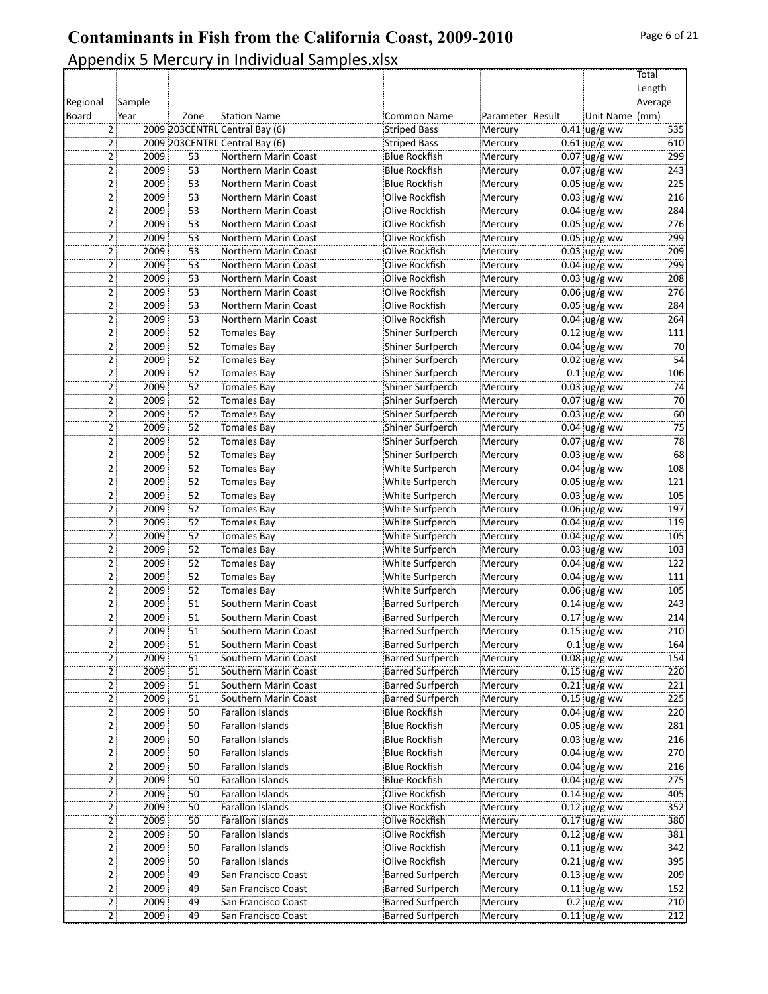|                     |        |                 |                                                                  |                                             |                    |                                  | Total      |
|---------------------|--------|-----------------|------------------------------------------------------------------|---------------------------------------------|--------------------|----------------------------------|------------|
|                     |        |                 |                                                                  |                                             |                    |                                  | Length     |
| Regional            | Sample |                 |                                                                  |                                             |                    |                                  | Average    |
| Board               | Year   | Zone            | <b>Station Name</b>                                              | <b>Common Name</b>                          | Parameter Result   | Unit Name (mm)                   |            |
| 2<br>$\overline{2}$ |        |                 | 2009 203CENTRL Central Bay (6)<br>2009 203CENTRL Central Bay (6) | Striped Bass                                | Mercury            | $0.41$ ug/g ww                   | 535        |
| $2^{\frac{1}{2}}$   | 2009   | 53              | Northern Marin Coast                                             | <b>Striped Bass</b><br><b>Blue Rockfish</b> | Mercury            | $0.61$ ug/g ww<br>$0.07$ ug/g ww | 610<br>299 |
| 2:                  | 2009   | 53              | Northern Marin Coast                                             | Blue Rockfish                               | Mercury            | $0.07$ ug/g ww                   | 243        |
| 2                   | 2009   | 53              |                                                                  | <b>Blue Rockfish</b>                        | Mercury            | $0.05$ ug/g ww                   | 225        |
|                     | 2009   | 53              | Northern Marin Coast<br>Northern Marin Coast                     | Olive Rockfish                              | Mercury            | $0.03$ ug/g ww                   | 216        |
| $\mathsf{2}\,$<br>2 | 2009   | 53              | Northern Marin Coast                                             | Olive Rockfish                              | Mercury<br>Mercury | $0.04$ ug/g ww                   | 284        |
| $\overline{2}$      | 2009   | 53              | Northern Marin Coast                                             | Olive Rockfish                              | Mercury            | $0.05$ ug/g ww                   | 276        |
| 2:                  | 2009   | 53              | Northern Marin Coast                                             | Olive Rockfish                              | Mercury            | $0.05$ ug/g ww                   | 299        |
| 2                   | 2009   | 53              | Northern Marin Coast                                             | Olive Rockfish                              | Mercury            | $0.03$ ug/g ww                   | 209        |
| $\overline{2}$      | 2009   | 53              | Northern Marin Coast                                             | Olive Rockfish                              | Mercury            | $0.04$ ug/g ww                   | 299        |
| $\overline{2}$      | 2009   | 53              | Northern Marin Coast                                             | Olive Rockfish                              | Mercury            | $0.03$ ug/g ww                   | 208        |
| 2 <sup>1</sup>      | 2009   | 53              | Northern Marin Coast                                             | Olive Rockfish                              | Mercury            | $0.06$ ug/g ww                   | 276        |
| 2:                  | 2009   | 53              | Northern Marin Coast                                             | Olive Rockfish                              | Mercury            | $0.05$ ug/g ww                   | 284        |
| 2.                  | 2009   | 53              | Northern Marin Coast                                             | Olive Rockfish                              | Mercury            | $0.04$ ug/g ww                   | 264        |
| $\overline{a}$      | 2009   | 52              | Tomales Bay                                                      | Shiner Surfperch                            | Mercury            | $0.12$ ug/g ww                   | 111        |
| $\overline{2}$      | 2009   | 52              | Tomales Bay                                                      | Shiner Surfperch                            | Mercury            | $0.04$ ug/g ww                   | 70         |
| $2^{\frac{1}{2}}$   | 2009   | 52              | Tomales Bay                                                      | Shiner Surfperch                            | Mercury            | $0.02$ ug/g ww                   | 54         |
| 2:                  | 2009   | 52              | Tomales Bay                                                      | Shiner Surfperch                            | Mercury            | $0.1$ ug/g ww                    | 106        |
| 2                   | 2009   | 52              | Tomales Bay                                                      | Shiner Surfperch                            | Mercury            | $0.03$ iug/g ww                  | 74         |
| $\mathbf{2}$        | 2009   | 52              | Tomales Bay                                                      | Shiner Surfperch                            | Mercury            | $0.07$ ug/g ww                   | 70         |
| 2                   | 2009   | 52              | Tomales Bay                                                      | Shiner Surfperch                            | Mercury            | $0.03$ ug/g ww                   | 60         |
| $2^{\frac{1}{2}}$   | 2009   | 52              | Tomales Bay                                                      | Shiner Surfperch                            | Mercury            | $0.04$ ug/g ww                   | 75         |
| 2 <sup>1</sup>      | 2009   | 52              | Tomales Bay                                                      | Shiner Surfperch                            | Mercury            | $0.07$ ug/g ww                   | 78         |
| 2                   | 2009   | 52              | Tomales Bay                                                      | Shiner Surfperch                            | Mercury            | $0.03$ ug/g ww                   | 68         |
| $\mathbf{2}$        | 2009   | 52              | Tomales Bay                                                      | White Surfperch                             | Mercury            | $0.04$ ug/g ww                   | 108        |
| 2                   | 2009   | 52              | Tomales Bay                                                      | White Surfperch                             | Mercury            | $0.05$ ug/g ww                   | 121        |
| $\overline{2}$      | 2009   | 52              | Tomales Bay                                                      | White Surfperch                             | Mercury            | $0.03$ ug/g ww                   | 105        |
| 2 <sup>1</sup>      | 2009   | 52              | Tomales Bay                                                      | White Surfperch                             | Mercury            | $0.06$ ug/g ww                   | 197        |
| 2                   | 2009   | 52              | Tomales Bay                                                      | White Surfperch                             | Mercury            | $0.04$ ug/g ww                   | 119        |
| $\overline{a}$      | 2009   | 52              | Tomales Bay                                                      | White Surfperch                             | Mercury            | $0.04$ ug/g ww                   | 105        |
| $\overline{2}$      | 2009   | 52              | Tomales Bay                                                      | White Surfperch                             | Mercury            | $0.03$ ug/g ww                   | 103        |
| 2:                  | 2009   | 52              | Tomales Bay                                                      | White Surfperch                             | Mercury            | $0.04$ ug/g ww                   | 122        |
| 2 <sup>1</sup>      | 2009   | 52              | Tomales Bay                                                      | White Surfperch                             | Mercury            | $0.04 \,$ ug/g ww                | 111        |
| 2.                  | 2009   | 52              | Tomales Bay                                                      | White Surfperch                             | Mercury            | $0.06$ ug/g ww                   | 105        |
| $\mathbf{2}$        | 2009   | 51              | Southern Marin Coast                                             | <b>Barred Surfperch</b>                     | Mercury            | $0.14$ ug/g ww                   | 243        |
| $\overline{2}$      | 2009   | 51              | Southern Marin Coast                                             | <b>Barred Surfperch</b>                     | Mercury            | $0.17$ ug/g ww                   | 214        |
| 2 :                 | 2009   | 51              | Southern Marin Coast                                             | <b>Barred Surfperch</b>                     | Mercury            | $0.15$ ug/g ww                   | 210        |
| 2:                  | 2009   | 51              | Southern Marin Coast                                             | Barred Surfperch                            | Mercury            | $0.1$ ug/g ww                    | 164        |
| 2                   | 2009   | 51              | Southern Marin Coast                                             | <b>Barred Surfperch</b>                     | Mercury            | $0.08 \, \text{Jg/g}$ ww         | 154        |
| $\mathsf{2}$        | 2009   | 51              | Southern Marin Coast                                             | Barred Surfperch                            | Mercury            | $0.15$ ug/g ww                   | 220        |
| 2                   | 2009   | $\overline{51}$ | Southern Marin Coast                                             | <b>Barred Surfperch</b>                     | Mercury            | $0.21$ ug/g ww                   | 221        |
| $\overline{2}$      | 2009   | $\overline{51}$ | Southern Marin Coast                                             | <b>Barred Surfperch</b>                     | Mercury            | $0.15$ ug/g ww                   | 225        |
| 2:                  | 2009   | 50              | Farallon Islands                                                 | <b>Blue Rockfish</b>                        | Mercury            | $0.04$ ug/g ww                   | 220        |
| 2                   | 2009   | 50              | Farallon Islands                                                 | <b>Blue Rockfish</b>                        | Mercury            | $0.05$ ug/g ww                   | 281        |
| $\mathbf{2}$        | 2009   | 50              | Farallon Islands                                                 | <b>Blue Rockfish</b>                        | Mercury            | $0.03$ ug/g ww                   | 216        |
| 2                   | 2009   | 50              | Farallon Islands                                                 | <b>Blue Rockfish</b>                        | Mercury            | $0.04$ ug/g ww                   | 270        |
| 2 <sub>1</sub>      | 2009   | 50              | Farallon Islands                                                 | Blue Rockfish                               | Mercury            | $0.04 \, \upmu g/g$ ww           | 216        |
| 2                   | 2009   | 50              | Farallon Islands                                                 | <b>Blue Rockfish</b>                        | Mercury            | $0.04 \,$ ug/g ww                | 275        |
| 2                   | 2009   | 50              | Farallon Islands                                                 | Olive Rockfish                              | Mercury            | $0.14$ ug/g ww                   | 405        |
| $\mathbf{2}$        | 2009   | 50              | Farallon Islands                                                 | Olive Rockfish                              | Mercury            | $0.12$ ug/g ww                   | 352        |
| $\overline{2}$      | 2009   | 50              | Farallon Islands                                                 | Olive Rockfish                              | Mercury            | $0.17$ ug/g ww                   | 380        |
| 2 <sup>1</sup>      | 2009   | 50              | Farallon Islands                                                 | Olive Rockfish                              | Mercury            | $0.12$ ug/g ww                   | 381        |
| 2                   | 2009   | 50              | Farallon Islands                                                 | Olive Rockfish                              | Mercury            | $0.11$ ug/g ww                   | 342        |
| 2                   | 2009   | 50              | Farallon Islands                                                 | Olive Rockfish                              | Mercury            | $0.21$ ug/g ww                   | 395        |
| $\mathbf{2}$        | 2009   | 49              | San Francisco Coast                                              | <b>Barred Surfperch</b>                     | Mercury            | $0.13$ ug/g ww                   | 209        |
| 2                   | 2009   | 49              | San Francisco Coast                                              | <b>Barred Surfperch</b>                     | Mercury            | $0.11$ ug/g ww                   | 152        |
| $\overline{2}$      | 2009   | 49              | San Francisco Coast                                              | Barred Surfperch                            | Mercury            | $0.2$ ug/g ww                    | 210        |
| 2:                  | 2009   | 49              | San Francisco Coast                                              | Barred Surfperch                            | Mercury            | $0.11$ ug/g ww                   | 212        |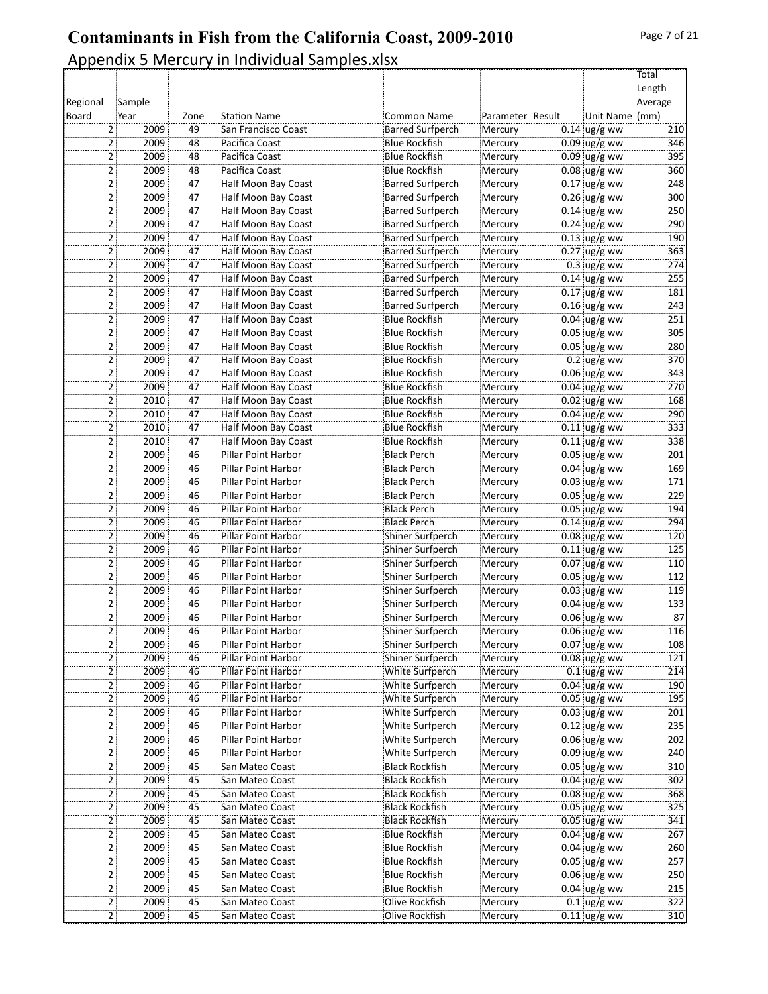|                |        |          |                                            |                         |                  |                         | Total      |
|----------------|--------|----------|--------------------------------------------|-------------------------|------------------|-------------------------|------------|
|                |        |          |                                            |                         |                  |                         | Length     |
| Regional       | Sample |          |                                            |                         |                  |                         | Average    |
| Board          | Year   | Zone     | <b>Station Name</b>                        | <b>Common Name</b>      | Parameter Result | Unit Name (mm)          |            |
| 2              | 2009   | 49       | San Francisco Coast                        | <b>Barred Surfperch</b> | Mercury          | $0.14$ ug/g ww          | 210        |
| 2              | 2009   | 48       | Pacifica Coast                             | <b>Blue Rockfish</b>    | Mercury          | $0.09$ ug/g ww          | 346        |
| $\mathsf{2}$   | 2009   | 48       | Pacifica Coast                             | <b>Blue Rockfish</b>    | Mercury          | $0.09$ ug/g ww          | 395        |
| 2 <sup>1</sup> | 2009   | 48       | Pacifica Coast                             | <b>Blue Rockfish</b>    | Mercury          | $0.08$ ug/g ww          | 360        |
| 21             | 2009   | 47       | Half Moon Bay Coast                        | <b>Barred Surfperch</b> | Mercury          | $0.17$ ug/g ww          | 248        |
| 2              | 2009   | 47       | Half Moon Bay Coast                        | <b>Barred Surfperch</b> |                  | $0.26$ ug/g ww          | 300        |
|                |        | 47       |                                            |                         | Mercury          |                         | 250        |
| 2              | 2009   |          | Half Moon Bay Coast                        | <b>Barred Surfperch</b> | Mercury          | $0.14$ ug/g ww          |            |
| $\mathbf{2}$   | 2009   | 47       | Half Moon Bay Coast                        | <b>Barred Surfperch</b> | Mercury          | $0.24$ ug/g ww          | 290        |
| 2 <sup>1</sup> | 2009   | 47       | Half Moon Bay Coast                        | Barred Surfperch        | Mercury          | $0.13$ ug/g ww          | 190        |
| 2 :            | 2009   | 47       | Half Moon Bay Coast                        | <b>Barred Surfperch</b> | Mercury          | $0.27$ ug/g ww          | 363        |
| 2              | 2009   | 47       | Half Moon Bay Coast                        | <b>Barred Surfperch</b> | Mercury          | $0.3 \, \text{ug/g}$ ww | 274        |
| 2              | 2009   | 47       | Half Moon Bay Coast                        | <b>Barred Surfperch</b> | Mercury          | $0.14$ ug/g ww          | 255        |
| 2 <sup>1</sup> | 2009   | 47       | Half Moon Bay Coast                        | <b>Barred Surfperch</b> | Mercury          | $0.17$ ug/g ww          | 181        |
| 2 <sup>1</sup> | 2009   | 47       | Half Moon Bay Coast                        | <b>Barred Surfperch</b> | Mercury          | $0.16$ ug/g ww          | 243        |
| 2 :            | 2009   | 47       | Half Moon Bay Coast                        | <b>Blue Rockfish</b>    | Mercury          | $0.04$ ug/g ww          | 251        |
| 2              | 2009   | 47       | Half Moon Bay Coast                        | Blue Rockfish           | Mercury          | $0.05$ ug/g ww          | 305        |
| $\overline{2}$ | 2009   | 47       | Half Moon Bay Coast                        | <b>Blue Rockfish</b>    | Mercury          | $0.05$ ug/g ww          | 280        |
| $\overline{2}$ | 2009   | 47       | Half Moon Bay Coast                        | <b>Blue Rockfish</b>    | Mercury          | $0.2$ ug/g ww           | 370        |
| 2 <sup>3</sup> | 2009   | 47       | Half Moon Bay Coast                        | <b>Blue Rockfish</b>    | Mercury          | $0.06$ ug/g ww          | 343        |
| 2 :            | 2009   | 47       | Half Moon Bay Coast                        | <b>Blue Rockfish</b>    | Mercury          | $0.04$ ug/g ww          | 270        |
| 2              | 2010   | 47       | Half Moon Bay Coast                        | <b>Blue Rockfish</b>    | Mercury          | $0.02$ ug/g ww          | 168        |
| 2              | 2010   | 47       | Half Moon Bay Coast                        | <b>Blue Rockfish</b>    | Mercury          | $0.04$ ug/g ww          | 290        |
| 2:             | 2010   | 47       | Half Moon Bay Coast                        | <b>Blue Rockfish</b>    | Mercury          | $0.11$ ug/g ww          | 333        |
| 2 <sup>1</sup> | 2010   | 47       |                                            | <b>Blue Rockfish</b>    |                  | $0.11$ ug/g ww          | 338        |
|                |        |          | Half Moon Bay Coast                        |                         | Mercury          |                         |            |
| 2 :            | 2009   | 46       | Pillar Point Harbor                        | <b>Black Perch</b>      | Mercury          | $0.05$ ug/g ww          | 201        |
| 2              | 2009   | 46       | Pillar Point Harbor                        | Black Perch             | Mercury          | $0.04$ ug/g ww          | 169        |
| 2              | 2009   | 46       | Pillar Point Harbor                        | <b>Black Perch</b>      | Mercury          | $0.03$ ug/g ww          | 171        |
| $\mathbf{2}$   | 2009   | 46       | Pillar Point Harbor                        | <b>Black Perch</b>      | Mercury          | $0.05$ ug/g ww          | 229        |
| 2 <sup>1</sup> | 2009   | 46       | Pillar Point Harbor                        | <b>Black Perch</b>      | Mercury          | $0.05$ ug/g ww          | 194        |
| 2              | 2009   | 46       | Pillar Point Harbor                        | <b>Black Perch</b>      | Mercury          | $0.14$ ug/g ww          | 294        |
| 2              | 2009   | 46       | Pillar Point Harbor                        | Shiner Surfperch        | Mercury          | $0.08$ ug/g ww          | 120        |
| 2              | 2009   | 46       | Pillar Point Harbor                        | Shiner Surfperch        | Mercury          | $0.11$ ug/g ww          | 125        |
| 2 <sup>1</sup> | 2009   | 46       | Pillar Point Harbor                        | Shiner Surfperch        | Mercury          | $0.07$ ug/g ww          | 110        |
| 2 <sup>1</sup> | 2009   | 46       | Pillar Point Harbor                        | Shiner Surfperch        | Mercury          | $0.05$ ug/g ww          | 112        |
| 2:             | 2009   | 46       | <b>Pillar Point Harbor</b>                 | Shiner Surfperch        | Mercury          | $0.03$ ug/g ww          | 119        |
| 2              | 2009   | 46       | Pillar Point Harbor                        | Shiner Surfperch        | Mercury          | $0.04$ ug/g ww          | 133        |
| 2              | 2009   | 46       | Pillar Point Harbor                        | Shiner Surfperch        | Mercury          | $0.06$ ug/g ww          | 87         |
|                | 2009   | 46       | Pillar Point Harbor                        | Shiner Surfperch        | Mercury          | $0.06$ ug/g ww          | 116        |
| 2 <sup>3</sup> | 2009   | 46       | Pillar Point Harbor                        | Shiner Surfperch        | Mercury          | $0.07$ ug/g ww          | 108        |
| 2              | 2009   | 46       | Pillar Point Harbor                        | Shiner Surfperch        | Mercury          | $0.08$ ug/g ww          | 121        |
| 2              | 2009   | 46       | Pillar Point Harbor                        | White Surfperch         | Mercury          | $0.1$ ug/g ww           | 214        |
| 2              | 2009   | 46       | Pillar Point Harbor                        | White Surfperch         | Mercury          | $0.04 \, \upmu g/g$ ww  | 190        |
| 2              | 2009   | 46       | Pillar Point Harbor                        | White Surfperch         | Mercury          | $0.05$ ug/g ww          | 195        |
| 2:             | 2009   | 46       | Pillar Point Harbor                        | White Surfperch         | Mercury          | $0.03$ ug/g ww          | 201        |
| 2              | 2009   | 46       | Pillar Point Harbor                        | White Surfperch         | Mercury          | $0.12$ ug/g ww          | 235        |
|                |        |          |                                            |                         |                  |                         |            |
| 2              | 2009   | 46<br>46 | Pillar Point Harbor<br>Pillar Point Harbor | White Surfperch         | Mercury          | $0.06$ ug/g ww          | 202<br>240 |
| 2              | 2009   |          |                                            | White Surfperch         | Mercury          | $0.09$ ug/g ww          |            |
| 2:             | 2009   | 45       | San Mateo Coast                            | <b>Black Rockfish</b>   | Mercury          | $0.05$ ug/g ww          | 310        |
| 2:             | 2009   | 45       | San Mateo Coast                            | <b>Black Rockfish</b>   | Mercury          | $0.04$ ug/g ww          | 302        |
| 2 :            | 2009   | 45       | San Mateo Coast                            | <b>Black Rockfish</b>   | Mercury          | $0.08$ ug/g ww          | 368        |
| 2.             | 2009   | 45       | San Mateo Coast                            | <b>Black Rockfish</b>   | Mercury          | $0.05$ ug/g ww          | 325        |
| 2.             | 2009   | 45       | San Mateo Coast                            | Black Rockfish          | Mercury          | $0.05$ ug/g ww          | 341        |
| $\overline{2}$ | 2009   | 45       | San Mateo Coast                            | Blue Rockfish           | Mercury          | $0.04$ ug/g ww          | 267        |
| 2 <sup>1</sup> | 2009   | 45       | San Mateo Coast                            | <b>Blue Rockfish</b>    | Mercury          | $0.04$ ug/g ww          | 260        |
| 2 :            | 2009   | 45       | San Mateo Coast                            | <b>Blue Rockfish</b>    | Mercury          | $0.05$ ug/g ww          | 257        |
| 2              | 2009   | 45       | San Mateo Coast                            | <b>Blue Rockfish</b>    | Mercury          | $0.06$ ug/g ww          | 250        |
|                | 2009   | 45       | San Mateo Coast                            | <b>Blue Rockfish</b>    | Mercury          | $0.04 \, \upmu g/g$ ww  | 215        |
| 2              | 2009   | 45       | San Mateo Coast                            | Olive Rockfish          | Mercury          | $0.1$ ug/g ww           | 322        |
| 2:             | 2009   | 45       | San Mateo Coast                            | Olive Rockfish          | Mercury          | $0.11$ ug/g ww          | 310        |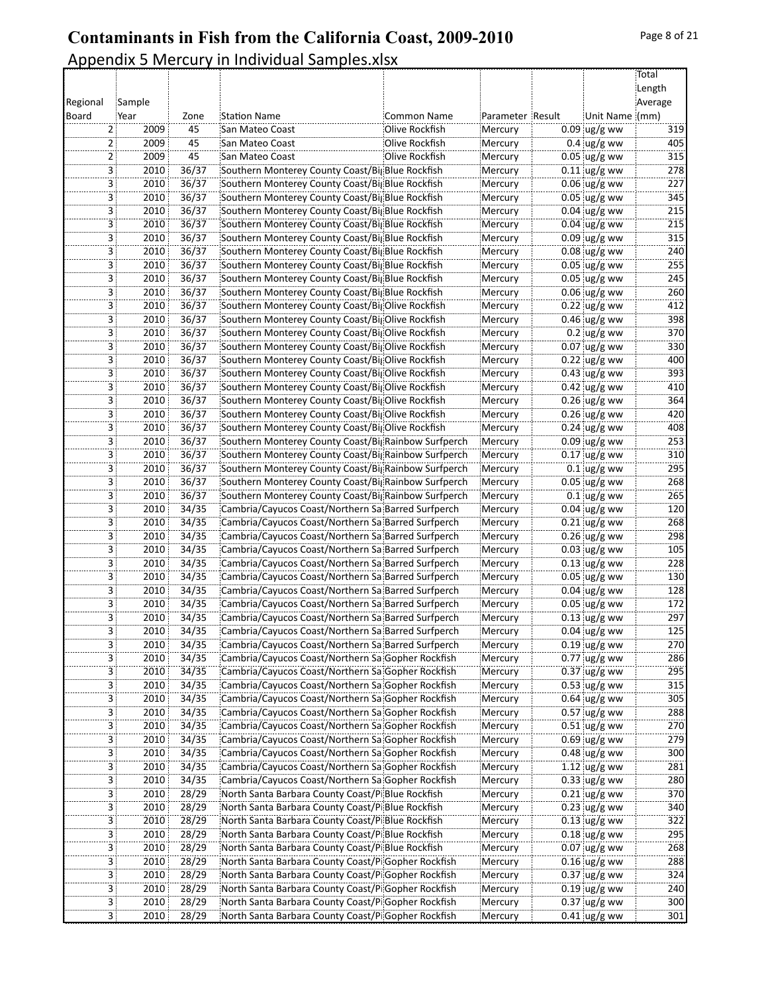|                         |             |       |                                                      |                |                  |                      | Total   |
|-------------------------|-------------|-------|------------------------------------------------------|----------------|------------------|----------------------|---------|
|                         |             |       |                                                      |                |                  |                      | Length  |
| Regional                | Sample      |       |                                                      |                |                  |                      | Average |
| Board                   | Year        | Zone  | <b>Station Name</b>                                  | Common Name    | Parameter Result | Unit Name (mm)       |         |
| 2                       | 2009        | 45    | San Mateo Coast                                      | Olive Rockfish | Mercury          | $0.09$ ug/g ww       | 319     |
| 2                       | 2009        | 45    | San Mateo Coast                                      | Olive Rockfish | Mercury          | $0.4$ ug/g ww        | 405     |
| 2                       | 2009        | 45    | San Mateo Coast                                      | Olive Rockfish | Mercury          | $0.05$ ug/g ww       | 315     |
|                         | 3 :<br>2010 | 36/37 | Southern Monterey County Coast/BigBlue Rockfish      |                | Mercury          | $0.11$ ug/g ww       | 278     |
|                         |             | 36/37 |                                                      |                |                  | $0.06$ ug/g ww       |         |
| 3                       | 2010        |       | Southern Monterey County Coast/BigBlue Rockfish      |                | Mercury          |                      | 227     |
| 3                       | 2010        | 36/37 | Southern Monterey County Coast/BigBlue Rockfish      |                | Mercury          | $0.05$ ug/g ww       | 345     |
| 3                       | 2010        | 36/37 | Southern Monterey County Coast/BigBlue Rockfish      |                | Mercury          | $0.04$ ug/g ww       | 215     |
| 3                       | 2010        | 36/37 | Southern Monterey County Coast/BigBlue Rockfish      |                | Mercury          | $0.04$ ug/g ww       | 215     |
|                         | 3 :<br>2010 | 36/37 | Southern Monterey County Coast/BigBlue Rockfish      |                | Mercury          | $0.09$ ug/g ww       | 315     |
| 3                       | 2010        | 36/37 | Southern Monterey County Coast/BigBlue Rockfish      |                | Mercury          | $0.08$ ug/g ww       | 240     |
| 3                       | 2010        | 36/37 | Southern Monterey County Coast/BigBlue Rockfish      |                | Mercury          | $0.05$ ug/g ww       | 255     |
| 3                       | 2010        | 36/37 | Southern Monterey County Coast/BigBlue Rockfish      |                | Mercury          | $0.05$ ug/g ww       | 245     |
| 3                       | 2010        | 36/37 | Southern Monterey County Coast/BigBlue Rockfish      |                | Mercury          | $0.06$ ug/g ww       | 260     |
|                         | 3 :<br>2010 | 36/37 | Southern Monterey County Coast/BigOlive Rockfish     |                | Mercury          | $0.22$ ug/g ww       | 412     |
| 3                       | 2010        | 36/37 | Southern Monterey County Coast/BigOlive Rockfish     |                | Mercury          | $0.46$ ug/g ww       | 398     |
| 3                       | 2010        | 36/37 | Southern Monterey County Coast/BigOlive Rockfish     |                | Mercury          | $0.2$ ug/g ww        | 370     |
| 3                       | 2010        | 36/37 | Southern Monterey County Coast/BigOlive Rockfish     |                | Mercury          | $0.07$ ug/g ww       | 330     |
| 3                       | 2010        | 36/37 | Southern Monterey County Coast/BigOlive Rockfish     |                | Mercury          | $0.22$ ug/g ww       | 400     |
|                         | 3 :<br>2010 | 36/37 | Southern Monterey County Coast/BigOlive Rockfish     |                | Mercury          | $0.43$ ug/g ww       | 393     |
| 3                       | 2010        | 36/37 | Southern Monterey County Coast/BigOlive Rockfish     |                | Mercury          | $0.42$ ug/g ww       | 410     |
| 3                       | 2010        | 36/37 | Southern Monterey County Coast/BigOlive Rockfish     |                | Mercury          | $0.26$ ug/g ww       | 364     |
| 3                       | 2010        | 36/37 | Southern Monterey County Coast/BigOlive Rockfish     |                | Mercury          | $0.26$ ug/g ww       | 420     |
|                         |             | 36/37 |                                                      |                |                  |                      | 408     |
| 3                       | 2010        |       | Southern Monterey County Coast/BigOlive Rockfish     |                | Mercury          | $0.24$ ug/g ww       |         |
|                         | 3 :<br>2010 | 36/37 | Southern Monterey County Coast/BigRainbow Surfperch  |                | Mercury          | $0.09$ ug/g ww       | 253     |
| 3                       | 2010        | 36/37 | Southern Monterey County Coast/Big Rainbow Surfperch |                | Mercury          | $0.17$ ug/g ww       | 310     |
| 3                       | 2010        | 36/37 | Southern Monterey County Coast/BigRainbow Surfperch  |                | Mercury          | $0.1$ ug/g ww        | 295     |
| 3                       | 2010        | 36/37 | Southern Monterey County Coast/BigRainbow Surfperch  |                | Mercury          | $0.05$ ug/g ww       | 268     |
| 3                       | 2010        | 36/37 | Southern Monterey County Coast/Big Rainbow Surfperch |                | Mercury          | $0.1$ ug/g ww        | 265     |
|                         | 3 :<br>2010 | 34/35 | Cambria/Cayucos Coast/Northern Sa Barred Surfperch   |                | Mercury          | $0.04$ ug/g ww       | 120     |
| 3                       | 2010        | 34/35 | Cambria/Cayucos Coast/Northern Sa Barred Surfperch   |                | Mercury          | $0.21$ ug/g ww       | 268     |
| 3                       | 2010        | 34/35 | Cambria/Cayucos Coast/Northern Sa Barred Surfperch   |                | Mercury          | $0.26$ ug/g ww       | 298     |
| 3                       | 2010        | 34/35 | Cambria/Cayucos Coast/Northern Sa Barred Surfperch   |                | Mercury          | $0.03$ ug/g ww       | 105     |
| 3                       | 2010        | 34/35 | Cambria/Cayucos Coast/Northern Sa Barred Surfperch   |                | Mercury          | $0.13$ ug/g ww       | 228     |
| 3 <sup>1</sup>          | 2010        | 34/35 | Cambria/Cayucos Coast/Northern Sa Barred Surfperch   |                | Mercury          | $0.05$ ug/g ww       | 130     |
| 3                       | 2010        | 34/35 | Cambria/Cayucos Coast/Northern Sa Barred Surfperch   |                | Mercury          | $0.04$ ug/g ww       | 128     |
| 3                       | 2010        | 34/35 | Cambria/Cayucos Coast/Northern Sa Barred Surfperch   |                | Mercury          | $0.05$ ug/g ww       | 172     |
| 3                       | 2010        | 34/35 | Cambria/Cayucos Coast/Northern Sa Barred Surfperch   |                | Mercury          | $0.13$ ug/g ww       | 297     |
| 3                       | 2010        | 34/35 | Cambria/Cayucos Coast/Northern Sa Barred Surfperch   |                | Mercury          | $0.04 \, \mu g/g$ ww | 125     |
| 3 <sup>1</sup>          | 2010        | 34/35 | Cambria/Cayucos Coast/Northern Sa Barred Surfperch   |                | Mercury          | $0.19$ ug/g ww       | 270     |
| 3.                      | 2010        | 34/35 | Cambria/Cayucos Coast/Northern Sa Gopher Rockfish    |                | Mercury          | $0.77$ ug/g ww       | 286     |
|                         | 3 ¦<br>2010 | 34/35 | Cambria/Cayucos Coast/Northern Sa Gopher Rockfish    |                | Mercury          | $0.37$ ug/g ww       | 295     |
| 3                       | 2010        | 34/35 | Cambria/Cayucos Coast/Northern Sa Gopher Rockfish    |                | Mercury          | $0.53$ ug/g ww       | 315     |
| 3                       | 2010        | 34/35 |                                                      |                |                  | $0.64$ ug/g ww       | 305     |
|                         |             |       | Cambria/Cayucos Coast/Northern Sa Gopher Rockfish    |                | Mercury          |                      |         |
| $\overline{3}$          | 2010        | 34/35 | Cambria/Cayucos Coast/Northern Sa Gopher Rockfish    |                | Mercury          | $0.57$ ug/g ww       | 288     |
| 3.                      | 2010        | 34/35 | Cambria/Cayucos Coast/Northern Sa Gopher Rockfish    |                | Mercury          | $0.51$ ug/g ww       | 270     |
| 3                       | 2010        | 34/35 | Cambria/Cayucos Coast/Northern Sa Gopher Rockfish    |                | Mercury          | $0.69$ ug/g ww       | 279     |
| 3                       | 2010        | 34/35 | Cambria/Cayucos Coast/Northern Sa Gopher Rockfish    |                | Mercury          | $0.48$ ug/g ww       | 300     |
| 3 <sup>1</sup>          | 2010        | 34/35 | Cambria/Cayucos Coast/Northern Sa Gopher Rockfish    |                | Mercury          | 1.12 $\log/g$ ww     | 281     |
|                         | 3  <br>2010 | 34/35 | Cambria/Cayucos Coast/Northern Sa Gopher Rockfish    |                | Mercury          | $0.33$ ug/g ww       | 280     |
|                         | 3 ;<br>2010 | 28/29 | North Santa Barbara County Coast/Pi Blue Rockfish    |                | Mercury          | $0.21$ ug/g ww       | 370     |
|                         | 3  <br>2010 | 28/29 | North Santa Barbara County Coast/Pi Blue Rockfish    |                | Mercury          | $0.23$ ug/g ww       | 340     |
| 3                       | 2010        | 28/29 | North Santa Barbara County Coast/Pi Blue Rockfish    |                | Mercury          | $0.13$ ug/g ww       | 322     |
| 3                       | 2010        | 28/29 | North Santa Barbara County Coast/PiBlue Rockfish     |                | Mercury          | $0.18$ ug/g ww       | 295     |
| $\overline{\mathbf{3}}$ | 2010        | 28/29 | North Santa Barbara County Coast/Pi Blue Rockfish    |                | Mercury          | $0.07$ ug/g ww       | 268     |
| 3                       | 2010        | 28/29 | North Santa Barbara County Coast/PiGopher Rockfish   |                | Mercury          | $0.16$ ug/g ww       | 288     |
| 3                       | 2010        | 28/29 | North Santa Barbara County Coast/PiGopher Rockfish   |                | Mercury          | $0.37$ ug/g ww       | 324     |
| 3                       | 2010        | 28/29 | North Santa Barbara County Coast/PiGopher Rockfish   |                | Mercury          | $0.19$ ug/g ww       | 240     |
| 3                       | 2010        | 28/29 | North Santa Barbara County Coast/PiGopher Rockfish   |                | Mercury          | $0.37$ ug/g ww       | 300     |
|                         | 3:<br>2010  | 28/29 | North Santa Barbara County Coast/Pi Gopher Rockfish  |                | Mercury          | $0.41$ ug/g ww       | 301     |
|                         |             |       |                                                      |                |                  |                      |         |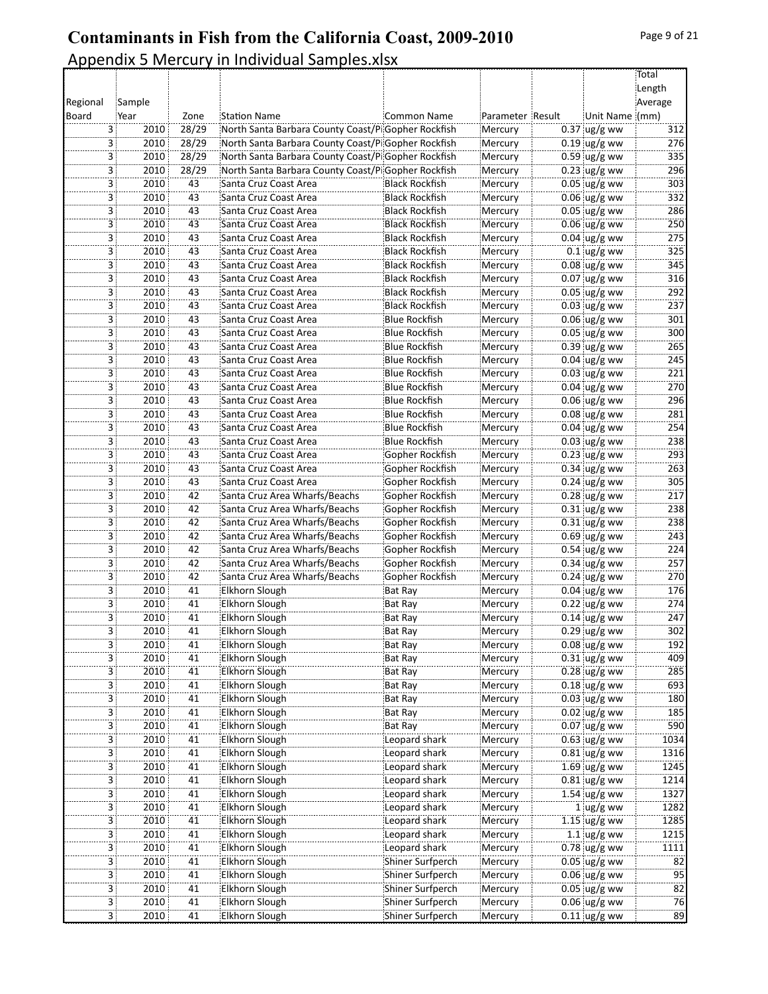|          |                                 |       |                                                                |                       |                  |                                  | Total   |
|----------|---------------------------------|-------|----------------------------------------------------------------|-----------------------|------------------|----------------------------------|---------|
|          |                                 |       |                                                                |                       |                  |                                  | Length  |
| Regional | Sample                          |       |                                                                |                       |                  |                                  | Average |
| Board    | Year                            | Zone  | <b>Station Name</b>                                            | <b>Common Name</b>    | Parameter Result | Unit Name (mm)                   |         |
| 3        | 2010                            | 28/29 | North Santa Barbara County Coast/PiGopher Rockfish             |                       | Mercury          | $0.37$ ug/g ww                   | 312     |
|          | 2010<br>3                       | 28/29 | North Santa Barbara County Coast/PiGopher Rockfish             |                       | Mercury          | $0.19$ ug/g ww                   | 276     |
|          | 3<br>2010                       | 28/29 | North Santa Barbara County Coast/PiGopher Rockfish             |                       | Mercury          | $0.59$ ug/g ww                   | 335     |
|          | 3<br>2010                       | 28/29 | North Santa Barbara County Coast/PiGopher Rockfish             |                       | Mercury          | $0.23$ ug/g ww                   | 296     |
|          | 2010<br>3                       | 43    | Santa Cruz Coast Area                                          | Black Rockfish        | Mercury          | $0.05$ ug/g ww                   | 303     |
|          | 3<br>2010                       | 43    | Santa Cruz Coast Area                                          | <b>Black Rockfish</b> | Mercury          | $0.06$ ug/g ww                   | 332     |
|          | 2010                            | 43    | Santa Cruz Coast Area                                          | <b>Black Rockfish</b> | Mercury          | $0.05$ ug/g ww                   | 286     |
| 3        |                                 |       |                                                                |                       |                  |                                  | 250     |
|          | 3<br>2010                       | 43    | Santa Cruz Coast Area                                          | <b>Black Rockfish</b> | Mercury          | $0.06$ ug/g ww                   |         |
|          | 3<br>2010                       | 43    | Santa Cruz Coast Area                                          | Black Rockfish!       | Mercury          | $0.04$ ug/g ww                   | 275     |
|          | 3<br>2010                       | 43    | Santa Cruz Coast Area                                          | <b>Black Rockfish</b> | Mercury          | $0.1$ ug/g ww                    | 325     |
|          | 3<br>2010                       | 43    | Santa Cruz Coast Area                                          | <b>Black Rockfish</b> | Mercury          | $0.08$ ug/g ww                   | 345     |
|          | 2010<br>3                       | 43    | Santa Cruz Coast Area                                          | <b>Black Rockfish</b> | Mercury          | $0.07$ ug/g ww                   | 316     |
|          | 3<br>2010                       | 43    | Santa Cruz Coast Area                                          | <b>Black Rockfish</b> | Mercury          | $0.05$ ug/g ww                   | 292     |
| 3        | 2010                            | 43    | Santa Cruz Coast Area                                          | Black Rockfish!       | Mercury          | $0.03$ ug/g ww                   | 237     |
|          | 3<br>2010                       | 43    | Santa Cruz Coast Area                                          | <b>Blue Rockfish</b>  | Mercury          | $0.06$ ug/g ww                   | 301     |
|          | 3<br>2010                       | 43    | Santa Cruz Coast Area                                          | Blue Rockfish         | Mercury          | $0.05$ ug/g ww                   | 300     |
|          | 2010<br>3                       | 43    | Santa Cruz Coast Area                                          | <b>Blue Rockfish</b>  | Mercury          | $0.39$ ug/g ww                   | 265     |
|          | 3<br>2010                       | 43    | Santa Cruz Coast Area                                          | <b>Blue Rockfish</b>  | Mercury          | $0.04 \, \text{ug/g}$ ww         | 245     |
|          | 3<br>2010                       | 43    | Santa Cruz Coast Area                                          | <b>Blue Rockfish</b>  | Mercury          | $0.03$ ug/g ww                   | 221     |
|          | 2010<br>3                       | 43    | Santa Cruz Coast Area                                          | <b>Blue Rockfish</b>  | Mercury          | $0.04$ ug/g ww                   | 270     |
| 3        | 2010                            | 43    | Santa Cruz Coast Area                                          | Blue Rockfish         | Mercury          | $0.06$ ug/g ww                   | 296     |
| 3        | 2010                            | 43    | Santa Cruz Coast Area                                          | <b>Blue Rockfish</b>  | Mercury          | $0.08$ ug/g ww                   | 281     |
|          | 3<br>2010                       | 43    | Santa Cruz Coast Area                                          | <b>Blue Rockfish</b>  | Mercury          | $0.04 \, \text{ug/g}$ ww         | 254     |
|          | 3<br>2010                       | 43    | Santa Cruz Coast Area                                          | <b>Blue Rockfish</b>  | Mercury          | $0.03$ ug/g ww                   | 238     |
|          | 3<br>2010                       | 43    | Santa Cruz Coast Area                                          | Gopher Rockfish       | Mercury          | $0.23$ ug/g ww                   | 293     |
|          | 3<br>2010                       | 43    | Santa Cruz Coast Area                                          | Gopher Rockfish       | Mercury          | $0.34$ ug/g ww                   | 263     |
|          | 2010<br>3                       | 43    | Santa Cruz Coast Area                                          | Gopher Rockfish       | Mercury          | $0.24$ ug/g ww                   | 305     |
|          | 2010<br>3                       | 42    |                                                                | Gopher Rockfish       |                  |                                  | 217     |
| 3        | 2010                            | 42    | Santa Cruz Area Wharfs/Beachs<br>Santa Cruz Area Wharfs/Beachs | Gopher Rockfish       | Mercury          | $0.28$ ug/g ww<br>$0.31$ ug/g ww | 238     |
|          |                                 |       |                                                                |                       | Mercury          |                                  |         |
|          | 3<br>2010                       | 42    | Santa Cruz Area Wharfs/Beachs                                  | Gopher Rockfish       | Mercury          | $0.31$ ug/g ww                   | 238     |
| 3        | 2010                            | 42    | Santa Cruz Area Wharfs/Beachs                                  | Gopher Rockfish       | Mercury          | $0.69$ ug/g ww                   | 243     |
| 3        | 2010                            | 42    | Santa Cruz Area Wharfs/Beachs                                  | Gopher Rockfish       | Mercury          | $0.54$ ug/g ww                   | 224     |
|          | 3<br>2010                       | 42    | Santa Cruz Area Wharfs/Beachs                                  | Gopher Rockfish       | Mercury          | $0.34 \, \text{ug/g}$ ww         | 257     |
| 3        | 2010                            | 42    | Santa Cruz Area Wharfs/Beachs                                  | Gopher Rockfish       | Mercury          | $0.24$ ug/g ww                   | 270     |
|          | 2010<br>3                       | 41    | Elkhorn Slough                                                 | Bat Ray               | Mercury          | $0.04 \, \text{ug/g}$ ww         | 176     |
|          | 3<br>2010                       | 41    | Elkhorn Slough                                                 | Bat Ray               | Mercury          | $0.22$ ug/g ww                   | 274     |
|          | 2010<br>3                       | 41    | Elkhorn Slough                                                 | <b>Bat Ray</b>        | Mercury          | $0.14$ ug/g ww                   | 247     |
|          | $\overline{\mathbf{3}}$<br>2010 | 41    | Elkhorn Slough                                                 | Bat Ray               | Mercury          | $0.29$ ug/g ww                   | 302     |
| 3        | 2010                            | 41    | Elkhorn Slough                                                 | Bat Ray               | Mercury          | $0.08 \, \mu g/g$ ww             | 192     |
|          | 2010<br>3 :                     | 41    | <b>Elkhorn Slough</b>                                          | <b>Bat Ray</b>        | Mercury          | $0.31$ ug/g ww                   | 409     |
|          | 2010<br>3                       | 41    | <b>Elkhorn Slough</b>                                          | Bat Ray               | Mercury          | $0.28$ ug/g ww                   | 285     |
|          | 2010<br>3                       | 41    | Elkhorn Slough                                                 | <b>Bat Ray</b>        | Mercury          | $0.18$ ug/g ww                   | 693     |
|          | 3<br>2010                       | 41    | Elkhorn Slough                                                 | Bat Ray               | Mercury          | $0.03$ ug/g ww                   | 180     |
|          | 3 <sup>1</sup><br>2010          | 41    | Elkhorn Slough                                                 | Bat Ray               | Mercury          | $0.02$ ug/g ww                   | 185     |
|          | 2010<br>3 :                     | 41    | Elkhorn Slough                                                 | <b>Bat Ray</b>        | Mercury          | $0.07$ ug/g ww                   | 590     |
|          | 2010<br>3                       | 41    | Elkhorn Slough                                                 | Leopard shark         | Mercury          | $0.63$ ug/g ww                   | 1034    |
|          | 2010<br>3                       | 41    | <b>Elkhorn Slough</b>                                          | Leopard shark         | Mercury          | $0.81$ ug/g ww                   | 1316    |
|          | 3  <br>2010                     | 41    | Elkhorn Slough                                                 | Leopard shark         | Mercury          | $1.69$ ug/g ww                   | 1245    |
|          | 2010<br>3                       | 41    | Elkhorn Slough                                                 | Leopard shark         | Mercury          | $0.81$ ug/g ww                   | 1214    |
|          | 2010<br>3                       | 41    | Elkhorn Slough                                                 | Leopard shark         | Mercury          | $1.54 \,$ ug/g ww                | 1327    |
|          | 2010<br>3                       | 41    | Elkhorn Slough                                                 | Leopard shark         | Mercury          | $1$ ug/g ww                      | 1282    |
|          | 2010<br>3                       | 41    | Elkhorn Slough                                                 | Leopard shark         | Mercury          | $1.15$ ug/g ww                   | 1285    |
|          | 3<br>2010                       | 41    | Elkhorn Slough                                                 | Leopard shark         |                  | 1.1 $\log/g$ ww                  | 1215    |
|          | 2010                            |       |                                                                |                       | Mercury          | $0.78$ ug/g ww                   |         |
|          | 3                               | 41    | Elkhorn Slough                                                 | Leopard shark         | Mercury          |                                  | 1111    |
|          | 2010<br>3 :                     | 41    | Elkhorn Slough                                                 | Shiner Surfperch      | Mercury          | $0.05$ ug/g ww                   | 82      |
| 3        | 2010                            | 41    | Elkhorn Slough                                                 | Shiner Surfperch      | Mercury          | $0.06$ ug/g ww                   | 95      |
|          | 2010<br>3                       | 41    | Elkhorn Slough                                                 | Shiner Surfperch      | Mercury          | $0.05$ ug/g ww                   | 82      |
|          | 3<br>2010                       | 41    | Elkhorn Slough                                                 | Shiner Surfperch      | Mercury          | $0.06$ ug/g ww                   | 76      |
|          | 3 <sup>1</sup><br>2010          | 41    | Elkhorn Slough                                                 | Shiner Surfperch      | Mercury          | $0.11$ ug/g ww                   | 89      |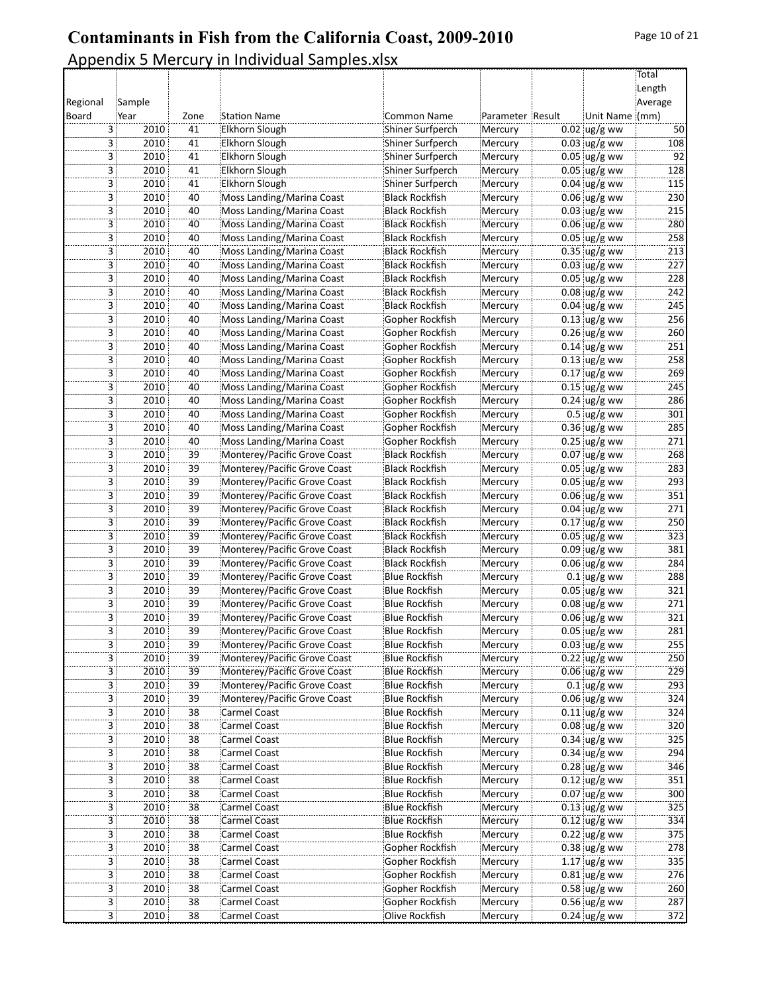|          |                        |                 |                              |                       |                  |                          | Total      |
|----------|------------------------|-----------------|------------------------------|-----------------------|------------------|--------------------------|------------|
|          |                        |                 |                              |                       |                  |                          | Length     |
| Regional | Sample                 |                 |                              |                       |                  |                          | Average    |
| Board    | Year                   | Zone            | <b>Station Name</b>          | Common Name           | Parameter Result | Unit Name (mm)           |            |
|          | 3<br>2010              | 41              | Elkhorn Slough               | Shiner Surfperch      | Mercury          | $0.02$ ug/g ww           | 50<br>108  |
|          | 3<br>2010              | 41<br>41        | Elkhorn Slough               | Shiner Surfperch      | Mercury          | $0.03$ ug/g ww           | 92         |
|          | 3<br>2010              |                 | Elkhorn Slough               | Shiner Surfperch      | Mercury          | $0.05$ ug/g ww           |            |
|          | 3 :<br>2010            | 41              | Elkhorn Slough               | Shiner Surfperch      | Mercury          | $0.05$ ug/g ww           | 128        |
|          | 3<br>2010              | 41              | Elkhorn Slough               | Shiner Surfperch      | Mercury          | $0.04$ ug/g ww           | 115        |
|          | 3<br>2010              | 40              | Moss Landing/Marina Coast    | <b>Black Rockfish</b> | Mercury          | $0.06$ ug/g ww           | 230        |
|          | 2010<br>3              | 40              | Moss Landing/Marina Coast    | <b>Black Rockfish</b> | Mercury          | $0.03$ ug/g ww           | 215        |
|          | 2010<br>3              | 40              | Moss Landing/Marina Coast    | <b>Black Rockfish</b> | Mercury          | $0.06$ ug/g ww           | 280        |
|          | 3 <sup>1</sup><br>2010 | 40              | Moss Landing/Marina Coast    | <b>Black Rockfish</b> | Mercury          | $0.05$ ug/g ww           | 258        |
|          | 2010<br>3              | 40              | Moss Landing/Marina Coast    | <b>Black Rockfish</b> | Mercury          | $0.35$ ug/g ww           | 213        |
|          | 3<br>2010              | 40              | Moss Landing/Marina Coast    | <b>Black Rockfish</b> | Mercury          | $0.03$ ug/g ww           | 227        |
|          | 2010<br>3              | 40              | Moss Landing/Marina Coast    | <b>Black Rockfish</b> | Mercury          | $0.05$ ug/g ww           | 228        |
|          | 3<br>2010              | 40              | Moss Landing/Marina Coast    | <b>Black Rockfish</b> | Mercury          | $0.08$ ug/g ww           | 242        |
|          | 3 :<br>2010            | 40              | Moss Landing/Marina Coast    | Black Rockfish        | Mercury          | $0.04$ ug/g ww           | 245        |
|          | 3<br>2010              | 40              | Moss Landing/Marina Coast    | Gopher Rockfish       | Mercury          | $0.13$ ug/g ww           | 256        |
|          | 3<br>2010              | 40              | Moss Landing/Marina Coast    | Gopher Rockfish       | Mercury          | $0.26$ ug/g ww           | 260        |
|          | 2010<br>3              | 40              | Moss Landing/Marina Coast    | Gopher Rockfish       | Mercury          | $0.14$ ug/g ww           | 251        |
|          | $\overline{3}$<br>2010 | 40              | Moss Landing/Marina Coast    | Gopher Rockfish       | Mercury          | $0.13$ ug/g ww           | 258        |
|          | 3 <sup>1</sup><br>2010 | 40              | Moss Landing/Marina Coast    | Gopher Rockfish       | Mercury          | $0.17$ ug/g ww           | 269        |
|          | 2010<br>3              | 40              | Moss Landing/Marina Coast    | Gopher Rockfish       | Mercury          | $0.15$ ug/g ww           | 245        |
|          | 3<br>2010              | 40              | Moss Landing/Marina Coast    | Gopher Rockfish       | Mercury          | $0.24$ ug/g ww           | 286        |
|          | 2010<br>3              | 40              | Moss Landing/Marina Coast    | Gopher Rockfish       | Mercury          | $0.5$ ug/g ww            | 301        |
|          | 3<br>2010              | 40              | Moss Landing/Marina Coast    | Gopher Rockfish       | Mercury          | $0.36$ ug/g ww           | 285        |
|          | 3 :<br>2010            | 40              | Moss Landing/Marina Coast    | Gopher Rockfish       | Mercury          | $0.25$ ug/g ww           | 271        |
|          | 3<br>2010              | 39              | Monterey/Pacific Grove Coast | <b>Black Rockfish</b> | Mercury          | $0.07$ ug/g ww           | 268        |
|          | 3<br>2010              | 39              | Monterey/Pacific Grove Coast | <b>Black Rockfish</b> | Mercury          | $0.05$ ug/g ww           | 283        |
|          | 2010<br>3              | 39              | Monterey/Pacific Grove Coast | <b>Black Rockfish</b> | Mercury          | $0.05$ ug/g ww           | 293        |
|          | 3<br>2010              | 39              | Monterey/Pacific Grove Coast | <b>Black Rockfish</b> | Mercury          | $0.06$ ug/g ww           | 351        |
|          | 3 <sup>1</sup><br>2010 | 39              | Monterey/Pacific Grove Coast | <b>Black Rockfish</b> | Mercury          | $0.04$ ug/g ww           | 271        |
|          | 3<br>2010              | 39              | Monterey/Pacific Grove Coast | <b>Black Rockfish</b> | Mercury          | $0.17$ ug/g ww           | 250        |
|          | 3<br>2010              | 39              | Monterey/Pacific Grove Coast | <b>Black Rockfish</b> | Mercury          | $0.05$ ug/g ww           | 323        |
|          | 2010<br>3              | 39              | Monterey/Pacific Grove Coast | <b>Black Rockfish</b> | Mercury          | $0.09$ ug/g ww           | 381        |
|          | 2010<br>3              | 39              | Monterey/Pacific Grove Coast | <b>Black Rockfish</b> | Mercury          | $0.06$ ug/g ww           | 284        |
|          | 3 :<br>2010            | 39              | Monterey/Pacific Grove Coast | Blue Rockfish         | Mercury          | $0.1$ ug/g ww            | 288        |
|          | 3<br>2010              | 39              | Monterey/Pacific Grove Coast | <b>Blue Rockfish</b>  | Mercury          | $0.05$ ug/g ww           | 321        |
|          | 3<br>2010              | 39              | Monterey/Pacific Grove Coast | <b>Blue Rockfish</b>  | Mercury          | $0.08$ ug/g ww           | 271        |
|          | 2010<br>3              | 39              | Monterey/Pacific Grove Coast | <b>Blue Rockfish</b>  | Mercury          | $0.06$ ug/g ww           | 321        |
|          | 2010<br>3              | $\overline{39}$ | Monterey/Pacific Grove Coast | <b>Blue Rockfish</b>  | Mercury          |                          | 281        |
|          | 3:<br>2010             |                 |                              | Blue Rockfish         |                  | $0.05 \, \upmu g/g$ ww   | 255        |
|          |                        | 39              | Monterey/Pacific Grove Coast |                       | Mercury          | $0.03$ ug/g ww           |            |
|          | 2010<br>3              | 39              | Monterey/Pacific Grove Coast | <b>Blue Rockfish</b>  | Mercury          | $0.22$ ug/g ww           | 250        |
|          | 2010<br>3              | 39              | Monterey/Pacific Grove Coast | <b>Blue Rockfish</b>  | Mercury          | $0.06$ ug/g ww           | 229<br>293 |
|          | 2010<br>3              | 39              | Monterey/Pacific Grove Coast | <b>Blue Rockfish</b>  | Mercury          | $0.1$ ug/g ww            |            |
|          | 2010<br>3              | $\overline{39}$ | Monterey/Pacific Grove Coast | <b>Blue Rockfish</b>  | Mercury          | $0.06$ ug/g ww           | 324        |
|          | 3 <sup>1</sup><br>2010 | 38              | <b>Carmel Coast</b>          | Blue Rockfish         | Mercury          | $0.11$ ug/g ww           | 324        |
|          | 2010<br>3              | 38              | Carmel Coast                 | <b>Blue Rockfish</b>  | Mercury          | $0.08 \, \text{Jg/g}$ ww | 320        |
|          | 2010<br>3              | 38              | Carmel Coast                 | <b>Blue Rockfish</b>  | Mercury          | $0.34$ ug/g ww           | 325        |
|          | 2010<br>3              | 38              | Carmel Coast                 | <b>Blue Rockfish</b>  | Mercury          | $0.34$ ug/g ww           | 294        |
|          | 2010<br>3              | $\overline{38}$ | Carmel Coast                 | <b>Blue Rockfish</b>  | Mercury          | $0.28$ ug/g ww           | 346        |
|          | 2010<br>3              | 38              | Carmel Coast                 | <b>Blue Rockfish</b>  | Mercury          | $0.12$ ug/g ww           | 351        |
|          | 2010<br>3              | 38              | Carmel Coast                 | <b>Blue Rockfish</b>  | Mercury          | $0.07$ ug/g ww           | 300        |
|          | 2010<br>3              | 38              | Carmel Coast                 | <b>Blue Rockfish</b>  | Mercury          | $0.13$ ug/g ww           | 325        |
|          | 2010<br>3              | $\overline{38}$ | Carmel Coast                 | <b>Blue Rockfish</b>  | Mercury          | $0.12$ ug/g ww           | 334        |
|          | 2010<br>3              | $\overline{38}$ | Carmel Coast                 | <b>Blue Rockfish</b>  | Mercury          | $0.22$ ug/g ww           | 375        |
|          | 3 <sup>1</sup><br>2010 | 38              | Carmel Coast                 | Gopher Rockfish       | Mercury          | $0.38$ ug/g ww           | 278        |
|          | 2010<br>3.             | 38              | Carmel Coast                 | Gopher Rockfish       | Mercury          | $1.17$ ug/g ww           | 335        |
|          | 2010<br>3              | 38              | Carmel Coast                 | Gopher Rockfish       | Mercury          | $0.81$ ug/g ww           | 276        |
|          | 2010<br>3 :            | 38              | Carmel Coast                 | Gopher Rockfish       | Mercury          | $0.58$ ug/g ww           | 260        |
|          | 2010<br>3 <sup>1</sup> | $\overline{38}$ | <b>Carmel Coast</b>          | Gopher Rockfish       | Mercury          | $0.56$ ug/g ww           | 287        |
|          | 3 <sup>1</sup><br>2010 | 38              | <b>Carmel Coast</b>          | Olive Rockfish        | Mercury          | $0.24$ ug/g ww           | 372        |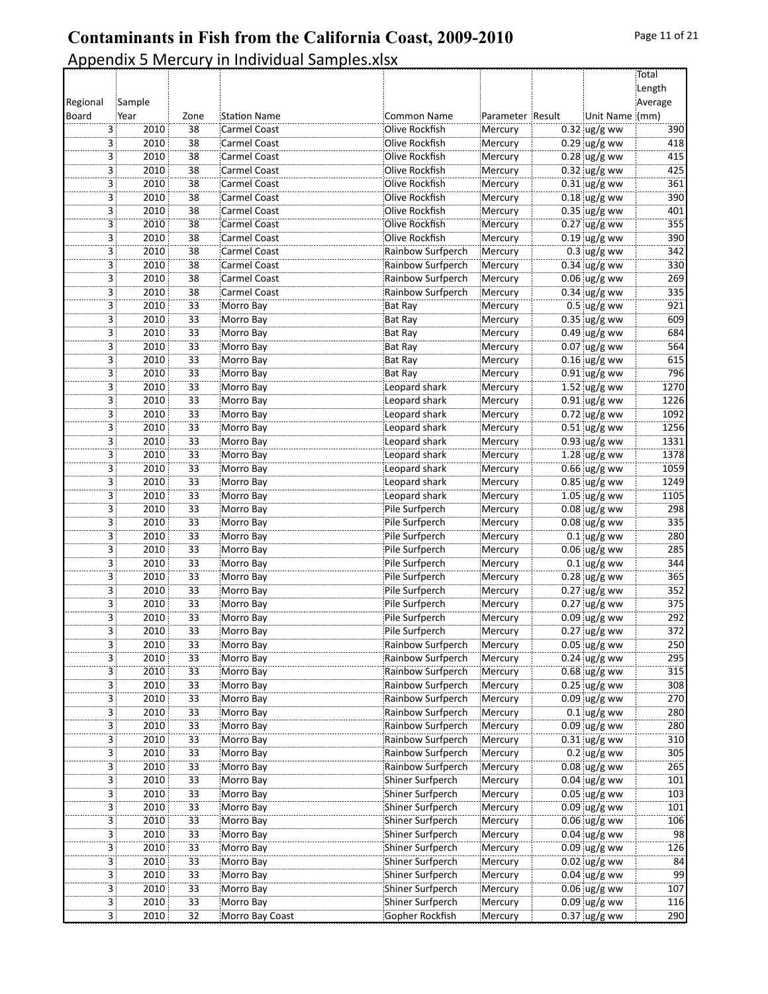|          |                        |                 |                                     |                                  |                    |                                  | Total           |
|----------|------------------------|-----------------|-------------------------------------|----------------------------------|--------------------|----------------------------------|-----------------|
|          |                        |                 |                                     |                                  |                    |                                  | Length          |
| Regional | Sample                 |                 |                                     |                                  |                    |                                  | Average         |
| Board    | Year                   | Zone            | <b>Station Name</b>                 | <b>Common Name</b>               | Parameter Result   | Unit Name (mm)                   |                 |
|          | 2010<br>3<br>3<br>2010 | 38<br>38        | Carmel Coast<br><b>Carmel Coast</b> | Olive Rockfish<br>Olive Rockfish | Mercury<br>Mercury | $0.32$ ug/g ww<br>$0.29$ ug/g ww | 390<br>418      |
|          | 3<br>2010              | 38              | <b>Carmel Coast</b>                 | Olive Rockfish                   | Mercury            | $0.28$ ug/g ww                   | 415             |
|          | 3 :<br>2010            | 38              | <b>Carmel Coast</b>                 | Olive Rockfish                   | Mercury            | $0.32$ ug/g ww                   | 425             |
|          | 3<br>2010              | 38              | Carmel Coast                        | Olive Rockfish                   | Mercury            | $0.31$ ug/g ww                   | 361             |
|          | 3<br>2010              | $\overline{38}$ | Carmel Coast                        | Olive Rockfish                   | Mercury            | $0.18$ ug/g ww                   | 390             |
|          | 3<br>2010              | 38              | <b>Carmel Coast</b>                 | Olive Rockfish                   | Mercury            | $0.35$ ug/g ww                   | 401             |
|          | 3<br>2010              | 38              | Carmel Coast                        | Olive Rockfish                   | Mercury            | $0.27$ ug/g ww                   | 355             |
|          | 3 <sup>1</sup><br>2010 | 38              | Carmel Coast                        | Olive Rockfish                   | Mercury            | $0.19$ ug/g ww                   | 390             |
|          | 2010<br>3              | 38              | Carmel Coast                        | Rainbow Surfperch                | Mercury            | $0.3$ ug/g ww                    | 342             |
|          | 3<br>2010              | 38              | Carmel Coast                        | Rainbow Surfperch                | Mercury            | $0.34$ ug/g ww                   | 330             |
|          | 2010<br>3              | 38              | <b>Carmel Coast</b>                 | Rainbow Surfperch                | Mercury            | $0.06$ ug/g ww                   | 269             |
|          | 3<br>2010              | 38              | Carmel Coast                        | Rainbow Surfperch                | Mercury            | $0.34$ ug/g ww                   | 335             |
|          | 3 :<br>2010            | 33              | Morro Bay                           | Bat Ray                          | Mercury            | $0.5$ ug/g ww                    | 921             |
|          | 3<br>2010              | 33              | Morro Bay                           | Bat Ray                          | Mercury            | $0.35$ ug/g ww                   | 609             |
|          | 3<br>2010              | $\overline{33}$ | Morro Bay                           | Bat Ray                          | Mercury            | $0.49$ ug/g ww                   | 684             |
|          | 2010<br>3              | 33              | Morro Bay                           | <b>Bat Ray</b>                   | Mercury            | 0.07 ug/g ww                     | 564             |
|          | $\overline{3}$<br>2010 | $\overline{33}$ | Morro Bay                           | Bat Ray                          | Mercury            | $0.16$ ug/g ww                   | 615             |
|          | 3 <sup>1</sup><br>2010 | 33              | Morro Bay                           | Bat Ray                          | Mercury            | $0.91$ ug/g ww                   | 796             |
|          | 3<br>2010              | 33              | Morro Bay                           | Leopard shark                    | Mercury            | $1.52 \,$ ug/g ww                | 1270            |
|          | 3<br>2010              | $\overline{33}$ | Morro Bay                           | Leopard shark                    | Mercury            | $0.91$ ug/g ww                   | 1226            |
|          | 2010<br>3              | 33              | Morro Bay                           | Leopard shark                    | Mercury            | $0.72$ ug/g ww                   | 1092            |
|          | 3<br>2010              | 33              | Morro Bay                           | Leopard shark                    | Mercury            | $0.51$ ug/g ww                   | 1256            |
|          | 3 :<br>2010            | 33              | Morro Bay                           | Leopard shark                    | Mercury            | $0.93$ ug/g ww                   | 1331            |
|          | 3<br>2010              | 33              | Morro Bay                           | Leopard shark                    | Mercury            | $1.28$ ug/g ww                   | 1378            |
|          | 3<br>2010              | $\overline{33}$ | Morro Bay                           | Leopard shark                    | Mercury            | $0.66$ ug/g ww                   | 1059            |
|          | 3<br>2010              | 33              | Morro Bay                           | Leopard shark                    | Mercury            | $0.85$ ug/g ww                   | 1249            |
|          | 3<br>2010              | $\overline{33}$ | Morro Bay                           | Leopard shark                    | Mercury            | $1.05$ ug/g ww                   | 1105            |
|          | 3 <sup>1</sup><br>2010 | 33              | Morro Bay                           | Pile Surfperch                   | Mercury            | $0.08$ ug/g ww                   | 298             |
|          | 3<br>2010              | 33              | Morro Bay                           | Pile Surfperch                   | Mercury            | $0.08$ ug/g ww                   | 335             |
|          | 3<br>2010              | $\overline{33}$ | Morro Bay                           | Pile Surfperch                   | Mercury            | $0.1$ ug/g ww                    | 280             |
|          | 2010<br>3              | 33              | Morro Bay                           | Pile Surfperch                   | Mercury            | $0.06$ ug/g ww                   | 285             |
|          | 2010<br>3              | $\overline{33}$ | Morro Bay                           | Pile Surfperch                   | Mercury            | $0.1$ ug/g ww                    | 344             |
|          | 3 :<br>2010            | 33              | Morro Bay                           | Pile Surfperch                   | Mercury            | $0.28$ ug/g ww                   | 365             |
|          | 3<br>2010              | 33              | Morro Bay                           | Pile Surfperch                   | Mercury            | $0.27$ ug/g ww                   | 352             |
|          | 3<br>2010              | $\overline{33}$ | Morro Bay                           | Pile Surfperch                   | Mercury            | $0.27$ ug/g ww                   | 375             |
|          | 2010<br>3              | $\overline{33}$ | Morro Bay                           | Pile Surfperch                   | Mercury            | $0.09$ ug/g ww                   | 292             |
|          | 3<br>2010              | $\overline{33}$ | Morro Bay                           | Pile Surfperch                   | Mercury            | $0.27$ ug/g ww                   | 372             |
|          | 3:<br>2010             | 33              | Morro Bay                           | Rainbow Surfperch                | Mercury            | $0.05$ ug/g ww                   | 250             |
|          | 2010<br>3              | 33              | Morro Bay                           | Rainbow Surfperch                | Mercury            | $0.24$ ug/g ww                   | 295             |
|          | 2010<br>3              | 33              | Morro Bay                           | Rainbow Surfperch                | Mercury            | $0.68$ ug/g ww                   | 315             |
|          | 2010<br>3              | $\overline{33}$ | Morro Bay                           | Rainbow Surfperch                | Mercury            | $0.25$ ug/g ww                   | 308             |
|          | 2010<br>3              | $\overline{33}$ | Morro Bay                           | Rainbow Surfperch                | Mercury            | $0.09$ ug/g ww                   | 270             |
|          | 3 <sup>1</sup><br>2010 | 33              | Morro Bay                           | Rainbow Surfperch                | Mercury            | $0.1$ ug/g ww                    | 280             |
|          | 2010<br>3              | 33              | Morro Bay                           | Rainbow Surfperch                | Mercury            | $0.09$ ug/g ww                   | 280             |
|          | 2010<br>3              | 33              | Morro Bay                           | Rainbow Surfperch                | Mercury            | $0.31$ ug/g ww                   | 310             |
|          | 2010<br>3              | 33              | Morro Bay                           | Rainbow Surfperch                | Mercury            | $0.2$ ug/g ww                    | 305             |
|          | 2010<br>3              | 33              | Morro Bay                           | Rainbow Surfperch                | Mercury            | $0.08$ ug/g ww                   | 265             |
|          | 2010<br>3              | 33              | Morro Bay                           | Shiner Surfperch                 | Mercury            | $0.04$ ug/g ww                   | 101             |
|          | 2010<br>3              | 33              | Morro Bay                           | Shiner Surfperch                 | Mercury            | $0.05$ ug/g ww                   | 103             |
|          | 2010<br>3              | 33              | Morro Bay                           | Shiner Surfperch                 | Mercury            | $0.09$ ug/g ww                   | 101             |
|          | 2010<br>3              | $\overline{33}$ | Morro Bay                           | Shiner Surfperch                 | Mercury            | $0.06$ ug/g ww                   | 106             |
|          | 2010<br>3              | $\overline{33}$ | Morro Bay                           | Shiner Surfperch                 | Mercury            | $0.04$ ug/g ww                   | 98              |
|          | 3 <sup>1</sup><br>2010 | 33              | Morro Bay                           | Shiner Surfperch                 | Mercury            | $0.09$ ug/g ww                   | 126             |
|          | 2010<br>3              | 33              | Morro Bay                           | Shiner Surfperch                 | Mercury            | $0.02$ ug/g ww                   | 84              |
|          | 2010<br>3              | 33              | Morro Bay                           | Shiner Surfperch                 | Mercury            | $0.04$ ug/g ww                   | $\overline{99}$ |
|          | 2010<br>3 :            | 33              | Morro Bay                           | Shiner Surfperch                 | Mercury            | $0.06$ ug/g ww                   | 107             |
|          | 2010<br>3              | 33              | Morro Bay                           | Shiner Surfperch                 | Mercury            | $0.09$ ug/g ww                   | 116             |
|          | 3 <sup>1</sup><br>2010 | 32              | Morro Bay Coast                     | Gopher Rockfish                  | Mercury            | $0.37$ ug/g ww                   | 290             |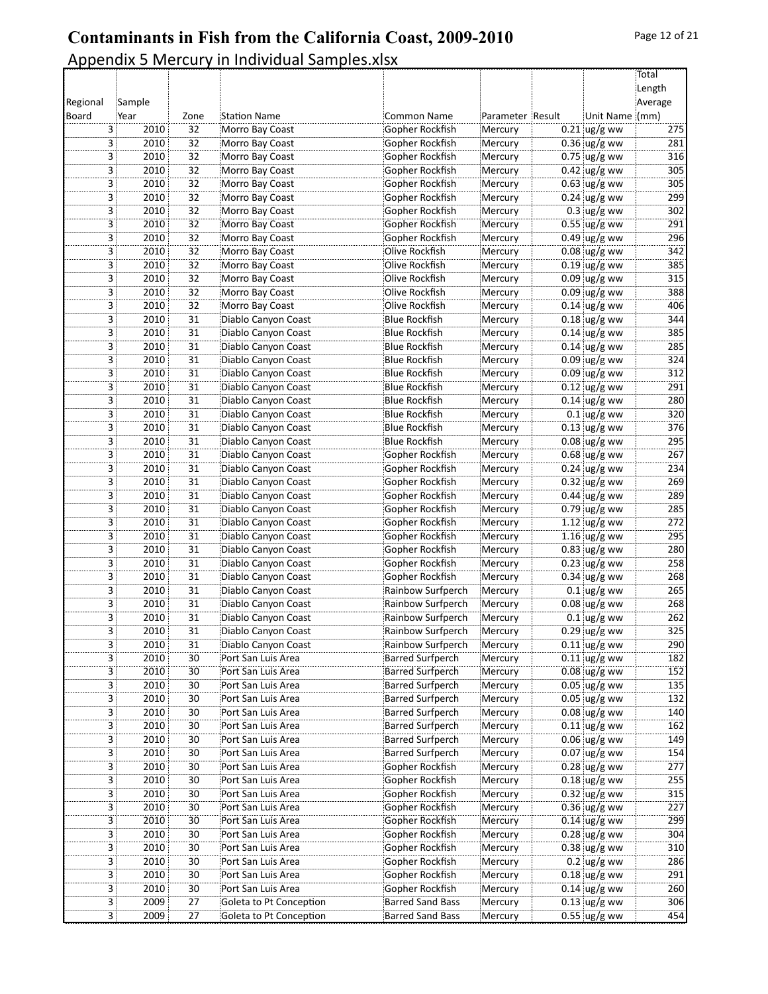|                |              |                 |                                          |                                                    |                    |                                  | Total            |
|----------------|--------------|-----------------|------------------------------------------|----------------------------------------------------|--------------------|----------------------------------|------------------|
|                |              |                 |                                          |                                                    |                    |                                  | Length           |
| Regional       | Sample       |                 |                                          |                                                    |                    |                                  | Average          |
| Board          | Year         | Zone<br>32      | <b>Station Name</b>                      | <b>Common Name</b><br>Gopher Rockfish              | Parameter Result   | Unit Name (mm)                   | 275              |
| 3<br>3         | 2010<br>2010 | 32              | Morro Bay Coast<br>Morro Bay Coast       | Gopher Rockfish                                    | Mercury<br>Mercury | $0.21$ ug/g ww<br>$0.36$ ug/g ww | 281              |
| 3              | 2010         | 32              | Morro Bay Coast                          | Gopher Rockfish                                    | Mercury            | $0.75$ ug/g ww                   | 316              |
| 3 :            | 2010         | 32              | Morro Bay Coast                          | Gopher Rockfish                                    | Mercury            | $0.42$ ug/g ww                   | 305              |
| 3              | 2010         | 32              | Morro Bay Coast                          | Gopher Rockfish                                    | Mercury            | $0.63$ ug/g ww                   | 305              |
| 3              | 2010         | $\overline{32}$ | Morro Bay Coast                          | Gopher Rockfish                                    | Mercury            | $0.24$ ug/g ww                   | 299              |
| 3              | 2010         | 32              | Morro Bay Coast                          | Gopher Rockfish                                    | Mercury            | $0.3$ ug/g ww                    | 302              |
| 3              | 2010         | 32              | Morro Bay Coast                          | Gopher Rockfish                                    | Mercury            | $0.55$ ug/g ww                   | 291              |
| 3              | 2010         | 32              | Morro Bay Coast                          | Gopher Rockfish                                    | Mercury            | $0.49$ ug/g ww                   | 296              |
| 3              | 2010         | 32              | Morro Bay Coast                          | Olive Rockfish                                     | Mercury            | $0.08$ ug/g ww                   | 342              |
| 3              | 2010         | $\overline{32}$ | Morro Bay Coast                          | Olive Rockfish                                     | Mercury            | $0.19$ ug/g ww                   | 385              |
| 3              | 2010         | 32              | Morro Bay Coast                          | Olive Rockfish                                     | Mercury            | $0.09$ ug/g ww                   | 315              |
| 3              | 2010         | 32              | Morro Bay Coast                          | Olive Rockfish                                     | Mercury            | $0.09$ ug/g ww                   | 388              |
| 3 :            | 2010         | 32              | Morro Bay Coast                          | Olive Rockfish                                     | Mercury            | $0.14$ ug/g ww                   | 406              |
| 3              | 2010         | 31              | Diablo Canyon Coast                      | <b>Blue Rockfish</b>                               | Mercury            | $0.18$ ug/g ww                   | 344              |
| 3              | 2010         | $\overline{31}$ | Diablo Canyon Coast                      | <b>Blue Rockfish</b>                               | Mercury            | $0.14$ ug/g ww                   | 385              |
| 3              | 2010         | 31              | Diablo Canyon Coast                      | <b>Blue Rockfish</b>                               | Mercury            | $0.14$ ug/g ww                   | 285              |
| 3              | 2010         | 31              | Diablo Canyon Coast                      | <b>Blue Rockfish</b>                               | Mercury            | $0.09$ ug/g ww                   | 324              |
| 3              | 2010         | 31              | Diablo Canyon Coast                      | Blue Rockfish                                      | Mercury            | $0.09$ ug/g ww                   | 312              |
| 3              | 2010         | 31              | Diablo Canyon Coast                      | <b>Blue Rockfish</b>                               | Mercury            | $0.12$ ug/g ww                   | 291              |
| 3              | 2010         | 31              | Diablo Canyon Coast                      | Blue Rockfish                                      | Mercury            | $0.14$ ug/g ww                   | 280              |
| 3              | 2010         | 31              | Diablo Canyon Coast                      | <b>Blue Rockfish</b>                               | Mercury            | $0.1$ ug/g ww                    | 320              |
| 3              | 2010         | $\overline{31}$ | Diablo Canyon Coast                      | <b>Blue Rockfish</b>                               | Mercury            | $0.13$ ug/g ww                   | 376              |
| 3              | 2010         | 31              | Diablo Canyon Coast                      | <b>Blue Rockfish</b>                               | Mercury            | $0.08$ ug/g ww                   | 295              |
| 3              | 2010         | 31              | Diablo Canyon Coast                      | Gopher Rockfish                                    | Mercury            | $0.68$ ug/g ww                   | 267              |
| 3              | 2010         | $\overline{31}$ | Diablo Canyon Coast                      | Gopher Rockfish                                    | Mercury            | $0.24$ ug/g ww                   | 234              |
| 3              | 2010         | 31              | Diablo Canyon Coast                      | Gopher Rockfish                                    | Mercury            | $0.32$ ug/g ww                   | 269              |
| 3              | 2010         | 31              | Diablo Canyon Coast                      | Gopher Rockfish                                    | Mercury            | $0.44$ ug/g ww                   | 289              |
| 3              | 2010         | 31              | Diablo Canyon Coast                      | Gopher Rockfish                                    | Mercury            | $0.79$ ug/g ww                   | 285              |
| 3              | 2010         | 31              | Diablo Canyon Coast                      | Gopher Rockfish                                    | Mercury            | $1.12$ ug/g ww                   | 272              |
| 3              | 2010         | 31              | Diablo Canyon Coast                      | Gopher Rockfish                                    | Mercury            | $1.16$ ug/g ww                   | 295              |
| 3              | 2010         | 31              | Diablo Canyon Coast                      | Gopher Rockfish                                    | Mercury            | $0.83$ ug/g ww                   | 280              |
| 3              | 2010         | 31              | Diablo Canyon Coast                      | Gopher Rockfish                                    | Mercury            | $0.23$ ug/g ww                   | 258              |
| 3              | 2010         | 31              | Diablo Canyon Coast                      | Gopher Rockfish                                    | Mercury            | $0.34$ ug/g ww                   | 268              |
| 3 :            | 2010         | 31              | Diablo Canyon Coast                      | Rainbow Surfperch                                  | Mercury            | $0.1$ ug/g ww                    | 265              |
| 3              | 2010         | $\overline{31}$ | Diablo Canyon Coast                      | Rainbow Surfperch                                  | Mercury            | $0.08$ ug/g ww                   | 268              |
| 3              | 2010         | 31              | Diablo Canyon Coast                      | Rainbow Surfperch                                  | Mercury            | $0.1$ ug/g ww                    | 262              |
| 3              | 2010         | 31              | Diablo Canyon Coast                      | Rainbow Surfperch                                  | Mercury            | $0.29$ ug/g ww                   | $\overline{325}$ |
| 3:             | 2010         | 31              | Diablo Canyon Coast                      | Rainbow Surfperch                                  | Mercury            | $0.11$ ug/g ww                   | 290              |
| 3.             | 2010         | $30\,$          | Port San Luis Area                       | <b>Barred Surfperch</b>                            | Mercury            | $0.11$ ug/g ww                   | 182              |
| 3 ;            | 2010         | 30              | Port San Luis Area                       | <b>Barred Surfperch</b>                            | Mercury            | $0.08$ ug/g ww                   | 152              |
| 3              | 2010         | $\overline{30}$ | Port San Luis Area                       | <b>Barred Surfperch</b>                            | Mercury            | $0.05$ ug/g ww                   | 135              |
| 3              | 2010         | $\overline{30}$ | Port San Luis Area                       | <b>Barred Surfperch</b>                            | Mercury            | $0.05$ ug/g ww                   | 132              |
| 3 <sup>1</sup> | 2010         | 30              | Port San Luis Area                       | <b>Barred Surfperch</b>                            | Mercury            | $0.08$ ug/g ww                   | 140              |
| 3.             | 2010         | $30\,$<br>30    | Port San Luis Area<br>Port San Luis Area | <b>Barred Surfperch</b><br><b>Barred Surfperch</b> | Mercury            | $0.11$ ug/g ww<br>$0.06$ ug/g ww | 162              |
| 3              | 2010<br>2010 | 30              | Port San Luis Area                       | <b>Barred Surfperch</b>                            | Mercury<br>Mercury | $0.07$ ug/g ww                   | 149<br>154       |
| 3<br>3         | 2010         | $\overline{30}$ | Port San Luis Area                       | Gopher Rockfish                                    |                    | $0.28$ ug/g ww                   | 277              |
| 3 :            | 2010         | 30              | Port San Luis Area                       | Gopher Rockfish                                    | Mercury<br>Mercury | $0.18$ ug/g ww                   | 255              |
| 3 :            | 2010         | $30\,$          | Port San Luis Area                       | Gopher Rockfish                                    | Mercury            | $0.32$ ug/g ww                   | 315              |
| 3              | 2010         | 30              | Port San Luis Area                       | Gopher Rockfish                                    | Mercury            | $0.36$ ug/g ww                   | 227              |
| 3              | 2010         | $\overline{30}$ | Port San Luis Area                       | Gopher Rockfish                                    | Mercury            | $0.14$ ug/g ww                   | 299              |
| 3              | 2010         | $\overline{30}$ | Port San Luis Area                       | Gopher Rockfish                                    | Mercury            | $0.28$ ug/g ww                   | 304              |
| 3              | 2010         | 30              | Port San Luis Area                       | Gopher Rockfish                                    | Mercury            | $0.38$ ug/g ww                   | 310              |
| 3.             | 2010         | 30              | Port San Luis Area                       | Gopher Rockfish                                    | Mercury            | $0.2$ ug/g ww                    | 286              |
| 3              | 2010         | 30              | Port San Luis Area                       | Gopher Rockfish                                    | Mercury            | $0.18$ ug/g ww                   | 291              |
| 3.             | 2010         | $\overline{30}$ | Port San Luis Area                       | Gopher Rockfish                                    | Mercury            | $0.14$ ug/g ww                   | 260              |
| 3              | 2009         | $\overline{27}$ | Goleta to Pt Conception                  | Barred Sand Bass                                   | Mercury            | $0.13$ ug/g ww                   | 306              |
| 3 <sup>1</sup> | 2009         | 27              | Goleta to Pt Conception                  | Barred Sand Bass                                   | Mercury            | $0.55$ ug/g ww                   | 454              |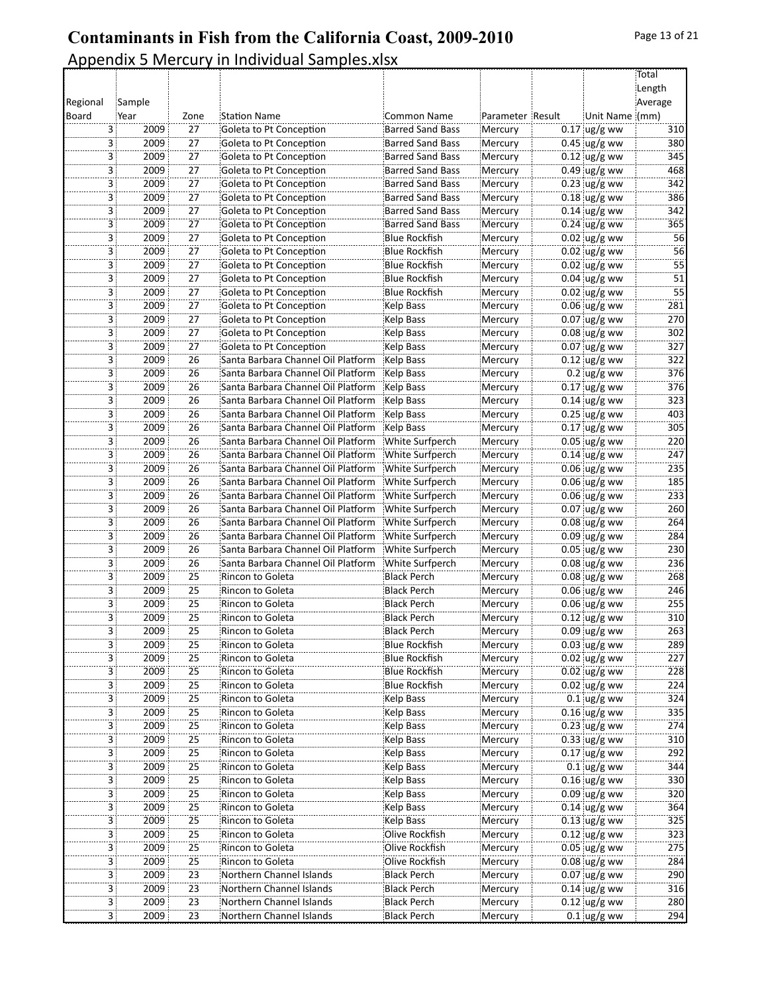|                |                        |                 |                                      |                                          |                    |                                  | Total           |
|----------------|------------------------|-----------------|--------------------------------------|------------------------------------------|--------------------|----------------------------------|-----------------|
|                |                        |                 |                                      |                                          |                    |                                  | Length          |
| Regional       | Sample                 |                 |                                      |                                          |                    |                                  | Average         |
| Board          | Year                   | Zone            | <b>Station Name</b>                  | <b>Common Name</b>                       | Parameter Result   | Unit Name (mm)                   |                 |
| 3              | 2009                   | 27              | Goleta to Pt Conception              | <b>Barred Sand Bass</b>                  | Mercury            | $0.17$ ug/g ww                   | 310             |
| 3              | 2009                   | 27              | Goleta to Pt Conception              | <b>Barred Sand Bass</b>                  | Mercury            | $0.45$ ug/g ww                   | 380             |
| 3              | 2009                   | $\overline{27}$ | Goleta to Pt Conception              | <b>Barred Sand Bass</b>                  | Mercury            | $0.12$ ug/g ww                   | 345             |
| 3 :            | 2009                   | 27              | Goleta to Pt Conception              | <b>Barred Sand Bass</b>                  | Mercury            | $0.49$ ug/g ww                   | 468             |
| 3              | 2009                   | 27              | Goleta to Pt Conception              | <b>Barred Sand Bass</b>                  | Mercury            | $0.23$ ug/g ww                   | 342             |
| 3              | 2009                   | $\overline{27}$ | Goleta to Pt Conception              | <b>Barred Sand Bass</b>                  | Mercury            | $0.18$ ug/g ww                   | 386             |
| 3              | 2009                   | 27              | Goleta to Pt Conception              | <b>Barred Sand Bass</b>                  | Mercury            | $0.14$ ug/g ww                   | 342             |
| 3              | 2009                   | $\overline{27}$ | Goleta to Pt Conception              | <b>Barred Sand Bass</b>                  | Mercury            | $0.24$ ug/g ww                   | 365             |
| 3              | 2009                   | 27              | Goleta to Pt Conception              | Blue Rockfish!                           | Mercury            | $0.02$ ug/g ww                   | 56              |
| 3              | 2009                   | 27              | Goleta to Pt Conception              | <b>Blue Rockfish</b>                     | Mercury            | $0.02$ ug/g ww                   | 56              |
| 3              | 2009                   | $\overline{27}$ | Goleta to Pt Conception              | Blue Rockfish                            | Mercury            | $0.02$ ug/g ww                   | 55              |
| 3              | 2009                   | 27              | Goleta to Pt Conception              | <b>Blue Rockfish</b>                     | Mercury            | $0.04$ ug/g ww                   | 51              |
| 3              | 2009                   | $\overline{27}$ | Goleta to Pt Conception              | <b>Blue Rockfish</b>                     | Mercury            | $0.02$ ug/g ww                   | $\overline{55}$ |
| 3 :            | 2009                   | 27              | Goleta to Pt Conception              | Kelp Bass                                | Mercury            | $0.06$ ug/g ww                   | 281             |
| 3              | 2009                   | 27              | Goleta to Pt Conception              | Kelp Bass                                | Mercury            | $0.07$ ug/g ww                   | 270             |
| 3              | 2009                   | $\overline{27}$ | Goleta to Pt Conception              | Kelp Bass                                | Mercury            | $0.08$ ug/g ww                   | 302             |
| 3              | 2009                   | 27              | Goleta to Pt Conception              | Kelp Bass                                | Mercury            | $0.07$ ug/g ww                   | 327             |
| 3              | 2009                   | 26              | Santa Barbara Channel Oil Platform   | Kelp Bass                                | Mercury            | $0.12$ ug/g ww                   | 322             |
| 3              | 2009                   | 26              | Santa Barbara Channel Oil Platform   | Kelp Bass                                | Mercury            | $0.2$ ug/g ww                    | 376             |
| 3              | 2009                   | 26              | Santa Barbara Channel Oil Platform   | Kelp Bass                                | Mercury            | $0.17$ ug/g ww                   | 376             |
| 3              | 2009                   | 26              | Santa Barbara Channel Oil Platform   | Kelp Bass                                | Mercury            | $0.14$ ug/g ww                   | 323             |
| 3              | 2009                   | 26              | Santa Barbara Channel Oil Platform   | Kelp Bass                                | Mercury            | $0.25$ ug/g ww                   | 403             |
| 3              | 2009                   | $\overline{26}$ | Santa Barbara Channel Oil Platform   | Kelp Bass                                | Mercury            | $0.17$ ug/g ww                   | 305             |
| 3              | 2009                   | 26              | Santa Barbara Channel Oil Platform   | White Surfperch                          | Mercury            | $0.05$ ug/g ww                   | 220             |
| 3              | 2009                   | 26              | Santa Barbara Channel Oil Platform   | White Surfperch                          | Mercury            | $0.14$ ug/g ww                   | 247             |
| 3              | 2009                   | $\overline{26}$ | Santa Barbara Channel Oil Platform   | White Surfperch                          | Mercury            | $0.06$ ug/g ww                   | 235             |
| 3              | 2009                   | 26              | Santa Barbara Channel Oil Platform   | White Surfperch                          | Mercury            | $0.06$ ug/g ww                   | 185             |
| 3              | 2009                   | $\overline{26}$ | Santa Barbara Channel Oil Platform   | White Surfperch                          |                    | $0.06$ ug/g ww                   | 233             |
| 3              | 2009                   | 26              | Santa Barbara Channel Oil Platform   | White Surfperch                          | Mercury<br>Mercury | $0.07$ ug/g ww                   | 260             |
| 3              | 2009                   | 26              | Santa Barbara Channel Oil Platform   | White Surfperch                          | Mercury            | $0.08$ ug/g ww                   | 264             |
| 3              | 2009                   | 26              | Santa Barbara Channel Oil Platform   | White Surfperch                          |                    |                                  | 284             |
| 3              | 2009                   | 26              | Santa Barbara Channel Oil Platform   | White Surfperch                          | Mercury<br>Mercury | $0.09$ ug/g ww<br>$0.05$ ug/g ww | 230             |
| 3              | 2009                   | 26              | Santa Barbara Channel Oil Platform   | White Surfperch                          | Mercury            | $0.08 \, \text{ug/g}$ ww         | 236             |
| 3              | 2009                   | 25              | Rincon to Goleta                     | <b>Black Perch</b>                       |                    | $0.08 \, \text{ug/g}$ ww         | 268             |
|                | 2009                   | 25              |                                      | <b>Black Perch</b>                       | Mercury<br>Mercury |                                  | 246             |
| 3 :            |                        | $\overline{25}$ | Rincon to Goleta                     |                                          |                    | $0.06$ ug/g ww                   |                 |
| 3<br>3         | 2009<br>2009           | $\overline{25}$ | Rincon to Goleta<br>Rincon to Goleta | <b>Black Perch</b><br><b>Black Perch</b> | Mercury            | $0.06$ ug/g ww<br>$0.12$ ug/g ww | 255<br>310      |
| 3              | 2009                   | 25              |                                      |                                          | Mercury            |                                  | 263             |
|                |                        |                 | Rincon to Goleta                     | <b>Black Perch</b>                       | Mercury            | $0.09 \text{ ug/g}$ ww           |                 |
| 3:             | 2009                   | 25              | Rincon to Goleta                     | Blue Rockfish!                           | Mercury            | $0.03$ ug/g ww                   | 289             |
| 3.             | 2009                   | 25              | Rincon to Goleta                     | <b>Blue Rockfish</b>                     | Mercury            | $0.02$ ug/g ww                   | 227             |
| 3              | 2009                   | $\overline{25}$ | Rincon to Goleta                     | <b>Blue Rockfish</b>                     | Mercury            | $0.02 \text{ ug/g}$ ww           | 228             |
| 3              | 2009                   | $\overline{25}$ | Rincon to Goleta                     | <b>Blue Rockfish</b>                     | Mercury            | $0.02$ ug/g ww                   | 224             |
| 3              | 2009                   | $\overline{25}$ | Rincon to Goleta                     | Kelp Bass                                | Mercury            | $0.1$ ug/g ww                    | 324             |
| 3 :            | 2009                   | 25              | Rincon to Goleta                     | Kelp Bass                                | Mercury            | $0.16$ ug/g ww                   | 335             |
| 3              | 2009                   | 25              | Rincon to Goleta                     | Kelp Bass                                | Mercury            | $0.23$ ug/g ww                   | 274             |
| 3.             | 2009                   | $\overline{25}$ | Rincon to Goleta                     | Kelp Bass                                | Mercury            | $0.33$ ug/g ww                   | 310             |
| 3              | 2009                   | $\overline{25}$ | Rincon to Goleta                     | Kelp Bass                                | Mercury            | $0.17$ ug/g ww                   | 292             |
| 3              | 2009                   | $\overline{25}$ | Rincon to Goleta                     | Kelp Bass                                | Mercury            | $0.1$ ug/g ww                    | 344             |
| 3 :            | 2009                   | 25              | Rincon to Goleta                     | Kelp Bass                                | Mercury            | $0.16$ ug/g ww                   | 330             |
| 3.             | 2009                   | 25              | Rincon to Goleta                     | Kelp Bass                                | Mercury            | $0.09$ ug/g ww                   | 320             |
| 3              | 2009                   | $\overline{25}$ | Rincon to Goleta                     | Kelp Bass                                | Mercury            | $0.14$ ug/g ww                   | 364             |
| 3              | 2009                   | $\overline{25}$ | Rincon to Goleta                     | Kelp Bass                                | Mercury            | $0.13$ ug/g ww                   | 325             |
| 3              | 2009                   | $\overline{25}$ | Rincon to Goleta                     | Olive Rockfish                           | Mercury            | $0.12$ ug/g ww                   | 323             |
| 3              | 2009                   | 25              | Rincon to Goleta                     | Olive Rockfish                           | Mercury            | $0.05$ ug/g ww                   | 275             |
| 3.             | 2009                   | 25              | Rincon to Goleta                     | Olive Rockfish                           | Mercury            | $0.08$ ug/g ww                   | 284             |
| 3.             | 2009                   | 23              | Northern Channel Islands             | <b>Black Perch</b>                       | Mercury            | $0.07$ ug/g ww                   | 290             |
| 3.             | 2009                   | 23              | Northern Channel Islands             | <b>Black Perch</b>                       | Mercury            | $0.14$ ug/g ww                   | 316             |
| $\overline{3}$ | 2009                   | $\overline{23}$ | Northern Channel Islands             | <b>Black Perch</b>                       | Mercury            | $0.12$ ug/g ww                   | 280             |
|                | 3 <sup>1</sup><br>2009 | 23              | Northern Channel Islands             | Black Perch                              | Mercury            | $0.1$ ug/g ww                    | 294             |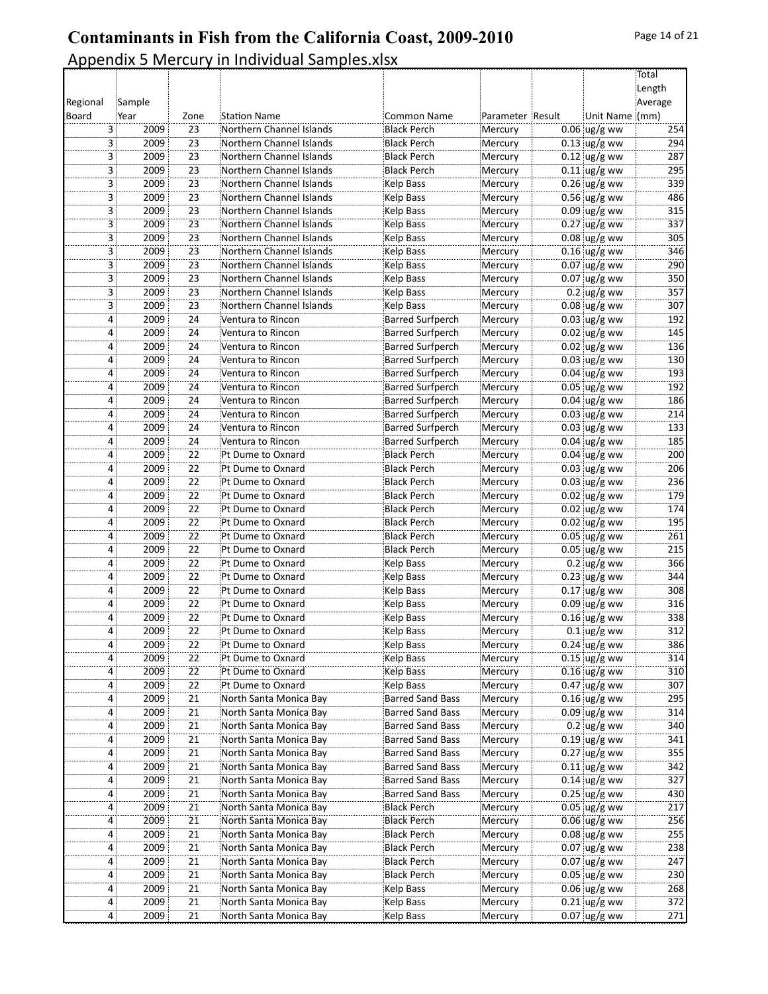|          |                        |                 |                          |                         |                  |                      | Total   |
|----------|------------------------|-----------------|--------------------------|-------------------------|------------------|----------------------|---------|
|          |                        |                 |                          |                         |                  |                      | Length  |
| Regional | Sample                 |                 |                          |                         |                  |                      | Average |
| Board    | Year                   | Zone            | <b>Station Name</b>      | <b>Common Name</b>      | Parameter Result | Unit Name (mm)       |         |
|          | 3<br>2009              | 23              | Northern Channel Islands | <b>Black Perch</b>      | Mercury          | $0.06$ ug/g ww       | 254     |
|          | 3<br>2009              | 23              | Northern Channel Islands | <b>Black Perch</b>      | Mercury          | $0.13$ ug/g ww       | 294     |
|          | 2009<br>3              | 23              | Northern Channel Islands | <b>Black Perch</b>      | Mercury          | $0.12$ ug/g ww       | 287     |
|          | 3 :<br>2009            | 23              | Northern Channel Islands | Black Perch             | Mercury          | $0.11$ ug/g ww       | 295     |
|          | 3<br>2009              | 23              | Northern Channel Islands | Kelp Bass               | Mercury          | $0.26$ ug/g ww       | 339     |
|          | 3<br>2009              | 23              | Northern Channel Islands | Kelp Bass               | Mercury          | $0.56$ ug/g ww       | 486     |
|          | 2009<br>3              | 23              | Northern Channel Islands | Kelp Bass               | Mercury          | $0.09$ ug/g ww       | 315     |
|          | 2009<br>3              | $\overline{23}$ | Northern Channel Islands | Kelp Bass               | Mercury          | $0.27$ ug/g ww       | 337     |
|          | 3 :<br>2009            | 23              | Northern Channel Islands | Kelp Bass               | Mercury          | $0.08$ ug/g ww       | 305     |
|          | 2009<br>3              | 23              | Northern Channel Islands | Kelp Bass               | Mercury          | $0.16$ ug/g ww       | 346     |
|          | 3<br>2009              | $\overline{23}$ | Northern Channel Islands | Kelp Bass               | Mercury          | $0.07$ ug/g ww       | 290     |
|          | 2009<br>3              | 23              | Northern Channel Islands | Kelp Bass               | Mercury          | $0.07$ ug/g ww       | 350     |
|          | 3<br>2009              | 23              | Northern Channel Islands | Kelp Bass               | Mercury          | $0.2$ ug/g ww        | 357     |
|          | 3 :<br>2009            | 23              | Northern Channel Islands | Kelp Bass               | Mercury          | $0.08$ ug/g ww       | 307     |
|          | 2009<br>4              | 24              | Ventura to Rincon        | <b>Barred Surfperch</b> | Mercury          | $0.03$ ug/g ww       | 192     |
|          | 2009<br>4              | $\overline{24}$ | Ventura to Rincon        | <b>Barred Surfperch</b> | Mercury          | $0.02$ ug/g ww       | 145     |
|          | 2009<br>4              | 24              | Ventura to Rincon        | <b>Barred Surfperch</b> | Mercury          | $0.02 \,$ ug/g ww    | 136     |
|          | 2009<br>4              | 24              | Ventura to Rincon        | <b>Barred Surfperch</b> | Mercury          | $0.03$ ug/g ww       | 130     |
|          | 2009<br>$\overline{4}$ | 24              | Ventura to Rincon        | <b>Barred Surfperch</b> | Mercury          | $0.04$ ug/g ww       | 193     |
|          | 2009<br>4              | 24              | Ventura to Rincon        | <b>Barred Surfperch</b> | Mercury          | $0.05$ ug/g ww       | 192     |
|          | 2009<br>4              | 24              | Ventura to Rincon        | <b>Barred Surfperch</b> | Mercury          | $0.04$ ug/g ww       | 186     |
|          | 2009<br>4              | 24              | Ventura to Rincon        | <b>Barred Surfperch</b> | Mercury          | $0.03$ ug/g ww       | 214     |
|          | 2009<br>4              | 24              | Ventura to Rincon        | <b>Barred Surfperch</b> | Mercury          | $0.03$ ug/g ww       | 133     |
|          | 2009<br>4              | 24              | Ventura to Rincon        | <b>Barred Surfperch</b> | Mercury          | $0.04$ ug/g ww       | 185     |
|          | 2009<br>4              | 22              | Pt Dume to Oxnard        | <b>Black Perch</b>      | Mercury          | $0.04$ ug/g ww       | 200     |
|          | 2009<br>4              | $\overline{22}$ | Pt Dume to Oxnard        | <b>Black Perch</b>      | Mercury          | $0.03$ ug/g ww       | 206     |
|          | 2009<br>4              | 22              | Pt Dume to Oxnard        | <b>Black Perch</b>      | Mercury          | $0.03$ ug/g ww       | 236     |
|          | 2009<br>4              | $\overline{22}$ | Pt Dume to Oxnard        | <b>Black Perch</b>      | Mercury          | $0.02$ ug/g ww       | 179     |
|          | 2009<br>$\overline{4}$ | 22              | Pt Dume to Oxnard        | <b>Black Perch</b>      | Mercury          | $0.02$ ug/g ww       | 174     |
|          | 2009<br>4              | 22              | Pt Dume to Oxnard        | <b>Black Perch</b>      | Mercury          | $0.02$ ug/g ww       | 195     |
|          | 2009<br>4              | $\overline{22}$ | Pt Dume to Oxnard        | <b>Black Perch</b>      | Mercury          | $0.05$ ug/g ww       | 261     |
|          | 2009<br>4              | 22              | Pt Dume to Oxnard        | <b>Black Perch</b>      | Mercury          | $0.05$ ug/g ww       | 215     |
|          | 2009<br>4              | 22              | Pt Dume to Oxnard        | Kelp Bass               | Mercury          | $0.2$ ug/g ww        | 366     |
|          | 2009<br>4              | 22              | Pt Dume to Oxnard        | Kelp Bass               | Mercury          | $0.23$ ug/g ww       | 344     |
|          | 2009<br>4              | 22              | Pt Dume to Oxnard        | Kelp Bass               | Mercury          | $0.17$ ug/g ww       | 308     |
|          | 2009<br>4              | $\overline{22}$ | Pt Dume to Oxnard        | Kelp Bass               | Mercury          | $0.09$ ug/g ww       | 316     |
|          | 2009<br>4              | $\overline{22}$ | Pt Dume to Oxnard        | Kelp Bass               | Mercury          | $0.16$ ug/g ww       | 338     |
|          | 2009<br>4              | 22              | Pt Dume to Oxnard        | Kelp Bass               | Mercury          | $0.1$ ug/g ww        | 312     |
|          | 4<br>2009              | 22              | Pt Dume to Oxnard        | Kelp Bass               | Mercury          | $0.24 \, \mu g/g$ ww | 386     |
|          | 2009                   | 22              | Pt Dume to Oxnard        | Kelp Bass               | Mercury          | $0.15$ ug/g ww       | 314     |
|          | 2009<br>4              | $\overline{22}$ | Pt Dume to Oxnard        | Kelp Bass               | Mercury          | $0.16$ ug/g ww       | 310     |
|          | 2009<br>4              | 22              | Pt Dume to Oxnard        | Kelp Bass               | Mercury          | $0.47$ ug/g ww       | 307     |
|          | 2009<br>4              | $\overline{21}$ | North Santa Monica Bay   | <b>Barred Sand Bass</b> | Mercury          | $0.16$ ug/g ww       | 295     |
|          | 2009<br>4              | 21              | North Santa Monica Bay   | Barred Sand Bass        | Mercury          | $0.09$ ug/g ww       | 314     |
|          | 2009<br>4              | 21              | North Santa Monica Bay   | <b>Barred Sand Bass</b> | Mercury          | $0.2$ ug/g ww        | 340     |
|          | 2009<br>4              | $\overline{21}$ | North Santa Monica Bay   | <b>Barred Sand Bass</b> | Mercury          | $0.19$ ug/g ww       | 341     |
|          | 2009<br>4              | 21              | North Santa Monica Bay   | <b>Barred Sand Bass</b> | Mercury          | $0.27$ ug/g ww       | 355     |
|          | 2009<br>4              | 21              | North Santa Monica Bay   | Barred Sand Bass        | Mercury          | $0.11$ ug/g ww       | 342     |
|          | 2009<br>4 :            | 21              | North Santa Monica Bay   | Barred Sand Bass        | Mercury          | $0.14$ ug/g ww       | 327     |
|          | 2009<br>4              | 21              | North Santa Monica Bay   | Barred Sand Bass        | Mercury          | $0.25$ ug/g ww       | 430     |
|          | 2009<br>4              | $\overline{21}$ | North Santa Monica Bay   | Black Perch             | Mercury          | $0.05$ ug/g ww       | 217     |
|          | 2009<br>4              | 21              | North Santa Monica Bay   | <b>Black Perch</b>      | Mercury          | $0.06$ ug/g ww       | 256     |
|          | 2009<br>4              | $\overline{21}$ | North Santa Monica Bay   | Black Perch             | Mercury          | $0.08$ ug/g ww       | 255     |
|          | 2009<br>4 :            | 21              | North Santa Monica Bay   | Black Perch             | Mercury          | $0.07$ ug/g ww       | 238     |
|          | 2009                   | 21              | North Santa Monica Bay   | <b>Black Perch</b>      | Mercury          | $0.07$ ug/g ww       | 247     |
|          | 2009<br>4              | $\overline{21}$ | North Santa Monica Bay   | Black Perch             | Mercury          | $0.05$ ug/g ww       | 230     |
|          | 2009<br>4              | 21              | North Santa Monica Bay   | Kelp Bass               | Mercury          | $0.06$ ug/g ww       | 268     |
|          | 2009<br>4              | 21              | North Santa Monica Bay   | Kelp Bass               | Mercury          | $0.21$ ug/g ww       | 372     |
|          | 4:<br>2009             | 21              | North Santa Monica Bay   | Kelp Bass               | Mercury          | $0.07$ ug/g ww       | 271     |
|          |                        |                 |                          |                         |                  |                      |         |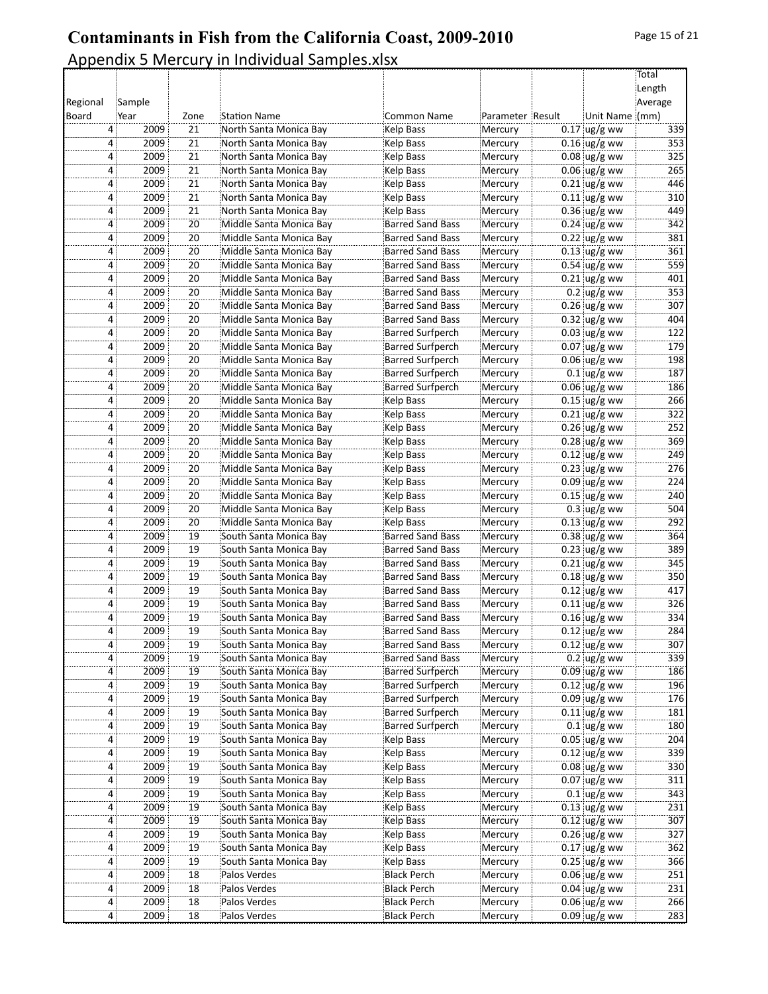|          |                        |                 |                         |                         |                    |                | Total   |
|----------|------------------------|-----------------|-------------------------|-------------------------|--------------------|----------------|---------|
|          |                        |                 |                         |                         |                    |                | Length  |
| Regional | Sample                 |                 |                         |                         |                    |                | Average |
| Board    | Year                   | Zone            | <b>Station Name</b>     | Common Name             | Parameter Result   | Unit Name (mm) |         |
|          | 4<br>2009              | 21              | North Santa Monica Bay  | Kelp Bass               | Mercury<br>Mercury | $0.17$ ug/g ww | 339     |
|          | 2009<br>4              | 21              | North Santa Monica Bay  | Kelp Bass               |                    | $0.16$ ug/g ww | 353     |
|          | 2009<br>4              | 21              | North Santa Monica Bay  | Kelp Bass               | Mercury            | $0.08$ ug/g ww | 325     |
|          | 2009<br>4              | 21              | North Santa Monica Bay  | Kelp Bass               | Mercury            | $0.06$ ug/g ww | 265     |
|          | 2009<br>4              | 21              | North Santa Monica Bay  | Kelp Bass               | Mercury            | $0.21$ ug/g ww | 446     |
|          | 2009<br>4              | $\overline{21}$ | North Santa Monica Bay  | <b>Kelp Bass</b>        | Mercury            | $0.11$ ug/g ww | 310     |
|          | 2009<br>4              | 21              | North Santa Monica Bay  | Kelp Bass               | Mercury            | $0.36$ ug/g ww | 449     |
|          | 2009<br>4              | $\overline{20}$ | Middle Santa Monica Bay | <b>Barred Sand Bass</b> | Mercury            | $0.24$ ug/g ww | 342     |
|          | 2009<br>4              | 20              | Middle Santa Monica Bay | <b>Barred Sand Bass</b> | Mercury            | $0.22$ ug/g ww | 381     |
|          | 2009<br>4              | 20              | Middle Santa Monica Bay | <b>Barred Sand Bass</b> | Mercury            | $0.13$ ug/g ww | 361     |
|          | 2009<br>4              | $\overline{20}$ | Middle Santa Monica Bay | <b>Barred Sand Bass</b> | Mercury            | $0.54$ ug/g ww | 559     |
|          | 2009<br>4              | 20              | Middle Santa Monica Bay | <b>Barred Sand Bass</b> | Mercury            | $0.21$ ug/g ww | 401     |
|          | 2009<br>4              | 20              | Middle Santa Monica Bay | <b>Barred Sand Bass</b> | Mercury            | $0.2$ ug/g ww  | 353     |
|          | 2009<br>4              | 20              | Middle Santa Monica Bay | <b>Barred Sand Bass</b> | Mercury            | $0.26$ ug/g ww | 307     |
|          | 2009<br>4              | 20              | Middle Santa Monica Bay | <b>Barred Sand Bass</b> | Mercury            | $0.32$ ug/g ww | 404     |
|          | 2009<br>4              | $\overline{20}$ | Middle Santa Monica Bay | <b>Barred Surfperch</b> | Mercury            | $0.03$ ug/g ww | 122     |
|          | 2009<br>4              | 20              | Middle Santa Monica Bay | <b>Barred Surfperch</b> | Mercury            | $0.07$ ug/g ww | 179     |
|          | 2009<br>4              | $\overline{20}$ | Middle Santa Monica Bay | <b>Barred Surfperch</b> | Mercury            | $0.06$ ug/g ww | 198     |
|          | 2009<br>$\overline{4}$ | 20              | Middle Santa Monica Bay | <b>Barred Surfperch</b> | Mercury            | $0.1$ ug/g ww  | 187     |
|          | 2009<br>4              | 20              | Middle Santa Monica Bay | <b>Barred Surfperch</b> | Mercury            | $0.06$ ug/g ww | 186     |
|          | 2009<br>4              | 20              | Middle Santa Monica Bay | <b>Kelp Bass</b>        | Mercury            | $0.15$ ug/g ww | 266     |
|          | 2009<br>4              | 20              | Middle Santa Monica Bay | Kelp Bass               | Mercury            | $0.21$ ug/g ww | 322     |
|          | 2009<br>4              | 20              | Middle Santa Monica Bay | Kelp Bass               | Mercury            | $0.26$ ug/g ww | 252     |
|          | 2009<br>4              | 20              | Middle Santa Monica Bay | Kelp Bass               | Mercury            | $0.28$ ug/g ww | 369     |
|          | 2009<br>4              | 20              | Middle Santa Monica Bay | Kelp Bass               | Mercury            | $0.12$ ug/g ww | 249     |
|          | 2009<br>4              | $\overline{20}$ | Middle Santa Monica Bay | Kelp Bass               | Mercury            | $0.23$ ug/g ww | 276     |
|          | 2009<br>4              | 20              | Middle Santa Monica Bay | Kelp Bass               | Mercury            | $0.09$ ug/g ww | 224     |
|          | 2009<br>4              | $\overline{20}$ | Middle Santa Monica Bay | Kelp Bass               | Mercury            | $0.15$ ug/g ww | 240     |
|          | 2009<br>$\overline{4}$ | 20              | Middle Santa Monica Bay | Kelp Bass               | Mercury            | $0.3$ ug/g ww  | 504     |
|          | 2009<br>4              | 20              | Middle Santa Monica Bay | Kelp Bass               | Mercury            | $0.13$ ug/g ww | 292     |
|          | 2009<br>4              | $\overline{19}$ | South Santa Monica Bay  | Barred Sand Bass        | Mercury            | $0.38$ ug/g ww | 364     |
|          | 2009<br>4              | 19              | South Santa Monica Bay  | <b>Barred Sand Bass</b> | Mercury            | $0.23$ ug/g ww | 389     |
|          | 2009<br>4              | 19              | South Santa Monica Bay  | <b>Barred Sand Bass</b> | Mercury            | $0.21$ ug/g ww | 345     |
|          | 2009<br>4              | 19              | South Santa Monica Bay  | <b>Barred Sand Bass</b> | Mercury            | $0.18$ ug/g ww | 350     |
|          | 2009<br>4              | 19              | South Santa Monica Bay  | <b>Barred Sand Bass</b> | Mercury            | $0.12$ ug/g ww | 417     |
|          | 2009<br>4              | $\overline{19}$ | South Santa Monica Bay  | <b>Barred Sand Bass</b> | Mercury            | $0.11$ ug/g ww | 326     |
|          | 2009<br>4              | 19              | South Santa Monica Bay  | <b>Barred Sand Bass</b> | Mercury            | $0.16$ ug/g ww | 334     |
|          | 2009<br>4              | 19              | South Santa Monica Bav  | <b>Barred Sand Bass</b> | Mercury            | $0.12$ ug/g ww | 284     |
|          | 2009<br>4              | 19              | South Santa Monica Bay  | Barred Sand Bass        | Mercury            | $0.12$ ug/g ww | 307     |
|          | 2009                   | 19              | South Santa Monica Bay  | <b>Barred Sand Bass</b> | Mercury            | $0.2$ ug/g ww  | 339     |
|          | 2009<br>4              | $\overline{19}$ | South Santa Monica Bay  | <b>Barred Surfperch</b> | Mercury            | $0.09$ ug/g ww | 186     |
|          | 2009<br>4              | 19              | South Santa Monica Bay  | <b>Barred Surfperch</b> | Mercury            | $0.12$ ug/g ww | 196     |
|          | 2009<br>4              | 19              | South Santa Monica Bay  | <b>Barred Surfperch</b> | Mercury            | $0.09$ ug/g ww | 176     |
|          | 2009<br>4              | 19              | South Santa Monica Bay  | <b>Barred Surfperch</b> | Mercury            | $0.11$ ug/g ww | 181     |
|          | 2009<br>4              | 19              | South Santa Monica Bay  | <b>Barred Surfperch</b> | Mercury            | $0.1$ ug/g ww  | 180     |
|          | 2009<br>4              | $\overline{19}$ | South Santa Monica Bay  | Kelp Bass               | Mercury            | $0.05$ ug/g ww | 204     |
|          | 2009<br>4              | 19              | South Santa Monica Bay  | Kelp Bass               | Mercury            | $0.12$ ug/g ww | 339     |
|          | 2009<br>4              | $\overline{19}$ | South Santa Monica Bay  | Kelp Bass               | Mercury            | $0.08$ ug/g ww | 330     |
|          | 2009<br>4 :            | 19              | South Santa Monica Bay  | Kelp Bass               | Mercury            | $0.07$ ug/g ww | 311     |
|          | 2009<br>4              | 19              | South Santa Monica Bay  | Kelp Bass               | Mercury            | $0.1$ ug/g ww  | 343     |
|          | 2009<br>4              | $\overline{19}$ | South Santa Monica Bay  | Kelp Bass               | Mercury            | $0.13$ ug/g ww | 231     |
|          | 2009<br>4              | 19              | South Santa Monica Bay  | Kelp Bass               | Mercury            | $0.12$ ug/g ww | 307     |
|          | 2009<br>4              | 19              | South Santa Monica Bay  | Kelp Bass               | Mercury            | $0.26$ ug/g ww | 327     |
|          | 2009<br>4 :            | 19              | South Santa Monica Bay  | Kelp Bass               | Mercury            | $0.17$ ug/g ww | 362     |
|          | 2009                   | 19              | South Santa Monica Bay  | Kelp Bass               | Mercury            | $0.25$ ug/g ww | 366     |
|          | 2009<br>4              | $\overline{18}$ | Palos Verdes            | <b>Black Perch</b>      | Mercury            | $0.06$ ug/g ww | 251     |
|          | 2009<br>4              | 18              | Palos Verdes            | <b>Black Perch</b>      | Mercury            | $0.04$ ug/g ww | 231     |
|          | 2009<br>4              | $\overline{18}$ | Palos Verdes            | Black Perch             | Mercury            | $0.06$ ug/g ww | 266     |
|          | 4:<br>2009             | 18              | Palos Verdes            | Black Perch             | Mercury            | $0.09$ ug/g ww | 283     |
|          |                        |                 |                         |                         |                    |                |         |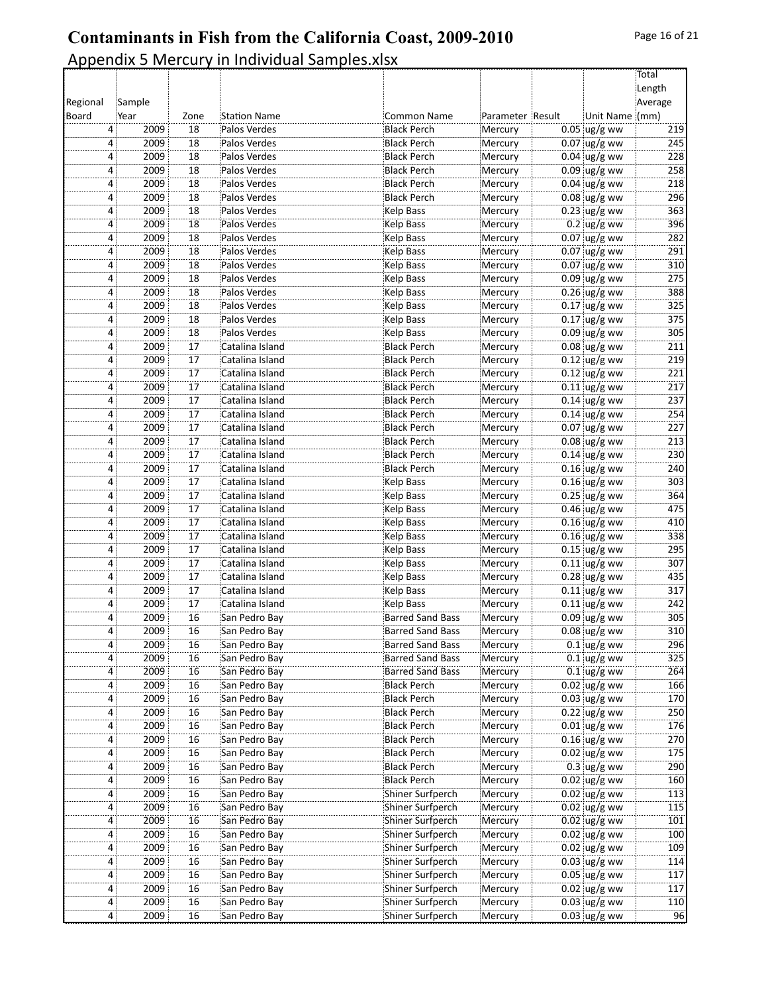Total  $Length$ Average(

# **Contaminants in Fish from the California Coast, 2009-2010** Appendix 5 Mercury in Individual Samples.xlsx Regional Sample( Board Year | Zone Station Name | Common Name Parameter Result Unit Name (mm) 4 2009 18 Palos Verdes Black Perch Mercury 0.05 ug/g ww 219 4 2009 18 Palos Verdes Black Perch Mercury 0.07 ug/g ww 245<br>4 2009 18 Palos Verdes Black Perch Mercury 0.04 ug/g ww 228 4 2009 18 Palos Verdes Black Perch Mercury 0.04 ug/g ww 228 2009 18 Palos(Verdes Black(Perch Mercury 0.09 ug/g(ww 258 ...

|                | zuus | ΤO                    | Palus verues    | <b>DIALK PEILII</b>     | <b>IVIETCUTY</b> | $0.09$ ag/g ww       | 250 |
|----------------|------|-----------------------|-----------------|-------------------------|------------------|----------------------|-----|
| 4              | 2009 | 18                    | Palos Verdes    | Black Perch             | Mercury          | $0.04 \,$ ug/g ww    | 218 |
| 4              | 2009 | 18                    | Palos Verdes    | <b>Black Perch</b>      | Mercury          | $0.08$ ug/g ww       | 296 |
| $\overline{4}$ | 2009 | 18                    | Palos Verdes    | Kelp Bass               | Mercury          | $0.23$ ug/g ww       | 363 |
| 4              | 2009 | 18                    | Palos Verdes    | Kelp Bass               | Mercury          | $0.2$ ug/g ww        | 396 |
| 4:             | 2009 | 18                    | Palos Verdes    | Kelp Bass               | Mercury          | $0.07$ ug/g ww       | 282 |
| 4              | 2009 | 18                    | Palos Verdes    | Kelp Bass               | Mercury          | $0.07$ ug/g ww       | 291 |
| $\overline{4}$ | 2009 | 18                    | Palos Verdes    | Kelp Bass               | Mercury          | $0.07$ ug/g ww       | 310 |
| $\overline{4}$ | 2009 | 18                    | Palos Verdes    | Kelp Bass               | Mercury          | $0.09$ ug/g ww       | 275 |
| 4              | 2009 | 18                    | Palos Verdes    | Kelp Bass               | Mercury          | $0.26$ ug/g ww       | 388 |
| 4:             | 2009 | 18                    | Palos Verdes    | Kelp Bass               | Mercury          | $0.17$ ug/g ww       | 325 |
| 4              | 2009 | 18                    | Palos Verdes    | Kelp Bass               | Mercury          | $0.17$ ug/g ww       | 375 |
|                |      |                       |                 |                         |                  |                      |     |
| 4              | 2009 | 18<br>$\overline{17}$ | Palos Verdes    | Kelp Bass               | Mercury          | $0.09$ ug/g ww       | 305 |
| $\overline{4}$ | 2009 |                       | Catalina Island | <b>Black Perch</b>      | Mercury          | $0.08$ ug/g ww       | 211 |
| 4 :            | 2009 | 17                    | Catalina Island | <b>Black Perch</b>      | Mercury          | $0.12$ ug/g ww       | 219 |
| 4              | 2009 | 17                    | Catalina Island | <b>Black Perch</b>      | Mercury          | $0.12$ ug/g ww       | 221 |
| 4              | 2009 | 17                    | Catalina Island | <b>Black Perch</b>      | Mercury          | $0.11$ ug/g ww       | 217 |
| $\overline{4}$ | 2009 | $\overline{17}$       | Catalina Island | Black Perch             | Mercury          | $0.14$ ug/g ww       | 237 |
| $\overline{4}$ | 2009 | $\overline{17}$       | Catalina Island | Black Perch             | Mercury          | $0.14$ ug/g ww       | 254 |
| 4 :            | 2009 | 17                    | Catalina Island | <b>Black Perch</b>      | Mercury          | $0.07$ ug/g ww       | 227 |
| 4:             | 2009 | 17                    | Catalina Island | <b>Black Perch</b>      | Mercury          | $0.08$ ug/g ww       | 213 |
| 4              | 2009 | 17                    | Catalina Island | <b>Black Perch</b>      | Mercury          | $0.14$ ug/g ww       | 230 |
| 4              | 2009 | 17                    | Catalina Island | Black Perch             | Mercury          | $0.16$ ug/g ww       | 240 |
| $\overline{4}$ | 2009 | $\overline{17}$       | Catalina Island | Kelp Bass               | Mercury          | $0.16$ ug/g ww       | 303 |
| 4 :            | 2009 | 17                    | Catalina Island | Kelp Bass               | Mercury          | $0.25$ ug/g ww       | 364 |
| 4:             | 2009 | 17                    | Catalina Island | Kelp Bass               | Mercury          | $0.46$ ug/g ww       | 475 |
| 4              | 2009 | 17                    | Catalina Island | Kelp Bass               | Mercury          | $0.16$ ug/g ww       | 410 |
| 4              | 2009 | $\overline{17}$       | Catalina Island | Kelp Bass               | Mercury          | $0.16$ ug/g ww       | 338 |
| 4              | 2009 | $\overline{17}$       | Catalina Island | Kelp Bass               | Mercury          | $0.15$ ug/g ww       | 295 |
| 4              | 2009 | 17                    | Catalina Island | Kelp Bass               | Mercury          | $0.11$ ug/g ww       | 307 |
| 4:             | 2009 | 17                    | Catalina Island | Kelp Bass               | Mercury          | $0.28$ ug/g ww       | 435 |
| 4              | 2009 | 17                    | Catalina Island | Kelp Bass               | Mercury          | $0.11$ ug/g ww       | 317 |
| 4              | 2009 | 17                    | Catalina Island | Kelp Bass               | Mercury          | $0.11$ ug/g ww       | 242 |
| 4              | 2009 | 16                    |                 | <b>Barred Sand Bass</b> |                  | $0.09$ ug/g ww       | 305 |
|                | 2009 | 16                    | San Pedro Bay   | <b>Barred Sand Bass</b> | Mercury          |                      | 310 |
| 4              |      |                       | San Pedro Bay   |                         | Mercury          | $0.08$ ug/g ww       |     |
| 4:             | 2009 | 16                    | San Pedro Bay   | <b>Barred Sand Bass</b> | Mercury          | $0.1$ ug/g ww        | 296 |
| 4              | 2009 | 16                    | San Pedro Bay   | <b>Barred Sand Bass</b> | Mercury          | $0.1$ ug/g ww        | 325 |
| $\overline{4}$ | 2009 | 16                    | San Pedro Bay   | <b>Barred Sand Bass</b> | Mercury          | $0.1$ ug/g ww        | 264 |
| $\overline{4}$ | 2009 | 16                    | San Pedro Bay   | Black Perch             | Mercury          | $0.02 \, \mu g/g$ ww | 166 |
| 4              | 2009 | 16                    | San Pedro Bay   | Black Perch             | Mercury          | $0.03$ ug/g ww       | 170 |
| 4 <sup>1</sup> | 2009 | 16                    | San Pedro Bay   | <b>Black Perch</b>      | Mercury          | $0.22$ ug/g ww       | 250 |
| 4 :            | 2009 | 16                    | San Pedro Bay   | <b>Black Perch</b>      | Mercury          | $0.01$ ug/g ww       | 176 |
| 4 <sup>1</sup> | 2009 | 16                    | San Pedro Bay   | Black Perch             | Mercury          | $0.16$ ug/g ww       | 270 |
| 4:             | 2009 | 16                    | San Pedro Bay   | Black Perch             | Mercury          | $0.02$ ug/g ww       | 175 |
| 4:             | 2009 | 16                    | San Pedro Bay   | Black Perch             | Mercury          | $0.3$ ug/g ww        | 290 |
| 4 <sup>1</sup> | 2009 | 16                    | San Pedro Bay   | Black Perch             | Mercury          | $0.02$ ug/g ww       | 160 |
| $\overline{4}$ | 2009 | 16                    | San Pedro Bay   | Shiner Surfperch        | Mercury          | $0.02$ ug/g ww       | 113 |
| 4 <sup>1</sup> | 2009 | 16                    | San Pedro Bay   | Shiner Surfperch        | Mercury          | $0.02$ ug/g ww       | 115 |
| 4:             | 2009 | 16                    | San Pedro Bay   | Shiner Surfperch        | Mercury          | $0.02$ ug/g ww       | 101 |
| 4 <sup>1</sup> | 2009 | 16                    | San Pedro Bay   | Shiner Surfperch        | Mercury          | $0.02$ ug/g ww       | 100 |
| 4 <sup>1</sup> | 2009 | 16                    | San Pedro Bay   | Shiner Surfperch        | Mercury          | $0.02$ ug/g ww       | 109 |
| 4:             | 2009 | 16                    | San Pedro Bay   | Shiner Surfperch        | Mercury          | $0.03$ ug/g ww       | 114 |
| 4              | 2009 | 16                    | San Pedro Bay   | Shiner Surfperch        | Mercury          | $0.05$ ug/g ww       | 117 |
| 4:             | 2009 | 16                    | San Pedro Bay   | Shiner Surfperch        | Mercury          | $0.02$ ug/g ww       | 117 |
| 4:             | 2009 | 16                    | San Pedro Bay   | Shiner Surfperch        | Mercury          | $0.03$ ug/g ww       | 110 |
| 4:             | 2009 | 16                    | San Pedro Bay   | Shiner Surfperch        | Mercury          | $0.03$ ug/g ww       | 96  |
|                |      |                       |                 |                         |                  |                      |     |

 $\ddot{\phantom{a}}$ 

 $\ddot{\phantom{a}}$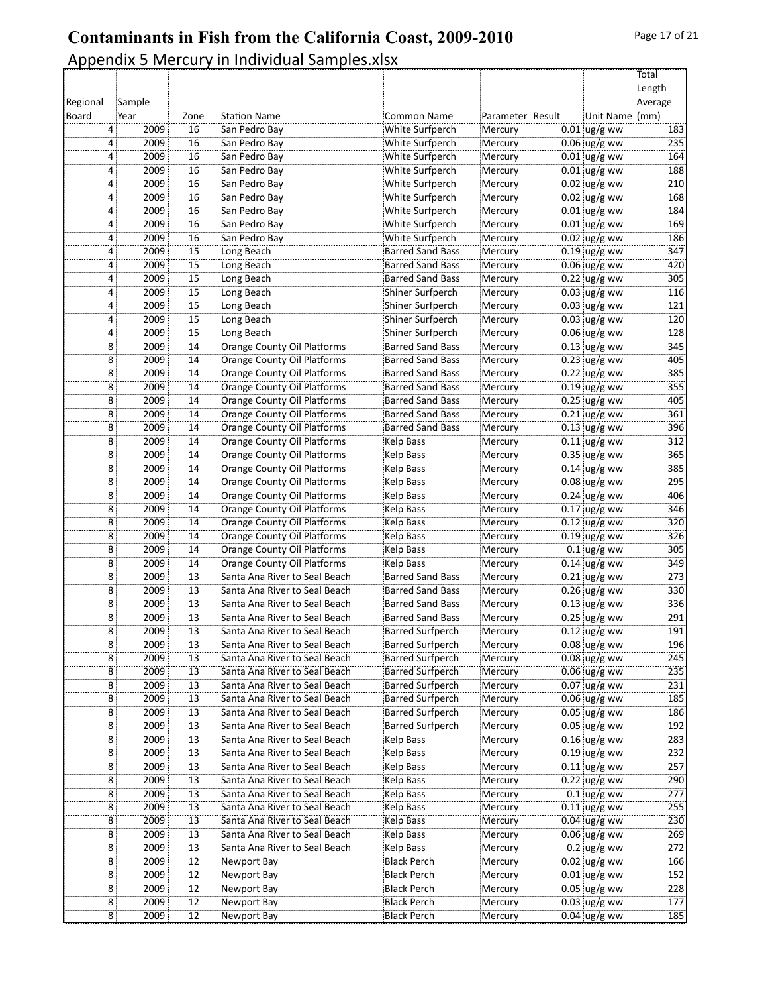|          |                        |                       |                                                                |                                             |                    |                          | Total      |
|----------|------------------------|-----------------------|----------------------------------------------------------------|---------------------------------------------|--------------------|--------------------------|------------|
|          |                        |                       |                                                                |                                             |                    |                          | Length     |
| Regional | Sample                 |                       |                                                                |                                             |                    |                          | Average    |
| Board    | Year                   | Zone                  | <b>Station Name</b>                                            | Common Name                                 | Parameter Result   | Unit Name (mm)           |            |
|          | 2009<br>4              | 16                    | San Pedro Bay                                                  | White Surfperch                             | Mercury            | $0.01$ ug/g ww           | 183        |
|          | 2009<br>4              | 16                    | San Pedro Bay                                                  | White Surfperch                             | Mercury            | $0.06$ ug/g ww           | 235        |
|          | 2009<br>4              | 16                    | San Pedro Bay                                                  | White Surfperch                             | Mercury            | $0.01$ ug/g ww           | 164        |
|          | 2009<br>$\overline{4}$ | 16                    | San Pedro Bay                                                  | White Surfperch                             | Mercury            | $0.01$ ug/g ww           | 188        |
|          | 2009<br>4              | 16                    | San Pedro Bay                                                  | White Surfperch                             | Mercury            | $0.02$ ug/g ww           | 210        |
|          | 2009<br>4              | 16                    | San Pedro Bay                                                  | White Surfperch                             | Mercury            | $0.02$ ug/g ww           | 168        |
|          | 2009<br>4              | 16                    | San Pedro Bay                                                  | White Surfperch                             | Mercury            | $0.01$ ug/g ww           | 184        |
|          | 2009<br>4              | 16                    | San Pedro Bay                                                  | White Surfperch                             | Mercury            | $0.01$ ug/g ww           | 169        |
|          | 4:<br>2009             | 16                    | San Pedro Bay                                                  | White Surfperch                             | Mercury            | $0.02$ ug/g ww           | 186        |
|          | 2009<br>4              | 15                    | Long Beach                                                     | <b>Barred Sand Bass</b>                     | Mercury            | $0.19$ ug/g ww           | 347        |
|          | 2009<br>4              | 15                    | Long Beach                                                     | <b>Barred Sand Bass</b>                     | Mercury            | $0.06$ ug/g ww           | 420        |
|          | 2009<br>4:             | $\overline{15}$       | Long Beach                                                     | <b>Barred Sand Bass</b>                     | Mercury            | 0.22 ug/g ww             | 305        |
|          | 2009<br>4              | 15                    | Long Beach                                                     | Shiner Surfperch                            | Mercury            | $0.03$ ug/g ww           | 116        |
|          | 4:<br>2009             | 15                    | Long Beach                                                     | Shiner Surfperch                            | Mercury            | $0.03$ ug/g ww           | 121        |
|          | 2009<br>4              | 15                    | Long Beach                                                     | Shiner Surfperch                            | Mercury            | $0.03$ ug/g ww           | 120        |
|          | 2009<br>4              | 15                    | Long Beach                                                     | Shiner Surfperch                            | Mercury            | $0.06$ ug/g ww           | 128        |
|          | 2009<br>8              | 14                    | Orange County Oil Platforms                                    | <b>Barred Sand Bass</b>                     | Mercury            | $0.13$ ug/g ww           | 345        |
|          | 2009<br>8 <sup>1</sup> | 14                    | Orange County Oil Platforms                                    | Barred Sand Bass                            | Mercury            | $0.23$ ug/g ww           | 405        |
|          | 8 <sup>1</sup><br>2009 | 14                    | Orange County Oil Platforms                                    | Barred Sand Bass                            | Mercury            | $0.22$ ug/g ww           | 385        |
|          | 2009<br>8              | 14                    | Orange County Oil Platforms                                    | <b>Barred Sand Bass</b>                     | Mercury            | $0.19$ ug/g ww           | 355        |
|          | 2009<br>8              | 14                    | Orange County Oil Platforms                                    | <b>Barred Sand Bass</b>                     | Mercury            | $0.25$ ug/g ww           | 405        |
|          | 8<br>2009              | 14                    | Orange County Oil Platforms                                    | <b>Barred Sand Bass</b>                     | Mercury            | $0.21$ ug/g ww           | 361        |
|          | 8:<br>2009             | 14                    | Orange County Oil Platforms                                    | <b>Barred Sand Bass</b>                     | Mercury            | $0.13$ ug/g ww           | 396        |
|          | 8 <sup>1</sup><br>2009 | 14                    | Orange County Oil Platforms                                    | Kelp Bass                                   | Mercury            | $0.11$ ug/g ww           | 312        |
|          | 2009<br>8              | 14                    | Orange County Oil Platforms                                    | Kelp Bass                                   | Mercury            | $0.35$ ug/g ww           | 365        |
|          | 2009<br>8              | 14                    | Orange County Oil Platforms                                    | Kelp Bass                                   | Mercury            | $0.14 \,$ ug/g ww        | 385        |
|          | 8 <sup>3</sup><br>2009 | 14                    | Orange County Oil Platforms                                    | Kelp Bass                                   | Mercury            | 0.08 ug/g ww             | 295        |
|          | 8 <sup>1</sup><br>2009 | 14                    | Orange County Oil Platforms                                    | Kelp Bass                                   | Mercury            | $0.24$ ug/g ww           | 406        |
|          | 8 <sup>1</sup><br>2009 | 14                    | Orange County Oil Platforms                                    | Kelp Bass                                   | Mercury            | $0.17$ ug/g ww           | 346        |
|          | 2009<br>8              | 14                    | Orange County Oil Platforms                                    | Kelp Bass                                   | Mercury            | $0.12$ ug/g ww           | 320        |
|          | 2009<br>8              | 14                    | Orange County Oil Platforms                                    | Kelp Bass                                   | Mercury            | $0.19$ ug/g ww           | 326        |
|          | 8 <sup>1</sup><br>2009 | 14                    | Orange County Oil Platforms                                    | Kelp Bass                                   | Mercury            | $0.1$ ug/g ww            | 305        |
|          | 8 <sup>1</sup><br>2009 | 14                    | Orange County Oil Platforms                                    | Kelp Bass                                   | Mercury            | $0.14$ ug/g ww           | 349        |
|          | 8 <sup>1</sup><br>2009 | 13                    | Santa Ana River to Seal Beach                                  | Barred Sand Bass                            |                    |                          | 273        |
|          | 2009                   |                       | Santa Ana River to Seal Beach                                  | <b>Barred Sand Bass</b>                     | Mercury<br>Mercury | $0.21$ ug/g ww           |            |
|          | 8:                     | 13                    |                                                                |                                             |                    | $0.26$ ug/g ww           | 330        |
|          | 2009<br>8<br>2009<br>8 | 13<br>$\overline{13}$ | Santa Ana River to Seal Beach<br>Santa Ana River to Seal Beach | Barred Sand Bass<br><b>Barred Sand Bass</b> | Mercury            | $0.13$ ug/g ww           | 336<br>291 |
|          | 2009                   | $\overline{13}$       |                                                                |                                             | Mercury            | $0.25$ ug/g ww           | 191        |
|          | $\overline{8}$         |                       | Santa Ana River to Seal Beach                                  | <b>Barred Surfperch</b>                     | Mercury            | $0.12$ ug/g ww           |            |
|          | 8<br>2009              | 13                    | Santa Ana River to Seal Beach                                  | <b>Barred Surfperch</b>                     | Mercury            | $0.08 \, \text{ug/g}$ ww | 196        |
|          | 2009<br>8              | 13                    | Santa Ana River to Seal Beach                                  | <b>Barred Surfperch</b>                     | Mercury            | $0.08$ ug/g ww           | 245        |
|          | 2009<br>8              | 13                    | Santa Ana River to Seal Beach                                  | <b>Barred Surfperch</b>                     | Mercury            | $0.06$ ug/g ww           | 235        |
|          | 8 <sup>1</sup><br>2009 | $\overline{13}$       | Santa Ana River to Seal Beach                                  | <b>Barred Surfperch</b>                     | Mercury            | $0.07$ ug/g ww           | 231        |
|          | 8<br>2009              | $\overline{13}$       | Santa Ana River to Seal Beach                                  | Barred Surfperch                            | Mercury            | $0.06$ ug/g ww           | 185        |
|          | 8:<br>2009             | 13                    | Santa Ana River to Seal Beach                                  | Barred Surfperch                            | Mercury            | $0.05$ ug/g ww           | 186        |
|          | 2009<br>8              | 13                    | Santa Ana River to Seal Beach                                  | <b>Barred Surfperch</b>                     | Mercury            | $0.05$ ug/g ww           | 192        |
|          | 2009<br>8              | 13                    | Santa Ana River to Seal Beach                                  | Kelp Bass                                   | Mercury            | $0.16$ ug/g ww           | 283        |
|          | 2009<br>8              | $\overline{13}$       | Santa Ana River to Seal Beach                                  | Kelp Bass                                   | Mercury            | $0.19$ ug/g ww           | 232        |
|          | 8 <sup>1</sup><br>2009 | 13                    | Santa Ana River to Seal Beach                                  | Kelp Bass                                   | Mercury            | $0.11$ ug/g ww           | 257        |
|          | 8:<br>2009             | 13                    | Santa Ana River to Seal Beach                                  | Kelp Bass                                   | Mercury            | $0.22$ ug/g ww           | 290        |
|          | 2009<br>8:             | 13                    | Santa Ana River to Seal Beach                                  | Kelp Bass                                   | Mercury            | $0.1$ ug/g ww            | 277        |
|          | 2009<br>8              | 13                    | Santa Ana River to Seal Beach                                  | Kelp Bass                                   | Mercury            | $0.11$ ug/g ww           | 255        |
|          | 8 <sup>1</sup><br>2009 | $\overline{13}$       | Santa Ana River to Seal Beach                                  | Kelp Bass                                   | Mercury            | $0.04$ ug/g ww           | 230        |
|          | 8 <sup>1</sup><br>2009 | 13                    | Santa Ana River to Seal Beach                                  | Kelp Bass                                   | Mercury            | $0.06$ ug/g ww           | 269        |
|          | 8<br>2009              | 13                    | Santa Ana River to Seal Beach                                  | Kelp Bass                                   | Mercury            | $0.2$ ug/g ww            | 272        |
|          | 2009<br>8              | 12                    | Newport Bay                                                    | Black Perch                                 | Mercury            | $0.02$ ug/g ww           | 166        |
|          | 2009<br>8              | 12                    | Newport Bay                                                    | <b>Black Perch</b>                          | Mercury            | $0.01$ ug/g ww           | 152        |
|          | 8 <sup>1</sup><br>2009 | $\overline{12}$       | Newport Bay                                                    | <b>Black Perch</b>                          | Mercury            | $0.05$ ug/g ww           | 228        |
|          | 8 <sup>1</sup><br>2009 | 12                    | Newport Bay                                                    | Black Perch                                 | Mercury            | $0.03$ ug/g ww           | 177        |
|          | 8 <sup>1</sup><br>2009 | 12                    | Newport Bay                                                    | Black Perch                                 | Mercury            | $0.04$ ug/g ww           | 185        |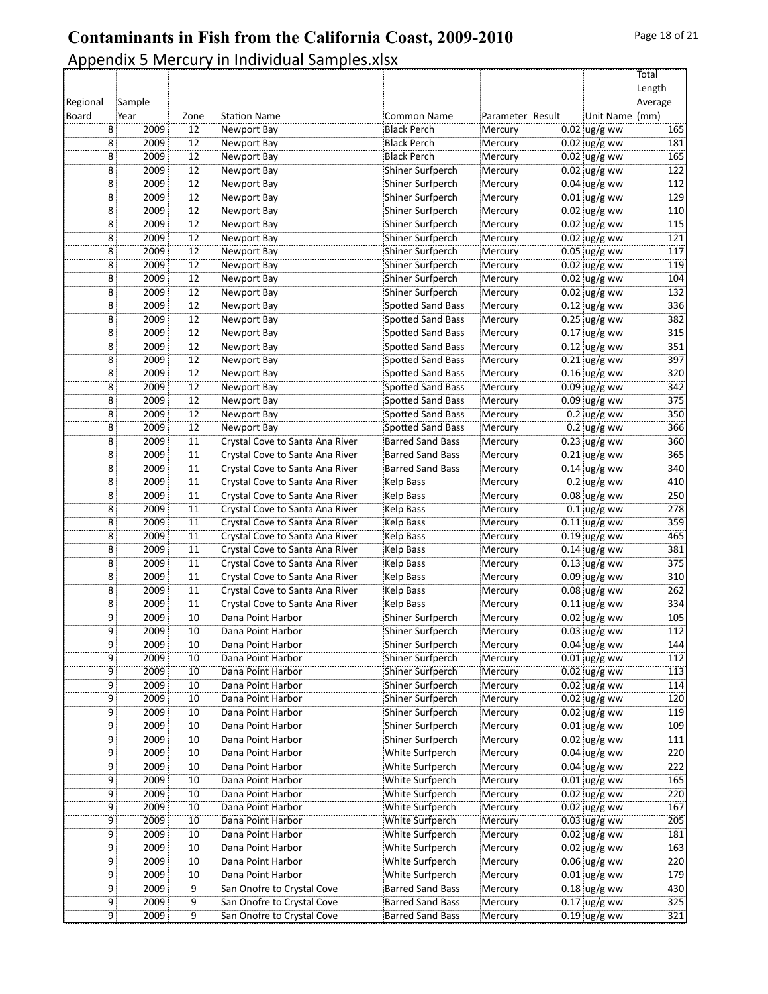#### Appendix 5 Mercury in Individual Samples.xlsx Regional Board Sample( Year Zone Station Name Common Name Parameter Result **Total** Length **Average** Unit Name (mm) 8 2009 12 Newport Bay Black Perch Mercury 0.02 ug/g ww 165 8 2009 12 Newport Bay Black Perch Mercury 0.02 ug/g ww 181 8 2009 12 Newport Bay Black Perch Mercury 0.02 ug/g ww 165 8 2009 12 Newport Bay Shiner Surfperch Mercury 0.02 ug/g ww 122 8 2009 12 Newport Bay Shiner Surfperch Mercury 0.04 ug/g ww 112 8 2009 12 Newport Bay Shiner Surfperch Mercury 0.01 ug/g ww 129 8 2009 12 Newport Bay Shiner Surfperch Mercury 0.02 ug/g ww 110 8 2009 12 Newport Bay Shiner Surfperch Mercury 0.02 ug/g ww 115 8 2009 12 Newport Bay Shiner Surfperch Mercury 0.02 ug/g ww 121 8 2009 12 Newport Bay Shiner Surfperch Mercury 0.05 ug/g ww 117 8 2009 12 Newport Bay Shiner Surfperch Mercury 0.02 ug/g ww 119 8 2009 12 Newport Bay Shiner Surfperch Mercury 0.02 ug/g ww 104 8 2009 12 Newport Bay Shiner Surfperch Mercury 0.02 ug/g ww 132 8 2009 12 Newport Bay Spotted Sand Bass Mercury 0.12 ug/g ww 336 8 2009 12 Newport Bay Spotted Sand Bass Mercury 0.25 ug/g ww 382 8 2009 12 Newport Bay Spotted Sand Bass Mercury 0.17 ug/g ww 315 8 2009 12 Newport Bay Spotted Sand Bass Mercury 0.12 ug/g ww 351 8 2009 12 Newport Bay Spotted Sand Bass Mercury 0.21 ug/g ww 397 8 2009 12 Newport Bay Spotted Sand Bass Mercury 0.16 ug/g ww 320 8 2009 12 Newport Bay Spotted Sand Bass Mercury 0.09 ug/g ww 342 8 2009 12 Newport Bay Spotted Sand Bass Mercury 0.09 ug/g ww 375 8 2009 12 Newport Bay Spotted Sand Bass Mercury 0.2 ug/g ww 350 8 2009 12 Newport Bay Spotted Sand Bass Mercury 0.2 ug/g ww 366 8 2009 11 Crystal Cove to Santa Ana River Barred Sand Bass Mercury 0.23 ug/g ww 360 8 2009 11 Crystal Cove to Santa Ana River Barred Sand Bass Mercury 0.21 ug/g ww 365<br>8 2009 11 Crystal Cove to Santa Ana River Barred Sand Bass Mercury 0.14 ug/g ww 340 8 2009 11 Crystal Cove to Santa Ana River Barred Sand Bass Mercury 0.14 ug/g ww 340 8 2009 11 Crystal Cove to Santa Ana River Kelp Bass Mercury 0.2 ug/g ww 410 8 2009 11 Crystal Cove to Santa Ana River Kelp Bass Mercury 0.08 ug/g ww 250 8 2009 11 Crystal Cove to Santa Ana River Kelp Bass Mercury 0.1 ug/g ww 278 8 2009 11 Crystal Cove to Santa Ana River Kelp Bass Mercury 0.11 ug/g ww 359 8 2009 11 Crystal Cove to Santa Ana River Kelp Bass Mercury 0.19 ug/g ww 465 8 2009 11 Crystal Cove to Santa Ana River Kelp Bass Mercury 0.14 ug/g ww 381 8 2009 11 Crystal Cove to Santa Ana River Kelp Bass Mercury 0.13 ug/g ww 375 8 2009 11 Crystal Cove to Santa Ana River Kelp Bass Mercury 0.09 ug/g ww 310 8 2009 11 Crystal Cove to Santa Ana River Kelp Bass Mercury 0.08 ug/g ww 262 8 2009 11 Crystal Cove to Santa Ana River Kelp Bass Mercury 0.11 ug/g ww 334 9 2009 10 Dana Point Harbor Shiner Surfperch Mercury 0.02 ug/g ww 105 9 2009 10 Dana Point Harbor Shiner Surfperch Mercury 0.03 ug/g ww 112 9 2009 10 Dana Point Harbor Shiner Surfperch Mercury 0.04 ug/g ww 144 9 2009 10 Dana Point Harbor Shiner Surfperch Mercury 0.01 ug/g ww 112 9 2009 10 Dana Point Harbor Shiner Surfperch Mercury 0.02 ug/g ww 113 9 2009 10 Dana Point Harbor Shiner Surfperch Mercury 0.02 ug/g ww 114 9 2009 10 Dana Point Harbor Shiner Surfperch Mercury 0.02 ug/g ww 120 9 2009 10 Dana Point Harbor Shiner Surfperch Mercury 0.02 ug/g ww 119 9 2009 10 Dana Point Harbor Shiner Surfperch Mercury 0.01 ug/g ww 109 9 2009 10 Dana Point Harbor Shiner Surfperch Mercury 0.02 ug/g ww 111 9 2009 10 Dana Point Harbor White Surfperch Mercury 0.04 ug/g ww 220 9 2009 10 Dana Point Harbor White Surfperch Mercury 0.04 ug/g ww 222 9 2009 10 Dana Point Harbor White Surfperch Mercury 0.01 ug/g ww 165 9 2009 10 Dana Point Harbor White Surfperch Mercury 0.02 ug/g ww 220 9 2009 10 Dana Point Harbor White Surfperch Mercury 0.02 ug/g ww 167 9 2009 10 Dana Point Harbor White Surfperch Mercury 0.03 ug/g ww 205

9 2009 10 Dana Point Harbor White Surfperch Mercury 0.02 ug/g ww 181 9 2009 10 Dana Point Harbor White Surfperch Mercury 0.02 ug/g ww 163 9 2009 10 Dana Point Harbor White Surfperch Mercury 0.06 ug/g ww 220 9 2009 10 Dana Point Harbor White Surfperch Mercury 0.01 ug/g ww 179 9 2009 9 San Onofre to Crystal Cove Barred Sand Bass Mercury 0.18 ug/g ww 430 9 2009 9 San Onofre to Crystal Cove Barred Sand Bass Mercury 0.17 ug/g ww 325 9 2009 9 San Onofre to Crystal Cove Barred Sand Bass Mercury 0.19 ug/g ww 321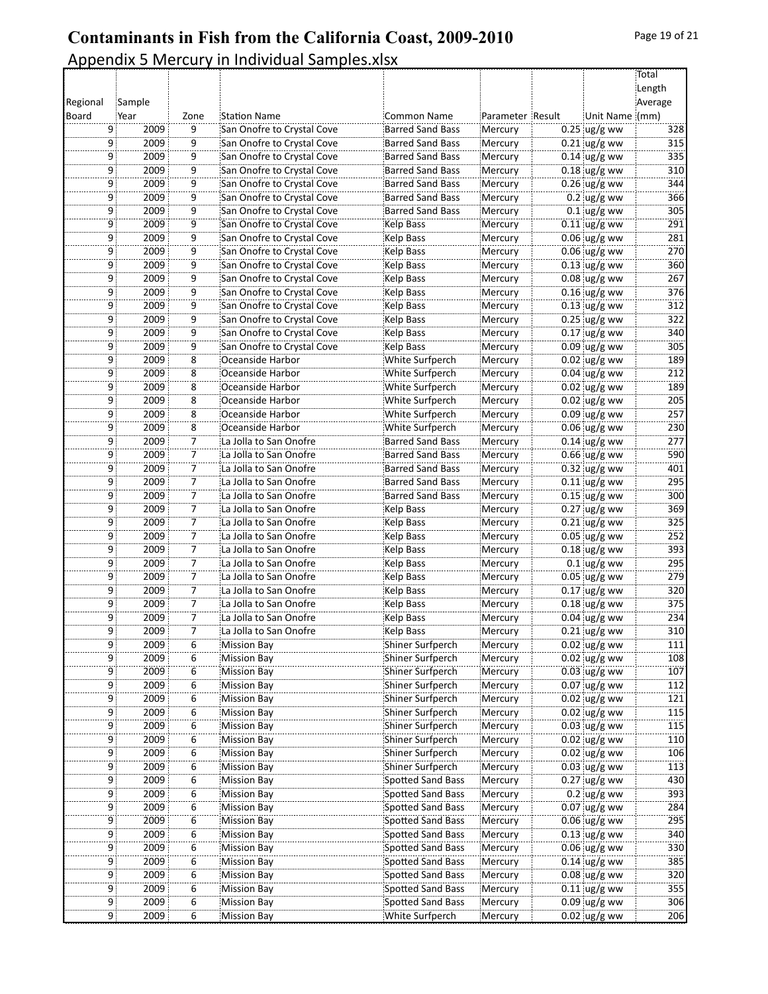|          |                        |                |                            |                         |                  |                        | Total      |
|----------|------------------------|----------------|----------------------------|-------------------------|------------------|------------------------|------------|
|          |                        |                |                            |                         |                  |                        | Length     |
| Regional | Sample                 |                |                            |                         |                  |                        | Average    |
| Board    | Year                   | Zone           | <b>Station Name</b>        | <b>Common Name</b>      | Parameter Result | Unit Name (mm)         |            |
|          | 9<br>2009              | 9              | San Onofre to Crystal Cove | <b>Barred Sand Bass</b> | Mercury          | $0.25$ ug/g ww         | 328        |
| 9        | 2009                   | 9              | San Onofre to Crystal Cove | <b>Barred Sand Bass</b> | Mercury          | $0.21$ ug/g ww         | 315        |
| 9        | 2009                   | $\overline{9}$ | San Onofre to Crystal Cove | <b>Barred Sand Bass</b> | Mercury          | $0.14$ ug/g ww         | 335        |
|          | 9:<br>2009             | 9              | San Onofre to Crystal Cove | <b>Barred Sand Bass</b> | Mercury          | $0.18$ ug/g ww         | 310        |
| 9        | 2009                   | 9              | San Onofre to Crystal Cove | <b>Barred Sand Bass</b> | Mercury          | $0.26$ ug/g ww         | 344        |
|          | 9<br>2009              | 9              | San Onofre to Crystal Cove | <b>Barred Sand Bass</b> | Mercury          | $0.2$ ug/g ww          | 366        |
|          | 2009<br>9              | $\overline{9}$ | San Onofre to Crystal Cove | <b>Barred Sand Bass</b> | Mercury          | $0.1$ ug/g ww          | 305        |
| 9        | 2009                   | $\overline{9}$ | San Onofre to Crystal Cove | Kelp Bass               | Mercury          | $0.11$ ug/g ww         | 291        |
|          | 9<br>2009              | 9              | San Onofre to Crystal Cove | Kelp Bass               | Mercury          | $0.06$ ug/g ww         | 281        |
| 9        | 2009                   | 9              | San Onofre to Crystal Cove | Kelp Bass               | Mercury          | $0.06$ ug/g ww         | 270        |
|          | 9<br>2009              | 9              | San Onofre to Crystal Cove | Kelp Bass               | Mercury          | $0.13$ ug/g ww         | 360        |
|          | 2009<br>: 9            | 9              | San Onofre to Crystal Cove | Kelp Bass               | Mercury          | $0.08$ ug/g ww         | 267        |
| 9        | 2009                   | $\overline{9}$ | San Onofre to Crystal Cove | Kelp Bass               | Mercury          | $0.16$ ug/g ww         | 376        |
|          | 2009<br>9              | 9              | San Onofre to Crystal Cove | Kelp Bass               | Mercury          | $0.13$ ug/g ww         | 312        |
|          | 9<br>2009              | 9              | San Onofre to Crystal Cove | Kelp Bass               | Mercury          | $0.25$ ug/g ww         | 322        |
| 9        | 2009                   | 9              | San Onofre to Crystal Cove | Kelp Bass               | Mercury          | $0.17$ ug/g ww         | 340        |
| 9        | 2009                   | 9              | San Onofre to Crystal Cove | Kelp Bass               | Mercury          | $0.09$ ug/g ww         | 305        |
| 9        | 2009                   | 8              | Oceanside Harbor           | White Surfperch         | Mercury          | $0.02$ ug/g ww         | 189        |
|          | 9:<br>2009             | 8              | Oceanside Harbor           | White Surfperch         | Mercury          | $0.04$ ug/g ww         | 212        |
| 9        | 2009                   | 8              | Oceanside Harbor           | White Surfperch         | Mercury          | $0.02$ ug/g ww         | 189        |
|          | 9<br>2009              | 8              | Oceanside Harbor           | White Surfperch         | Mercury          | $0.02$ ug/g ww         | 205        |
|          | 2009<br>9              | 8              | Oceanside Harbor           | White Surfperch         | Mercury          | $0.09$ ug/g ww         | 257        |
| 9        | 2009                   | $\overline{8}$ | Oceanside Harbor           | White Surfperch         | Mercury          | $0.06$ ug/g ww         | 230        |
|          | 9:<br>2009             | 7              | La Jolla to San Onofre     | <b>Barred Sand Bass</b> | Mercury          | $0.14$ ug/g ww         | 277        |
| 9        | 2009                   | 7              | La Jolla to San Onofre     | <b>Barred Sand Bass</b> | Mercury          | $0.66$ ug/g ww         | 590        |
|          | 9<br>2009              | 7              | La Jolla to San Onofre     | <b>Barred Sand Bass</b> | Mercury          | $0.32$ ug/g ww         | 401        |
|          | 2009<br>9              | $\ddot{7}$     | La Jolla to San Onofre     | <b>Barred Sand Bass</b> | Mercury          | $0.11$ ug/g ww         | 295        |
| 9        | 2009                   | $\overline{7}$ | La Jolla to San Onofre     | <b>Barred Sand Bass</b> | Mercury          | $0.15$ ug/g ww         | 300        |
|          | 9<br>2009              | 7              | La Jolla to San Onofre     | Kelp Bass               | Mercury          | $0.27$ ug/g ww         | 369        |
| 9        | 2009                   | 7              | La Jolla to San Onofre     | Kelp Bass               | Mercury          | $0.21$ ug/g ww         | 325        |
|          | 9<br>2009              | 7              | La Jolla to San Onofre     | Kelp Bass               | Mercury          | $0.05$ ug/g ww         | 252        |
| 9        | 2009                   | $\overline{7}$ | La Jolla to San Onofre     | Kelp Bass               | Mercury          | $0.18$ ug/g ww         | 393        |
| 9        | 2009                   | $\overline{7}$ | La Jolla to San Onofre     | Kelp Bass               | Mercury          | $0.1$ ug/g ww          | 295        |
|          | 9<br>2009              | 7              | La Jolla to San Onofre     | Kelp Bass               | Mercury          | $0.05$ ug/g ww         | 279        |
|          | 2009<br>9              | 7              | La Jolla to San Onofre     | Kelp Bass               | Mercury          | $0.17$ ug/g ww         | 320        |
| 9        | 2009                   | 7              | La Jolla to San Onofre     | Kelp Bass               | Mercury          | $0.18$ ug/g ww         | 375        |
| 9        | 2009                   | $\overline{7}$ | La Jolla to San Onofre     | Kelp Bass               | Mercury          | $0.04 \, \upmu g/g$ ww | 234        |
|          | 2009<br>9              | 7              | La Jolla to San Onofre     | Kelp Bass               | Mercury          | $0.21$ ug/g ww         | 310        |
|          | 9<br>2009              | 6              | <b>Mission Bay</b>         | Shiner Surfperch        | Mercury          | $0.02$ ug/g ww         | 111        |
| 9        | 2009                   | 6              | <b>Mission Bay</b>         | Shiner Surfperch        | Mercury          | $0.02$ ug/g ww         | 108        |
|          | 2009<br>9              | 6              | <b>Mission Bay</b>         | Shiner Surfperch        | Mercury          | $0.03$ ug/g ww         | 107        |
|          | 2009<br>9              | 6              | <b>Mission Bay</b>         | Shiner Surfperch        | Mercury          | $0.07$ ug/g ww         | 112        |
| 9        | 2009                   | 6              | <b>Mission Bay</b>         | Shiner Surfperch        | Mercury          | $0.02 \text{ ug/g}$ ww | 121        |
|          | 9<br>2009              | 6              | <b>Mission Bay</b>         | Shiner Surfperch        | Mercury          | $0.02$ ug/g ww         | 115        |
| 9        | 2009                   | 6              | <b>Mission Bay</b>         | Shiner Surfperch        | Mercury          | $0.03$ ug/g ww         | 115        |
| 9        | 2009                   | 6              | <b>Mission Bay</b>         | Shiner Surfperch        | Mercury          | $0.02$ ug/g ww         | 110        |
|          | 2009<br>9              | 6              | <b>Mission Bay</b>         | Shiner Surfperch        | Mercury          | $0.02$ ug/g ww         | 106        |
| 9        | 2009                   | 6              | <b>Mission Bay</b>         | Shiner Surfperch        | Mercury          | $0.03$ ug/g ww         | 113        |
|          | 2009<br>9              | 6              | <b>Mission Bay</b>         | Spotted Sand Bass       | Mercury          | $0.27$ ug/g ww         | 430        |
|          |                        |                |                            |                         |                  |                        |            |
| 9        | 2009                   | 6              | <b>Mission Bay</b>         | Spotted Sand Bass       | Mercury          | $0.2$ ug/g ww          | 393        |
| 9        | 2009                   | 6              | <b>Mission Bay</b>         | Spotted Sand Bass       | Mercury          | $0.07$ ug/g ww         | 284<br>295 |
|          | 2009<br>9              | 6              | <b>Mission Bay</b>         | Spotted Sand Bass       | Mercury          | $0.06$ ug/g ww         |            |
| 9        | 2009                   | 6              | <b>Mission Bay</b>         | Spotted Sand Bass       | Mercury          | $0.13$ ug/g ww         | 340        |
|          | 2009<br>9              | 6              | <b>Mission Bay</b>         | Spotted Sand Bass       | Mercury          | $0.06$ ug/g ww         | 330        |
|          | 2009<br>9.             | 6              | <b>Mission Bay</b>         | Spotted Sand Bass       | Mercury          | $0.14$ ug/g ww         | 385        |
| 9        | 2009                   | 6              | <b>Mission Bay</b>         | Spotted Sand Bass       | Mercury          | $0.08$ ug/g ww         | 320        |
|          | 2009<br>9              | 6              | <b>Mission Bay</b>         | Spotted Sand Bass       | Mercury          | $0.11$ ug/g ww         | 355        |
| 9        | 2009                   | 6              | <b>Mission Bay</b>         | Spotted Sand Bass       | Mercury          | $0.09$ ug/g ww         | 306        |
|          | 9 <sup>1</sup><br>2009 | 6              | <b>Mission Bay</b>         | White Surfperch         | Mercury          | $0.02$ ug/g ww         | 206        |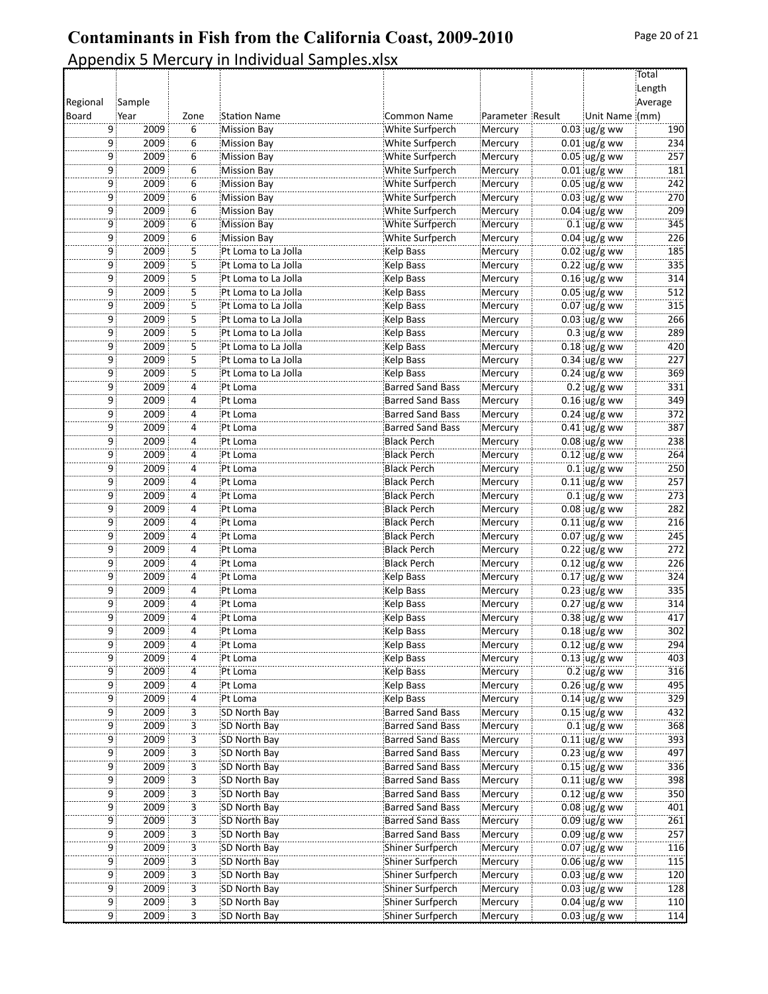**Total** Length **Average** 

#### **Contaminants in Fish from the California Coast, 2009-2010** Appendix 5 Mercury in Individual Samples.xlsx Regional Board Sample( Year Zone Station Name Common Name Parameter Result Unit Name (mm) 9 2009 6 Mission Bay White Surfperch Mercury 0.03 ug/g ww 190 9 2009 6 Mission Bay White Surfperch Mercury 0.01 ug/g ww 234 9 2009 6 Mission Bay White Surfperch Mercury 0.05 ug/g ww 257 9 2009 6 Mission Bay White Surfperch Mercury 0.01 ug/g ww 181 9 2009 6 Mission Bay White Surfperch Mercury 0.05 ug/g ww 242 9 2009 6 Mission Bay White Surfperch Mercury 0.03 ug/g ww 270 9 2009 6 Mission(Bay White(Surfperch Mercury 0.04 ug/g(ww 209 9 2009 6 Mission(Bay White(Surfperch Mercury 0.1 ug/g(ww 345 9 2009 6 Mission Bay White Surfperch Mercury 0.04 ug/g ww 226 9 2009 5 Pt Loma to La Jolla 19 Kelp Bass Mercury 0.02 ug/g ww 185<br>9 2009 5 Pt Loma to La Jolla 19 Kelp Bass Mercury 0.22 ug/g ww 335 9 2009 5 Pt Loma to La Jolla Kelp Bass Mercury 0.22 ug/g ww 335 9 2009 5 Pt Loma to La Jolla Kelp Bass Mercury 0.16 ug/g ww 314 9 2009 5 Pt Loma to La Jolla Kelp Bass Mercury 0.05 ug/g ww 512 9 2009 5 Pt Loma to La Jolla Kelp Bass Mercury 0.07 ug/g ww 315 9 2009 5 Pt Loma to La Jolla 19 Kelp Bass Mercury 0.03 ug/g ww 266<br>9 2009 5 Pt Loma to La Jolla 19 Kelp Bass Mercury 0.3 ug/g ww 289 2009 5 Pt Loma to La Jolla Kelp Bass Mercury 0.3 ug/g ww 289 9 2009 5 Pt Loma to La Jolla 19 Kelp Bass Mercury 0.18 ug/g ww 420 9 2009 5 Pt Loma to La Jolla Kelp Bass Mercury 0.34 ug/g ww 227 9 2009 5 Pt Loma to La Jolla 1 - Kelp Bass Mercury 0.24 ug/g ww 369 9 2009 4 Pt Loma Barred Sand Bass Mercury 0.2 ug/g ww 331 9 2009 4 Pt Loma Barred Sand Bass Mercury 0.16 ug/g ww 349 9 2009 4 Pt Loma Barred Sand Bass Mercury 0.24 ug/g ww 372 9 2009 4 Pt Loma Barred Sand Bass Mercury 0.41 ug/g ww 387 9 2009 4 Pt Loma Black Perch Mercury 0.08 ug/g ww 238 9 2009 4 Pt Loma Black Perch Mercury 0.12 ug/g ww 264 9 2009 4 Pt Loma Black Perch Mercury 0.1 ug/g ww 250 9 2009 4 Pt Loma Black Perch Mercury 0.11 ug/g ww 257 9 2009 4 Pt Loma 1 - Black Perch Mercury 0.1 ug/g ww 273 9 2009 4 Pt Loma 1 - Black Perch Mercury 0.08 ug/g ww 282 9 2009 4 Pt Loma Black Perch Mercury 0.11 ug/g ww 216 9 2009 4 Pt Loma Black Perch Mercury 0.07 ug/g ww 245 9 2009 4 Pt Loma Black Perch Mercury 0.22 ug/g ww 272 9 2009 4 Pt Loma Black Perch Mercury 0.12 ug/g ww 226 9 2009 4 Pt Loma Kelp Bass Mercury 0.17 ug/g ww 324 9 2009 4 Pt Loma Kelp Bass Mercury 0.23 ug/g ww 335 9 2009 4 Pt Loma Kelp Bass Mercury 0.27 ug/g ww 314

9 2009 4 Pt Loma Kelp Bass Mercury 0.38 ug/g ww 417 9 2009 4 Pt Loma Kelp Bass Mercury 0.18 ug/g ww 302 9 2009 4 Pt(Loma Kelp(Bass Mercury 0.12 ug/g(ww 294 9 2009 4 Pt(Loma Kelp(Bass Mercury 0.13 ug/g(ww 403 9 2009 4 Pt(Loma Kelp(Bass Mercury 0.2 ug/g(ww 316 9 2009 4 Pt Loma Kelp Bass Mercury 0.26 ug/g ww 495 9 2009 4 Pt Loma Kelp Bass Mercury 0.14 ug/g ww 329 9 2009 3 SD North Bay Barred Sand Bass Mercury 0.15 ug/g ww 432 9 2009 3 SD North Bay Barred Sand Bass Mercury 0.1 ug/g ww 368 9 2009 3 SD North Bay Barred Sand Bass Mercury 0.11 ug/g ww 393 9 2009 3 SD North Bay Barred Sand Bass Mercury 0.23 ug/g ww 497 9 2009 3 SD North Bay Barred Sand Bass Mercury 0.15 ug/g ww 336 9 2009 3 SD North Bay Barred Sand Bass Mercury 0.11 ug/g ww 398 9 2009 3 SD North Bay Barred Sand Bass Mercury 0.12 ug/g ww 350 9 2009 3 SD North Bay Barred Sand Bass Mercury 0.08 ug/g ww 401 9 2009 3 SD North Bay Barred Sand Bass Mercury 0.09 ug/g ww 261 9 2009 3 SD North Bay Barred Sand Bass Mercury 0.09 ug/g ww 257 9 2009 3 SD North Bay Shiner Surfperch Mercury 0.07 ug/g ww 116 9 2009 3 SD North Bay Shiner Surfperch Mercury 0.06 ug/g ww 115 9 2009 3 SD North Bay Shiner Surfperch Mercury 0.03 ug/g ww 120 9 2009 3 SD North Bay Shiner Surfperch Mercury 0.03 ug/g ww 128 9 2009 3 SD North Bay Shiner Surfperch Mercury 0.04 ug/g ww 110 9 2009 3 SD North Bay Shiner Surfperch Mercury 0.03 ug/g ww 114